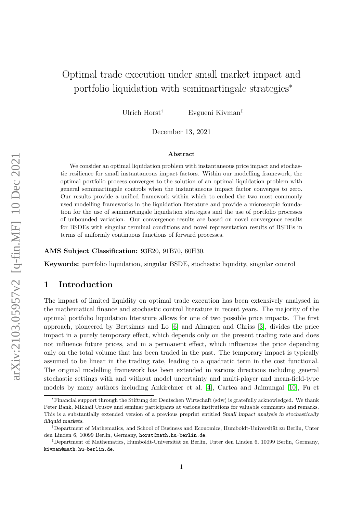# Optimal trade execution under small market impact and portfolio liquidation with semimartingale strategies<sup>\*</sup>

Ulrich Horst† Evgueni Kivman‡

December 13, 2021

#### Abstract

We consider an optimal liquidation problem with instantaneous price impact and stochastic resilience for small instantaneous impact factors. Within our modelling framework, the optimal portfolio process converges to the solution of an optimal liquidation problem with general semimartingale controls when the instantaneous impact factor converges to zero. Our results provide a unified framework within which to embed the two most commonly used modelling frameworks in the liquidation literature and provide a microscopic foundation for the use of semimartingale liquidation strategies and the use of portfolio processes of unbounded variation. Our convergence results are based on novel convergence results for BSDEs with singular terminal conditions and novel representation results of BSDEs in terms of uniformly continuous functions of forward processes.

AMS Subject Classification: 93E20, 91B70, 60H30.

Keywords: portfolio liquidation, singular BSDE, stochastic liquidity, singular control

# 1 Introduction

The impact of limited liquidity on optimal trade execution has been extensively analysed in the mathematical finance and stochastic control literature in recent years. The majority of the optimal portfolio liquidation literature allows for one of two possible price impacts. The first approach, pioneered by Bertsimas and Lo [\[6\]](#page-41-0) and Almgren and Chriss [\[3\]](#page-41-1), divides the price impact in a purely temporary effect, which depends only on the present trading rate and does not influence future prices, and in a permanent effect, which influences the price depending only on the total volume that has been traded in the past. The temporary impact is typically assumed to be linear in the trading rate, leading to a quadratic term in the cost functional. The original modelling framework has been extended in various directions including general stochastic settings with and without model uncertainty and multi-player and mean-field-type models by many authors including Ankirchner et al. [\[4\]](#page-41-2), Cartea and Jaimungal [\[10\]](#page-41-3), Fu et

<sup>∗</sup>Financial support through the Stiftung der Deutschen Wirtschaft (sdw) is gratefully acknowledged. We thank Peter Bank, Mikhail Urusov and seminar participants at various institutions for valuable comments and remarks. This is a substantially extended version of a previous preprint entitled Small impact analysis in stochastically illiquid markets.

<sup>&</sup>lt;sup>†</sup>Department of Mathematics, and School of Business and Economics, Humboldt-Universität zu Berlin, Unter den Linden 6, 10099 Berlin, Germany, horst@math.hu-berlin.de.

<sup>&</sup>lt;sup>‡</sup>Department of Mathematics, Humboldt-Universität zu Berlin, Unter den Linden 6, 10099 Berlin, Germany, kivman@math.hu-berlin.de.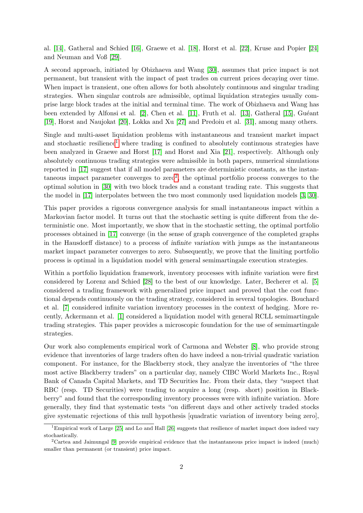al. [\[14\]](#page-41-4), Gatheral and Schied [\[16\]](#page-41-5), Graewe et al. [\[18\]](#page-42-0), Horst et al. [\[22\]](#page-42-1), Kruse and Popier [\[24\]](#page-42-2) and Neuman and Voß [\[29\]](#page-42-3).

A second approach, initiated by Obizhaeva and Wang [\[30\]](#page-42-4), assumes that price impact is not permanent, but transient with the impact of past trades on current prices decaying over time. When impact is transient, one often allows for both absolutely continuous and singular trading strategies. When singular controls are admissible, optimal liquidation strategies usually comprise large block trades at the initial and terminal time. The work of Obizhaeva and Wang has been extended by Alfonsi et al.  $[2]$ , Chen et al.  $[11]$ , Fruth et al.  $[13]$ , Gatheral  $[15]$ , Guéant [\[19\]](#page-42-5), Horst and Naujokat [\[20\]](#page-42-6), Lokka and Xu [\[27\]](#page-42-7) and Predoiu et al. [\[31\]](#page-42-8), among many others.

Single and multi-asset liquidation problems with instantaneous and transient market impact and stochastic resilience<sup>[1](#page-1-0)</sup> where trading is confined to absolutely continuous strategies have been analyzed in Graewe and Horst [\[17\]](#page-41-10) and Horst and Xia [\[21\]](#page-42-9), respectively. Although only absolutely continuous trading strategies were admissible in both papers, numerical simulations reported in [\[17\]](#page-41-10) suggest that if all model parameters are deterministic constants, as the instantaneous impact parameter converges to  $zero^2$  $zero^2$ , the optimal portfolio process converges to the optimal solution in [\[30\]](#page-42-4) with two block trades and a constant trading rate. This suggests that the model in [\[17\]](#page-41-10) interpolates between the two most commonly used liquidation models [\[3,](#page-41-1) [30\]](#page-42-4).

This paper provides a rigorous convergence analysis for small instantaneous impact within a Markovian factor model. It turns out that the stochastic setting is quite different from the deterministic one. Most importantly, we show that in the stochastic setting, the optimal portfolio processes obtained in [\[17\]](#page-41-10) converge (in the sense of graph convergence of the completed graphs in the Hausdorff distance) to a process of infinite variation with jumps as the instantaneous market impact parameter converges to zero. Subsequently, we prove that the limiting portfolio process is optimal in a liquidation model with general semimartingale execution strategies.

Within a portfolio liquidation framework, inventory processes with infinite variation were first considered by Lorenz and Schied [\[28\]](#page-42-10) to the best of our knowledge. Later, Becherer et al. [\[5\]](#page-41-11) considered a trading framework with generalized price impact and proved that the cost functional depends continuously on the trading strategy, considered in several topologies. Bouchard et al. [\[7\]](#page-41-12) considered infinite variation inventory processes in the context of hedging. More recently, Ackermann et al. [\[1\]](#page-41-13) considered a liquidation model with general RCLL semimartingale trading strategies. This paper provides a microscopic foundation for the use of semimartingale strategies.

Our work also complements empirical work of Carmona and Webster [\[8\]](#page-41-14), who provide strong evidence that inventories of large traders often do have indeed a non-trivial quadratic variation component. For instance, for the Blackberry stock, they analyze the inventories of "the three most active Blackberry traders" on a particular day, namely CIBC World Markets Inc., Royal Bank of Canada Capital Markets, and TD Securities Inc. From their data, they "suspect that RBC (resp. TD Securities) were trading to acquire a long (resp. short) position in Blackberry" and found that the corresponding inventory processes were with infinite variation. More generally, they find that systematic tests "on different days and other actively traded stocks give systematic rejections of this null hypothesis [quadratic variation of inventory being zero],

<span id="page-1-0"></span><sup>&</sup>lt;sup>1</sup>Empirical work of Large [\[25\]](#page-42-11) and Lo and Hall [\[26\]](#page-42-12) suggests that resilience of market impact does indeed vary stochastically.

<span id="page-1-1"></span><sup>2</sup>Cartea and Jaimungal [\[9\]](#page-41-15) provide empirical evidence that the instantaneous price impact is indeed (much) smaller than permanent (or transient) price impact.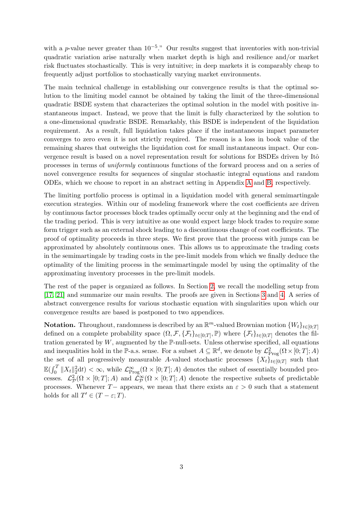with a p-value never greater than  $10^{-5}$ ." Our results suggest that inventories with non-trivial quadratic variation arise naturally when market depth is high and resilience and/or market risk fluctuates stochastically. This is very intuitive; in deep markets it is comparably cheap to frequently adjust portfolios to stochastically varying market environments.

The main technical challenge in establishing our convergence results is that the optimal solution to the limiting model cannot be obtained by taking the limit of the three-dimensional quadratic BSDE system that characterizes the optimal solution in the model with positive instantaneous impact. Instead, we prove that the limit is fully characterized by the solution to a one-dimensional quadratic BSDE. Remarkably, this BSDE is independent of the liquidation requirement. As a result, full liquidation takes place if the instantaneous impact parameter converges to zero even it is not strictly required. The reason is a loss in book value of the remaining shares that outweighs the liquidation cost for small instantaneous impact. Our convergence result is based on a novel representation result for solutions for BSDEs driven by Itô processes in terms of uniformly continuous functions of the forward process and on a series of novel convergence results for sequences of singular stochastic integral equations and random ODEs, which we choose to report in an abstract setting in Appendix [A](#page-28-0) and [B,](#page-33-0) respectively.

The limiting portfolio process is optimal in a liquidation model with general semimartingale execution strategies. Within our of modeling framework where the cost coefficients are driven by continuous factor processes block trades optimally occur only at the beginning and the end of the trading period. This is very intuitive as one would expect large block trades to require some form trigger such as an external shock leading to a discontinuous change of cost coefficients. The proof of optimality proceeds in three steps. We first prove that the process with jumps can be approximated by absolutely continuous ones. This allows us to approximate the trading costs in the semimartingale by trading costs in the pre-limit models from which we finally deduce the optimality of the limiting process in the semimartingale model by using the optimality of the approximating inventory processes in the pre-limit models.

The rest of the paper is organized as follows. In Section [2,](#page-3-0) we recall the modelling setup from [\[17,](#page-41-10) [21\]](#page-42-9) and summarize our main results. The proofs are given in Sections [3](#page-12-0) and [4.](#page-21-0) A series of abstract convergence results for various stochastic equation with singularities upon which our convergence results are based is postponed to two appendices.

**Notation.** Throughout, randomness is described by an  $\mathbb{R}^m$ -valued Brownian motion  $\{W_t\}_{t\in[0,T]}$ defined on a complete probability space  $(\Omega, \mathcal{F}, \{\mathcal{F}_t\}_{t\in[0,T]}, \mathbb{P})$  where  $\{\mathcal{F}_t\}_{t\in[0,T]}$  denotes the filtration generated by  $W$ , augmented by the  $\mathbb{P}\text{-null-sets}$ . Unless otherwise specified, all equations and inequalities hold in the P-a.s. sense. For a subset  $A \subseteq \mathbb{R}^d$ , we denote by  $\mathcal{L}^2_{\text{Prog}}(\Omega \times [0;T]; A)$ the set of all progressively measurable A-valued stochastic processes  $\{X_t\}_{t\in[0;T]}$  such that  $\mathbb{E}(\int_0^T \|X_t\|_2^2 dt) < \infty$ , while  $\mathcal{L}^{\infty}_{\text{Prog}}(\Omega \times [0;T]; A)$  denotes the subset of essentially bounded processes.  $\mathcal{L}^2_{\mathcal{P}}(\Omega \times [0;T]; A)$  and  $\tilde{\mathcal{L}}^{\infty}_{\mathcal{P}}(\Omega \times [0;T]; A)$  denote the respective subsets of predictable processes. Whenever T− appears, we mean that there exists an  $\varepsilon > 0$  such that a statement holds for all  $T' \in (T - \varepsilon; T)$ .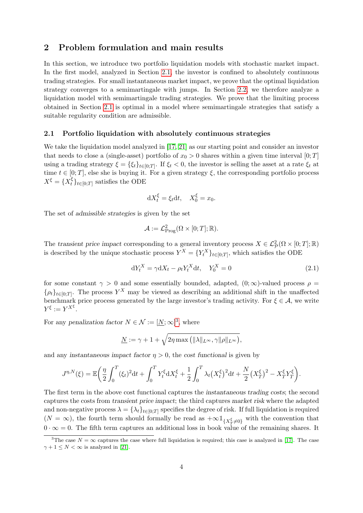## <span id="page-3-0"></span>2 Problem formulation and main results

In this section, we introduce two portfolio liquidation models with stochastic market impact. In the first model, analyzed in Section [2.1,](#page-3-1) the investor is confined to absolutely continuous trading strategies. For small instantaneous market impact, we prove that the optimal liquidation strategy converges to a semimartingale with jumps. In Section [2.2,](#page-9-0) we therefore analyze a liquidation model with semimartingale trading strategies. We prove that the limiting process obtained in Section [2.1](#page-3-1) is optimal in a model where semimartingale strategies that satisfy a suitable regularity condition are admissible.

#### <span id="page-3-1"></span>2.1 Portfolio liquidation with absolutely continuous strategies

We take the liquidation model analyzed in [\[17,](#page-41-10) [21\]](#page-42-9) as our starting point and consider an investor that needs to close a (single-asset) portfolio of  $x_0 > 0$  shares within a given time interval  $[0;T]$ using a trading strategy  $\xi = \{\xi_t\}_{t\in[0,T]}$ . If  $\xi_t < 0$ , the investor is selling the asset at a rate  $\xi_t$  at time  $t \in [0, T]$ , else she is buying it. For a given strategy  $\xi$ , the corresponding portfolio process  $X^{\xi} = \{X_t^{\xi}$  $\{t\}_{t\in[0;T]}$  satisfies the ODE

$$
dX_t^{\xi} = \xi_t dt, \quad X_0^{\xi} = x_0.
$$

The set of admissible strategies is given by the set

<span id="page-3-3"></span>
$$
\mathcal{A} := \mathcal{L}^2_{\text{Prog}}(\Omega \times [0;T];\mathbb{R}).
$$

The transient price impact corresponding to a general inventory process  $X \in \mathcal{L}^2_{\mathcal{P}}(\Omega \times [0;T];\mathbb{R})$ is described by the unique stochastic process  $Y^X = \{Y_t^X\}_{t \in [0,T]}$ , which satisfies the ODE

$$
dY_t^X = \gamma dX_t - \rho_t Y_t^X dt, \quad Y_0^X = 0 \tag{2.1}
$$

for some constant  $\gamma > 0$  and some essentially bounded, adapted,  $(0; \infty)$ -valued process  $\rho =$  $\{\rho_t\}_{t\in[0,T]}.$  The process  $Y^X$  may be viewed as describing an additional shift in the unaffected benchmark price process generated by the large investor's trading activity. For  $\xi \in \mathcal{A}$ , we write  $Y^{\xi} := Y^{X^{\xi}}.$ 

For any penalization factor  $N \in \mathcal{N} := [\underline{N}; \infty]^3$  $N \in \mathcal{N} := [\underline{N}; \infty]^3$ , where

$$
\underline{N} := \gamma + 1 + \sqrt{2\eta \max\left( \|\lambda\|_{L^{\infty}}, \gamma \|\rho\|_{L^{\infty}} \right)},
$$

and any instantaneous impact factor  $\eta > 0$ , the cost functional is given by

$$
J^{\eta,N}(\xi) = \mathbb{E}\bigg(\frac{\eta}{2}\int_0^T (\xi_t)^2 dt + \int_0^T Y_t^{\xi} dX_t^{\xi} + \frac{1}{2} \int_0^T \lambda_t (X_t^{\xi})^2 dt + \frac{N}{2} (X_T^{\xi})^2 - X_T^{\xi} Y_T^{\xi}\bigg).
$$

The first term in the above cost functional captures the instantaneous trading costs; the second captures the costs from transient price impact; the third captures market risk where the adapted and non-negative process  $\lambda = \{\lambda_t\}_{t\in[0;T]}$  specifies the degree of risk. If full liquidation is required  $(N = \infty)$ , the fourth term should formally be read as  $+\infty \mathbb{1}_{\{X_\tau^{\xi} \neq 0\}}$  with the convention that  $0 \cdot \infty = 0$ . The fifth term captures an additional loss in book value of the remaining shares. It

<span id="page-3-2"></span><sup>&</sup>lt;sup>3</sup>The case  $N = \infty$  captures the case where full liquidation is required; this case is analyzed in [\[17\]](#page-41-10). The case  $\gamma + 1 \leq N < \infty$  is analyzed in [\[21\]](#page-42-9).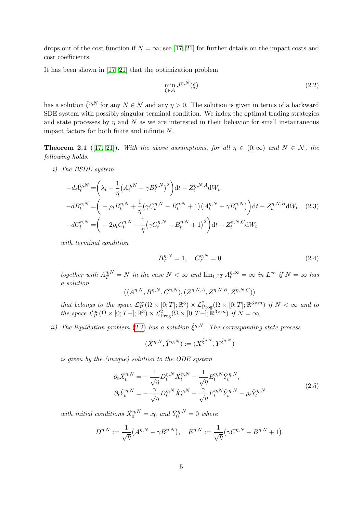drops out of the cost function if  $N = \infty$ ; see [\[17,](#page-41-10) [21\]](#page-42-9) for further details on the impact costs and cost coefficients.

It has been shown in [\[17,](#page-41-10) [21\]](#page-42-9) that the optimization problem

<span id="page-4-0"></span>
$$
\min_{\xi \in \mathcal{A}} J^{\eta, N}(\xi) \tag{2.2}
$$

has a solution  $\hat{\xi}^{\eta,N}$  for any  $N \in \mathcal{N}$  and any  $\eta > 0$ . The solution is given in terms of a backward SDE system with possibly singular terminal condition. We index the optimal trading strategies and state processes by  $\eta$  and N as we are interested in their behavior for small instantaneous impact factors for both finite and infinite N.

<span id="page-4-2"></span>**Theorem 2.1** ([\[17,](#page-41-10) [21\]](#page-42-9)). With the above assumptions, for all  $\eta \in (0, \infty)$  and  $N \in \mathcal{N}$ , the following holds.

i) The BSDE system

$$
-dA_t^{\eta,N} = \left(\lambda_t - \frac{1}{\eta} \left(A_t^{\eta,N} - \gamma B_t^{\eta,N}\right)^2\right) dt - Z_t^{\eta,N,A} dW_t,
$$
  
\n
$$
-dB_t^{\eta,N} = \left(-\rho_t B_t^{\eta,N} + \frac{1}{\eta} \left(\gamma C_t^{\eta,N} - B_t^{\eta,N} + 1\right) \left(A_t^{\eta,N} - \gamma B_t^{\eta,N}\right)\right) dt - Z_t^{\eta,N,B} dW_t, (2.3)
$$
  
\n
$$
-dC_t^{\eta,N} = \left(-2\rho_t C_t^{\eta,N} - \frac{1}{\eta} \left(\gamma C_t^{\eta,N} - B_t^{\eta,N} + 1\right)^2\right) dt - Z_t^{\eta,N,C} dW_t
$$

with terminal condition

$$
B_T^{\eta, N} = 1, \quad C_T^{\eta, N} = 0 \tag{2.4}
$$

together with  $A_T^{\eta,N} = N$  in the case  $N < \infty$  and  $\lim_{t \nearrow T} A_t^{\eta,\infty} = \infty$  in  $L^{\infty}$  if  $N = \infty$  has a solution

$$
\left( (A^{\eta,N}, B^{\eta,N}, C^{\eta,N}), (Z^{\eta,N,A}, Z^{\eta,N,B}, Z^{\eta,N,C}) \right)
$$

that belongs to the space  $\mathcal{L}_{\mathcal{P}}^{\infty}(\Omega \times [0; T]; \mathbb{R}^3) \times \mathcal{L}_{\text{Prog}}^2(\Omega \times [0; T]; \mathbb{R}^{3 \times m})$  if  $N < \infty$  and to the space  $\mathcal{L}_{\mathcal{P}}^{\infty}(\Omega \times [0; T-]; \mathbb{R}^3) \times \mathcal{L}_{\text{Prog}}^2(\Omega \times [0; T-]; \mathbb{R}^{3 \times m})$  if  $N = \infty$ .

ii) The liquidation problem [\(2.2\)](#page-4-0) has a solution  $\hat{\xi}^{\eta,N}$ . The corresponding state process

$$
(\hat{X}^{\eta,N},\hat{Y}^{\eta,N}):=(X^{\hat{\xi}^{\eta,N}},Y^{\hat{\xi}^{\eta,N}})
$$

<span id="page-4-1"></span>is given by the (unique) solution to the ODE system

$$
\partial_t \hat{X}_t^{\eta, N} = -\frac{1}{\sqrt{\eta}} D_t^{\eta, N} \hat{X}_t^{\eta, N} - \frac{1}{\sqrt{\eta}} E_t^{\eta, N} \hat{Y}_t^{\eta, N}, \n\partial_t \hat{Y}_t^{\eta, N} = -\frac{\gamma}{\sqrt{\eta}} D_t^{\eta, N} \hat{X}_t^{\eta, N} - \frac{\gamma}{\sqrt{\eta}} E_t^{\eta, N} \hat{Y}_t^{\eta, N} - \rho_t \hat{Y}_t^{\eta, N}
$$
\n(2.5)

with initial conditions  $\hat{X}_0^{\eta,N} = x_0$  and  $\hat{Y}_0^{\eta,N} = 0$  where

$$
D^{\eta,N} := \frac{1}{\sqrt{\eta}} (A^{\eta,N} - \gamma B^{\eta,N}), \quad E^{\eta,N} := \frac{1}{\sqrt{\eta}} (\gamma C^{\eta,N} - B^{\eta,N} + 1).
$$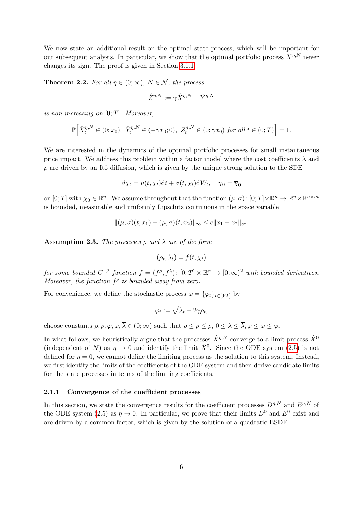We now state an additional result on the optimal state process, which will be important for our subsequent analysis. In particular, we show that the optimal portfolio process  $\hat{X}^{\eta,N}$  never changes its sign. The proof is given in Section [3.1.1.](#page-12-1)

<span id="page-5-1"></span>**Theorem 2.2.** For all  $\eta \in (0, \infty)$ ,  $N \in \mathcal{N}$ , the process

$$
\hat{Z}^{\eta,N} := \gamma \hat{X}^{\eta,N} - \hat{Y}^{\eta,N}
$$

is non-increasing on  $[0; T]$ . Moreover,

$$
\mathbb{P}\Big[\hat{X}_t^{\eta,N}\in(0;x_0),\ \hat{Y}_t^{\eta,N}\in(-\gamma x_0;0),\ \hat{Z}_t^{\eta,N}\in(0;\gamma x_0)\ \text{for all}\ t\in(0;T)\Big]=1.
$$

We are interested in the dynamics of the optimal portfolio processes for small instantaneous price impact. We address this problem within a factor model where the cost coefficients  $\lambda$  and  $\rho$  are driven by an Itô diffusion, which is given by the unique strong solution to the SDE

$$
d\chi_t = \mu(t, \chi_t)dt + \sigma(t, \chi_t)dW_t, \quad \chi_0 = \overline{\chi}_0
$$

on  $[0; T]$  with  $\overline{\chi}_0 \in \mathbb{R}^n$ . We assume throughout that the function  $(\mu, \sigma)$ :  $[0; T] \times \mathbb{R}^n \to \mathbb{R}^n \times \mathbb{R}^{n \times m}$ is bounded, measurable and uniformly Lipschitz continuous in the space variable:

$$
\|(\mu,\sigma)(t,x_1)-(\mu,\sigma)(t,x_2)\|_{\infty}\leq c\|x_1-x_2\|_{\infty}.
$$

<span id="page-5-0"></span>**Assumption 2.3.** The processes  $\rho$  and  $\lambda$  are of the form

$$
(\rho_t, \lambda_t) = f(t, \chi_t)
$$

for some bounded  $C^{1,2}$  function  $f = (f^{\rho}, f^{\lambda}) \colon [0;T] \times \mathbb{R}^n \to [0; \infty)^2$  with bounded derivatives. Moreover, the function  $f^{\rho}$  is bounded away from zero.

For convenience, we define the stochastic process  $\varphi = {\varphi_t}_{t \in [0,T]}$  by

$$
\varphi_t := \sqrt{\lambda_t + 2\gamma \rho_t},
$$

choose constants  $\rho, \overline{\rho}, \varphi, \overline{\varphi}, \overline{\lambda} \in (0, \infty)$  such that  $\rho \leq \rho \leq \overline{\rho}, 0 \leq \lambda \leq \overline{\lambda}, \varphi \leq \varphi \leq \overline{\varphi}$ .

In what follows, we heuristically argue that the processes  $\hat{X}^{\eta,N}$  converge to a limit process  $\hat{X}^0$ (independent of N) as  $\eta \to 0$  and identify the limit  $\hat{X}^0$ . Since the ODE system [\(2.5\)](#page-4-1) is not defined for  $\eta = 0$ , we cannot define the limiting process as the solution to this system. Instead, we first identify the limits of the coefficients of the ODE system and then derive candidate limits for the state processes in terms of the limiting coefficients.

## 2.1.1 Convergence of the coefficient processes

In this section, we state the convergence results for the coefficient processes  $D^{n,N}$  and  $E^{n,N}$  of the ODE system [\(2.5\)](#page-4-1) as  $\eta \to 0$ . In particular, we prove that their limits  $D^0$  and  $E^0$  exist and are driven by a common factor, which is given by the solution of a quadratic BSDE.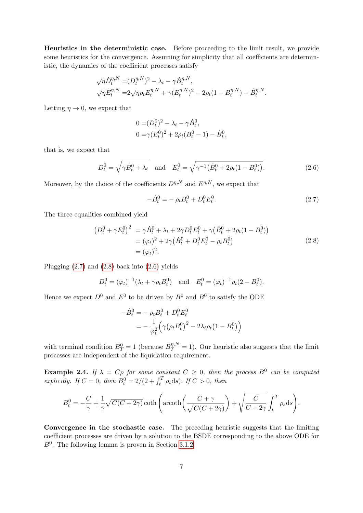Heuristics in the deterministic case. Before proceeding to the limit result, we provide some heuristics for the convergence. Assuming for simplicity that all coefficients are deterministic, the dynamics of the coefficient processes satisfy

$$
\sqrt{\eta} \dot{D}_t^{\eta, N} = (D_t^{\eta, N})^2 - \lambda_t - \gamma \dot{B}_t^{\eta, N},
$$
  

$$
\sqrt{\eta} \dot{E}_t^{\eta, N} = 2\sqrt{\eta} \rho_t E_t^{\eta, N} + \gamma (E_t^{\eta, N})^2 - 2\rho_t (1 - B_t^{\eta, N}) - \dot{B}_t^{\eta, N}.
$$

Letting  $\eta \to 0$ , we expect that

$$
0 = (D_t^0)^2 - \lambda_t - \gamma \dot{B}_t^0,
$$
  
\n
$$
0 = \gamma (E_t^0)^2 + 2\rho_t (B_t^0 - 1) - \dot{B}_t^0
$$

that is, we expect that

$$
D_t^0 = \sqrt{\gamma \dot{B}_t^0 + \lambda_t} \quad \text{and} \quad E_t^0 = \sqrt{\gamma^{-1} (\dot{B}_t^0 + 2\rho_t (1 - B_t^0))}.
$$
 (2.6)

Moreover, by the choice of the coefficients  $D^{\eta,N}$  and  $E^{\eta,N}$ , we expect that

$$
-\dot{B}_t^0 = -\rho_t B_t^0 + D_t^0 E_t^0. \tag{2.7}
$$

<span id="page-6-2"></span><span id="page-6-0"></span>,

<span id="page-6-1"></span>The three equalities combined yield

$$
(D_t^0 + \gamma E_t^0)^2 = \gamma \dot{B}_t^0 + \lambda_t + 2\gamma D_t^0 E_t^0 + \gamma (\dot{B}_t^0 + 2\rho_t (1 - B_t^0))
$$
  
=  $(\varphi_t)^2 + 2\gamma (\dot{B}_t^0 + D_t^0 E_t^0 - \rho_t B_t^0)$   
=  $(\varphi_t)^2$ . (2.8)

Plugging  $(2.7)$  and  $(2.8)$  back into  $(2.6)$  yields

$$
D_t^0 = (\varphi_t)^{-1} (\lambda_t + \gamma \rho_t B_t^0)
$$
 and  $E_t^0 = (\varphi_t)^{-1} \rho_t (2 - B_t^0)$ .

Hence we expect  $D^0$  and  $E^0$  to be driven by  $B^0$  and  $B^0$  to satisfy the ODE

$$
-\dot{B}_t^0 = -\rho_t B_t^0 + D_t^0 E_t^0
$$
  
= 
$$
-\frac{1}{\varphi_t^2} (\gamma (\rho_t B_t^0)^2 - 2\lambda_t \rho_t (1 - B_t^0))
$$

with terminal condition  $B_T^0 = 1$  (because  $B_T^{\eta,N} = 1$ ). Our heuristic also suggests that the limit processes are independent of the liquidation requirement.

**Example 2.4.** If  $\lambda = C\rho$  for some constant  $C \geq 0$ , then the process  $B^0$  can be computed explicitly. If  $C = 0$ , then  $B_t^0 = 2/(2 + \int_t^T \rho_s ds)$ . If  $C > 0$ , then

$$
B_t^0 = -\frac{C}{\gamma} + \frac{1}{\gamma} \sqrt{C(C+2\gamma)} \coth\left(\operatorname{arcoth}\left(\frac{C+\gamma}{\sqrt{C(C+2\gamma)}}\right) + \sqrt{\frac{C}{C+2\gamma}} \int_t^T \rho_s \, ds\right).
$$

Convergence in the stochastic case. The preceding heuristic suggests that the limiting coefficient processes are driven by a solution to the BSDE corresponding to the above ODE for  $B^0$ . The following lemma is proven in Section [3.1.2.](#page-13-0)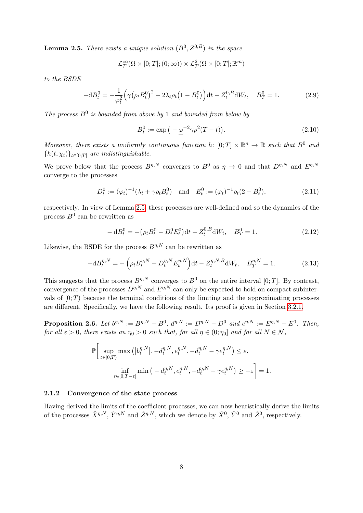<span id="page-7-0"></span>**Lemma 2.5.** There exists a unique solution  $(B^0, Z^{0,B})$  in the space

$$
\mathcal{L}^{\infty}_{\mathcal{P}}(\Omega\times[0;T];(0;\infty))\times\mathcal{L}^{2}_{\mathcal{P}}(\Omega\times[0;T];\mathbb{R}^{m})
$$

to the BSDE

$$
-dB_t^0 = -\frac{1}{\varphi_t^2} \Big( \gamma (\rho_t B_t^0)^2 - 2\lambda_t \rho_t (1 - B_t^0) \Big) dt - Z_t^{0,B} dW_t, \quad B_T^0 = 1.
$$
 (2.9)

The process  $B^0$  is bounded from above by 1 and bounded from below by

<span id="page-7-4"></span><span id="page-7-3"></span>
$$
\underline{B}_t^0 := \exp\left(-\underline{\varphi}^{-2}\gamma\overline{\rho}^2(T-t)\right). \tag{2.10}
$$

Moreover, there exists a uniformly continuous function h:  $[0;T] \times \mathbb{R}^n \to \mathbb{R}$  such that  $B^0$  and  ${h(t, \chi_t)}_{t \in [0:T]}$  are indistinguishable.

We prove below that the process  $B^{\eta,N}$  converges to  $B^0$  as  $\eta \to 0$  and that  $D^{\eta,N}$  and  $E^{\eta,N}$ converge to the processes

$$
D_t^0 := (\varphi_t)^{-1} (\lambda_t + \gamma \rho_t B_t^0) \quad \text{and} \quad E_t^0 := (\varphi_t)^{-1} \rho_t (2 - B_t^0), \tag{2.11}
$$

<span id="page-7-5"></span>respectively. In view of Lemma [2.5,](#page-7-0) these processes are well-defined and so the dynamics of the process  $B^0$  can be rewritten as

<span id="page-7-2"></span>
$$
- dB_t^0 = -(\rho_t B_t^0 - D_t^0 E_t^0) dt - Z_t^{0,B} dW_t, \quad B_T^0 = 1.
$$
\n(2.12)

Likewise, the BSDE for the process  $B^{\eta,N}$  can be rewritten as

$$
-dB_t^{\eta,N} = -\left(\rho_t B_t^{\eta,N} - D_t^{\eta,N} E_t^{\eta,N}\right) dt - Z_t^{\eta,N,B} dW_t, \quad B_T^{\eta,N} = 1. \tag{2.13}
$$

This suggests that the process  $B^{\eta,N}$  converges to  $B^0$  on the entire interval [0; T]. By contrast, convergence of the processes  $D^{\eta,N}$  and  $E^{\eta,N}$  can only be expected to hold on compact subintervals of  $[0; T)$  because the terminal conditions of the limiting and the approximating processes are different. Specifically, we have the following result. Its proof is given in Section [3.2.1.](#page-15-0)

<span id="page-7-1"></span>**Proposition 2.6.** Let  $b^{\eta,N} := B^{\eta,N} - B^0$ ,  $d^{\eta,N} := D^{\eta,N} - D^0$  and  $e^{\eta,N} := E^{\eta,N} - E^0$ . Then, for all  $\varepsilon > 0$ , there exists an  $\eta_0 > 0$  such that, for all  $\eta \in (0; \eta_0]$  and for all  $N \in \mathcal{N}$ ,

$$
\mathbb{P}\bigg[\sup_{t\in[0;T)}\max\left(|b_t^{\eta,N}|, -d_t^{\eta,N}, e_t^{\eta,N}, -d_t^{\eta,N} - \gamma e_t^{\eta,N}\right) \leq \varepsilon,
$$
  

$$
\inf_{t\in[0;T-\varepsilon]} \min\left(-d_t^{\eta,N}, e_t^{\eta,N}, -d_t^{\eta,N} - \gamma e_t^{\eta,N}\right) \geq -\varepsilon\bigg] = 1.
$$

#### 2.1.2 Convergence of the state process

Having derived the limits of the coefficient processes, we can now heuristically derive the limits of the processes  $\hat{X}^{\eta,N}, \hat{Y}^{\eta,N}$  and  $\hat{Z}^{\eta,N}$ , which we denote by  $\hat{X}^0, \hat{Y}^0$  and  $\hat{Z}^0$ , respectively.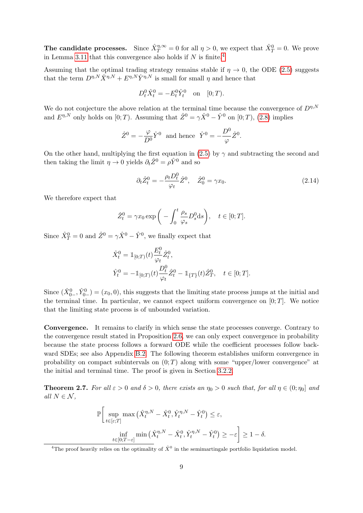The candidate processes. Since  $\hat{X}_T^{\eta,\infty} = 0$  for all  $\eta > 0$ , we expect that  $\hat{X}_T^0 = 0$ . We prove in Lemma [3.11](#page-20-0) that this convergence also holds if  $N$  is finite.<sup>[4](#page-8-0)</sup>

Assuming that the optimal trading strategy remains stable if  $\eta \to 0$ , the ODE [\(2.5\)](#page-4-1) suggests that the term  $D^{\eta,N}\hat{X}^{\eta,N}+E^{\eta,N}\hat{Y}^{\eta,N}$  is small for small  $\eta$  and hence that

$$
D_t^0 \hat{X}_t^0 = -E_t^0 \hat{Y}_t^0 \text{ on } [0;T).
$$

We do not conjecture the above relation at the terminal time because the convergence of  $D^{\eta,N}$ and  $E^{\eta,N}$  only holds on [0; T). Assuming that  $\hat{Z}^0 = \gamma \hat{X}^0 - \hat{Y}^0$  on [0; T), [\(2.8\)](#page-6-1) implies

$$
\hat{Z}^0 = -\frac{\varphi}{D^0} \hat{Y}^0
$$
 and hence  $\hat{Y}^0 = -\frac{D^0}{\varphi} \hat{Z}^0$ .

On the other hand, multiplying the first equation in [\(2.5\)](#page-4-1) by  $\gamma$  and subtracting the second and then taking the limit  $\eta \to 0$  yields  $\partial_t \hat{Z}^0 = \rho \hat{Y}^0$  and so

$$
\partial_t \hat{Z}_t^0 = -\frac{\rho_t D_t^0}{\varphi_t} \hat{Z}^0, \quad \hat{Z}_0^0 = \gamma x_0. \tag{2.14}
$$

We therefore expect that

$$
\hat{Z}_t^0 = \gamma x_0 \exp\bigg(-\int_0^t \frac{\rho_s}{\varphi_s} D_s^0 \mathrm{d}s\bigg), \quad t \in [0;T].
$$

Since  $\hat{X}_T^0 = 0$  and  $\hat{Z}^0 = \gamma \hat{X}^0 - \hat{Y}^0$ , we finally expect that

$$
\begin{aligned} \hat{X}^0_t &= \mathbbm{1}_{[0;T)}(t) \frac{E^0_t}{\varphi_t} \hat{Z}^0_t, \\ \hat{Y}^0_t &= -\mathbbm{1}_{[0;T)}(t) \frac{D^0_t}{\varphi_t} \hat{Z}^0_t - \mathbbm{1}_{\{T\}}(t) \hat{Z}^0_T, \quad t \in [0;T]. \end{aligned}
$$

Since  $(\hat{X}_{0-}^0, \hat{Y}_{0-}^0) = (x_0, 0)$ , this suggests that the limiting state process jumps at the initial and the terminal time. In particular, we cannot expect uniform convergence on  $[0; T]$ . We notice that the limiting state process is of unbounded variation.

Convergence. It remains to clarify in which sense the state processes converge. Contrary to the convergence result stated in Proposition [2.6,](#page-7-1) we can only expect convergence in probability because the state process follows a forward ODE while the coefficient processes follow backward SDEs; see also Appendix [B.2.](#page-37-0) The following theorem establishes uniform convergence in probability on compact subintervals on  $(0; T)$  along with some "upper/lower convergence" at the initial and terminal time. The proof is given in Section [3.2.2.](#page-17-0)

<span id="page-8-1"></span>**Theorem 2.7.** For all  $\varepsilon > 0$  and  $\delta > 0$ , there exists an  $\eta_0 > 0$  such that, for all  $\eta \in (0; \eta_0]$  and all  $N \in \mathcal{N}$ ,

$$
\mathbb{P}\bigg[\sup_{t\in[\varepsilon;T]}\max\big(\hat{X}_t^{\eta,N} - \hat{X}_t^0, \hat{Y}_t^{\eta,N} - \hat{Y}_t^0\big) \le \varepsilon,
$$
  

$$
\inf_{t\in[0;T-\varepsilon]}\min\big(\hat{X}_t^{\eta,N} - \hat{X}_t^0, \hat{Y}_t^{\eta,N} - \hat{Y}_t^0\big) \ge -\varepsilon\bigg] \ge 1-\delta.
$$

<span id="page-8-0"></span><sup>&</sup>lt;sup>4</sup>The proof heavily relies on the optimality of  $\hat{X}^0$  in the semimartingale portfolio liquidation model.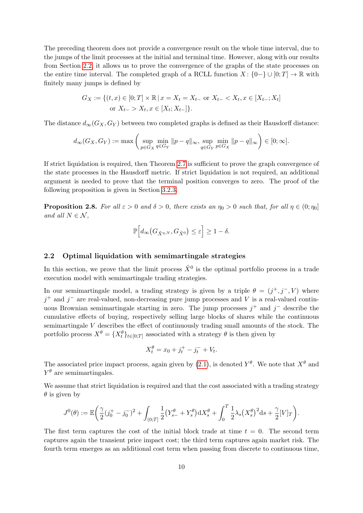The preceding theorem does not provide a convergence result on the whole time interval, due to the jumps of the limit processes at the initial and terminal time. However, along with our results from Section [2.2,](#page-9-0) it allows us to prove the convergence of the graphs of the state processes on the entire time interval. The completed graph of a RCLL function  $X: \{0-\}\cup[0;T]\to\mathbb{R}$  with finitely many jumps is defined by

$$
G_X := \{(t, x) \in [0; T] \times \mathbb{R} \mid x = X_t = X_{t-} \text{ or } X_{t-} < X_t, x \in [X_{t-}; X_t] \text{ or } X_{t-} > X_t, x \in [X_t; X_{t-}]\}.
$$

The distance  $d_{\infty}(G_X, G_Y)$  between two completed graphs is defined as their Hausdorff distance:

$$
d_{\infty}(G_X, G_Y) := \max\left(\sup_{p \in G_X} \min_{q \in G_Y} \|p - q\|_{\infty}, \sup_{q \in G_Y} \min_{p \in G_X} \|p - q\|_{\infty}\right) \in [0; \infty].
$$

If strict liquidation is required, then Theorem [2.7](#page-8-1) is sufficient to prove the graph convergence of the state processes in the Hausdorff metric. If strict liquidation is not required, an additional argument is needed to prove that the terminal position converges to zero. The proof of the following proposition is given in Section [3.2.3.](#page-19-0)

<span id="page-9-1"></span>**Proposition 2.8.** For all  $\varepsilon > 0$  and  $\delta > 0$ , there exists an  $\eta_0 > 0$  such that, for all  $\eta \in (0; \eta_0]$ and all  $N \in \mathcal{N}$ ,

$$
\mathbb{P}\Big[d_{\infty}\big(G_{\hat{X}^{\eta,N}},G_{\hat{X}^0}\big)\leq \varepsilon\Big]\geq 1-\delta.
$$

## <span id="page-9-0"></span>2.2 Optimal liquidation with semimartingale strategies

In this section, we prove that the limit process  $\hat{X}^0$  is the optimal portfolio process in a trade execution model with semimartingale trading strategies.

In our semimartingale model, a trading strategy is given by a triple  $\theta = (j^+, j^-, V)$  where  $j^+$  and  $j^-$  are real-valued, non-decreasing pure jump processes and V is a real-valued continuous Brownian semimartingale starting in zero. The jump processes  $j^+$  and  $j^-$  describe the cumulative effects of buying, respectively selling large blocks of shares while the continuous semimartingale V describes the effect of continuously trading small amounts of the stock. The portfolio process  $X^{\theta} = \{X_t^{\theta}\}_{t \in [0,T]}$  associated with a strategy  $\theta$  is then given by

$$
X_t^{\theta} = x_0 + j_t^+ - j_t^- + V_t.
$$

The associated price impact process, again given by [\(2.1\)](#page-3-3), is denoted  $Y^{\theta}$ . We note that  $X^{\theta}$  and  $Y^{\theta}$  are semimartingales.

We assume that strict liquidation is required and that the cost associated with a trading strategy  $\theta$  is given by

$$
J^{0}(\theta) := \mathbb{E}\bigg(\frac{\gamma}{2}(j_{0}^{+} - j_{0}^{-})^{2} + \int_{(0;T]} \frac{1}{2}(Y_{s-}^{\theta} + Y_{s}^{\theta})\mathrm{d}X_{s}^{\theta} + \int_{0}^{T} \frac{1}{2}\lambda_{s}(X_{s}^{\theta})^{2}\mathrm{d}s + \frac{\gamma}{2}[V]_{T}\bigg).
$$

The first term captures the cost of the initial block trade at time  $t = 0$ . The second term captures again the transient price impact cost; the third term captures again market risk. The fourth term emerges as an additional cost term when passing from discrete to continuous time,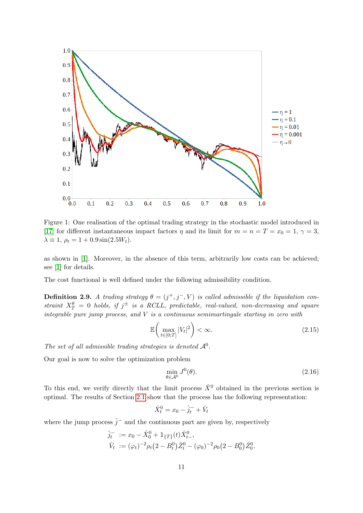

Figure 1: One realisation of the optimal trading strategy in the stochastic model introduced in [\[17\]](#page-41-10) for different instantaneous impact factors  $\eta$  and its limit for  $m = n = T = x_0 = 1, \gamma = 3$ ,  $\lambda \equiv 1, \rho_t = 1 + 0.9 \sin(2.5W_t).$ 

as shown in [\[1\]](#page-41-13). Moreover, in the absence of this term, arbitrarily low costs can be achieved; see [\[1\]](#page-41-13) for details.

The cost functional is well defined under the following admissibility condition.

**Definition 2.9.** A trading strategy  $\theta = (j^+, j^-, V)$  is called admissible if the liquidation constraint  $X_T^{\theta} = 0$  holds, if  $j^{\pm}$  is a RCLL, predictable, real-valued, non-decreasing and square integrable pure jump process, and V is a continuous semimartingale starting in zero with

$$
\mathbb{E}\left(\max_{t\in[0;T]}|V_t|^2\right)<\infty.\tag{2.15}
$$

The set of all admissible trading strategies is denoted  $A^0$ .

Our goal is now to solve the optimization problem

<span id="page-10-0"></span>
$$
\min_{\theta \in \mathcal{A}^0} J^0(\theta). \tag{2.16}
$$

To this end, we verify directly that the limit process  $\hat{X}^0$  obtained in the previous section is optimal. The results of Section [2.1](#page-3-1) show that the process has the following representation:

$$
\hat{X}_t^0 = x_0 - \hat{j}_t^- + \hat{V}_t
$$

where the jump process  $\hat{j}^-$  and the continuous part are given by, respectively

$$
\hat{j}_t^- := x_0 - \hat{X}_0^0 + \mathbb{1}_{\{T\}}(t)\hat{X}_{t-}^0,
$$
  

$$
\hat{V}_t := (\varphi_t)^{-2} \rho_t (2 - B_t^0) \hat{Z}_t^0 - (\varphi_0)^{-2} \rho_0 (2 - B_0^0) \hat{Z}_0^0.
$$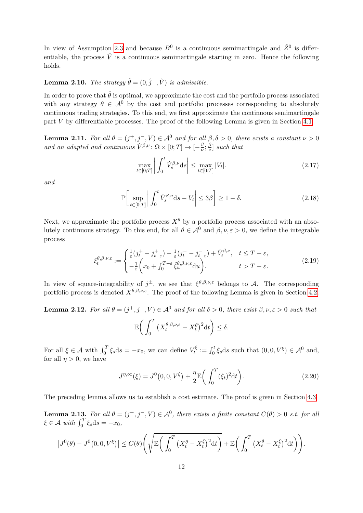In view of Assumption [2.3](#page-5-0) and because  $B^0$  is a continuous semimartingale and  $\hat{Z}^0$  is differentiable, the process  $\hat{V}$  is a continuous semimartingale starting in zero. Hence the following holds.

# **Lemma 2.10.** The strategy  $\hat{\theta} = (0, \hat{j}^-, \hat{V})$  is admissible.

In order to prove that  $\hat{\theta}$  is optimal, we approximate the cost and the portfolio process associated with any strategy  $\theta \in \mathcal{A}^0$  by the cost and portfolio processes corresponding to absolutely continuous trading strategies. To this end, we first approximate the continuous semimartingale part V by differentiable processes. The proof of the following Lemma is given in Section [4.1.](#page-21-1)

<span id="page-11-3"></span>**Lemma 2.11.** For all  $\theta = (j^+, j^-, V) \in \mathcal{A}^0$  and for all  $\beta, \delta > 0$ , there exists a constant  $\nu > 0$ and an adapted and continuous  $\dot{V}^{\beta,\nu}$ :  $\Omega \times [0;T] \rightarrow [-\frac{\beta}{\nu}]$  $\frac{\beta}{\nu}; \frac{\beta}{\nu}$  $\frac{\beta}{\nu}$  such that

<span id="page-11-5"></span><span id="page-11-4"></span>
$$
\max_{t \in [0;T]} \left| \int_0^t \dot{V}_s^{\beta,\nu} \, \mathrm{d}s \right| \le \max_{t \in [0;T]} |V_t|.
$$
\n
$$
(2.17)
$$

and

$$
\mathbb{P}\left[\sup_{t\in[0;T]}\left|\int_0^t \dot{V}_s^{\beta,\nu} \mathrm{d}s - V_t\right| \le 3\beta\right] \ge 1-\delta. \tag{2.18}
$$

Next, we approximate the portfolio process  $X^{\theta}$  by a portfolio process associated with an absolutely continuous strategy. To this end, for all  $\theta \in \mathcal{A}^0$  and  $\beta, \nu, \varepsilon > 0$ , we define the integrable process

$$
\xi_t^{\theta,\beta,\nu,\varepsilon} := \begin{cases} \frac{1}{\varepsilon} (j_t^+ - j_{t-\varepsilon}^+) - \frac{1}{\varepsilon} (j_t^- - j_{t-\varepsilon}^-) + \dot{V}_t^{\beta,\nu}, & t \le T - \varepsilon, \\ -\frac{1}{\varepsilon} \left( x_0 + \int_0^{T-\varepsilon} \tilde{\xi}_u^{\theta,\beta,\nu,\varepsilon} du \right), & t > T - \varepsilon. \end{cases}
$$
(2.19)

In view of square-integrability of  $j^{\pm}$ , we see that  $\xi^{\theta,\beta,\nu,\varepsilon}$  belongs to A. The corresponding portfolio process is denoted  $X^{\theta,\beta,\nu,\varepsilon}$ . The proof of the following Lemma is given in Section [4.2.](#page-23-0)

<span id="page-11-2"></span>**Lemma 2.12.** For all  $\theta = (j^+, j^-, V) \in A^0$  and for all  $\delta > 0$ , there exist  $\beta, \nu, \varepsilon > 0$  such that

<span id="page-11-0"></span>
$$
\mathbb{E}\bigg(\int_0^T \big(X_t^{\theta,\beta,\nu,\varepsilon}-X_t^{\theta}\big)^2 dt\bigg) \leq \delta.
$$

For all  $\xi \in \mathcal{A}$  with  $\int_0^T \xi_s ds = -x_0$ , we can define  $V_t^{\xi}$  $\mathcal{F}_t^{\xi} := \int_0^t \xi_s \, \mathrm{d}s$  such that  $(0, 0, V^{\xi}) \in \mathcal{A}^0$  and, for all  $n > 0$ , we have

$$
J^{\eta,\infty}(\xi) = J^0(0,0,V^{\xi}) + \frac{\eta}{2} \mathbb{E}\bigg(\int_0^T (\xi_t)^2 dt\bigg). \tag{2.20}
$$

The preceding lemma allows us to establish a cost estimate. The proof is given in Section [4.3.](#page-26-0)

<span id="page-11-1"></span>**Lemma 2.13.** For all  $\theta = (j^+, j^-, V) \in \mathcal{A}^0$ , there exists a finite constant  $C(\theta) > 0$  s.t. for all  $\xi \in \mathcal{A}$  with  $\int_0^T \xi_s \mathrm{d}s = -x_0$ ,

$$
\left|J^0(\theta) - J^0(0,0,V^{\xi})\right| \le C(\theta) \left(\sqrt{\mathbb{E}\bigg(\int_0^T \left(X_t^{\theta} - X_t^{\xi}\right)^2 dt\bigg)} + \mathbb{E}\bigg(\int_0^T \left(X_t^{\theta} - X_t^{\xi}\right)^2 dt\bigg)\right).
$$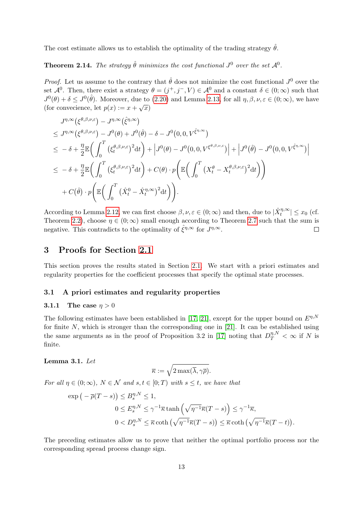The cost estimate allows us to establish the optimality of the trading strategy  $\hat{\theta}$ .

<span id="page-12-3"></span>**Theorem 2.14.** The strategy  $\hat{\theta}$  minimizes the cost functional  $J^0$  over the set  $\mathcal{A}^0$ .

*Proof.* Let us assume to the contrary that  $\hat{\theta}$  does not minimize the cost functional  $J^0$  over the set  $\mathcal{A}^0$ . Then, there exist a strategy  $\theta = (j^+, j^-, V) \in \mathcal{A}^0$  and a constant  $\delta \in (0, \infty)$  such that  $J^0(\theta) + \delta \leq J^0(\hat{\theta})$ . Moreover, due to [\(2.20\)](#page-11-0) and Lemma [2.13,](#page-11-1) for all  $\eta, \beta, \nu, \varepsilon \in (0, \infty)$ , we have (for convecience, let  $p(x) := x + \sqrt{x}$ )

$$
J^{\eta,\infty}(\xi^{\theta,\beta,\nu,\varepsilon}) - J^{\eta,\infty}(\hat{\xi}^{\eta,\infty})
$$
  
\n
$$
\leq J^{\eta,\infty}(\xi^{\theta,\beta,\nu,\varepsilon}) - J^0(\theta) + J^0(\hat{\theta}) - \delta - J^0(0,0,V^{\hat{\xi}^{\eta,\infty}})
$$
  
\n
$$
\leq -\delta + \frac{\eta}{2} \mathbb{E}\bigg(\int_0^T (\xi_t^{\theta,\beta,\nu,\varepsilon})^2 dt\bigg) + \bigg|J^0(\theta) - J^0(0,0,V^{\xi^{\theta,\beta,\nu,\varepsilon}})\bigg| + \bigg|J^0(\hat{\theta}) - J^0(0,0,V^{\hat{\xi}^{\eta,\infty}})\bigg|
$$
  
\n
$$
\leq -\delta + \frac{\eta}{2} \mathbb{E}\bigg(\int_0^T (\xi_t^{\theta,\beta,\nu,\varepsilon})^2 dt\bigg) + C(\theta) \cdot p \bigg(\mathbb{E}\bigg(\int_0^T (X_t^{\theta} - X_t^{\theta,\beta,\nu,\varepsilon})^2 dt\bigg)\bigg)
$$
  
\n
$$
+ C(\hat{\theta}) \cdot p \bigg(\mathbb{E}\bigg(\int_0^T (\hat{X}_t^0 - \hat{X}_t^{\eta,\infty})^2 dt\bigg)\bigg).
$$

According to Lemma [2.12,](#page-11-2) we can first choose  $\beta, \nu, \varepsilon \in (0, \infty)$  and then, due to  $|\hat{X}_t^{\eta, \infty}| \le x_0$  (cf. Theorem [2.2\)](#page-5-1), choose  $\eta \in (0, \infty)$  small enough according to Theorem [2.7](#page-8-1) such that the sum is negative. This contradicts to the optimality of  $\hat{\xi}^{\eta,\infty}$  for  $J^{\eta,\infty}$ .  $\Box$ 

# <span id="page-12-0"></span>3 Proofs for Section [2.1](#page-3-1)

This section proves the results stated in Section [2.1.](#page-3-1) We start with a priori estimates and regularity properties for the coefficient processes that specify the optimal state processes.

#### <span id="page-12-1"></span>3.1 A priori estimates and regularity properties

## 3.1.1 The case  $\eta > 0$

The following estimates have been established in [\[17,](#page-41-10) [21\]](#page-42-9), except for the upper bound on  $E^{\eta,N}$ for finite  $N$ , which is stronger than the corresponding one in [\[21\]](#page-42-9). It can be established using the same arguments as in the proof of Proposition 3.2 in [\[17\]](#page-41-10) noting that  $D_T^{\eta,N} < \infty$  if N is finite.

#### <span id="page-12-2"></span>Lemma 3.1. Let

$$
\overline{\kappa}:=\sqrt{2\max(\overline{\lambda},\gamma\overline{\rho})}.
$$

For all  $\eta \in (0; \infty)$ ,  $N \in \mathcal{N}$  and  $s, t \in [0; T)$  with  $s \leq t$ , we have that

$$
\exp\left(-\overline{\rho}(T-s)\right) \leq B_s^{\eta,N} \leq 1,
$$
  

$$
0 \leq E_s^{\eta,N} \leq \gamma^{-1}\overline{\kappa}\tanh\left(\sqrt{\eta^{-1}}\overline{\kappa}(T-s)\right) \leq \gamma^{-1}\overline{\kappa},
$$
  

$$
0 < D_s^{\eta,N} \leq \overline{\kappa}\coth\left(\sqrt{\eta^{-1}}\overline{\kappa}(T-s)\right) \leq \overline{\kappa}\coth\left(\sqrt{\eta^{-1}}\overline{\kappa}(T-t)\right).
$$

The preceding estimates allow us to prove that neither the optimal portfolio process nor the corresponding spread process change sign.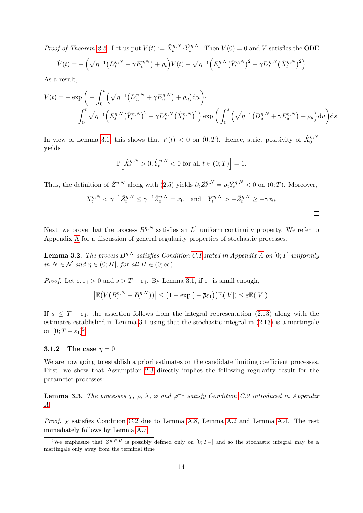*Proof of Theorem [2.2.](#page-5-1)* Let us put  $V(t) := \hat{X}_t^{\eta,N} \cdot \hat{Y}_t^{\eta,N}$ . Then  $V(0) = 0$  and V satisfies the ODE

$$
\dot{V}(t) = -\left(\sqrt{\eta^{-1}}\left(D_t^{\eta,N} + \gamma E_t^{\eta,N}\right) + \rho_t\right)V(t) - \sqrt{\eta^{-1}}\left(E_t^{\eta,N}\left(\hat{Y}_t^{\eta,N}\right)^2 + \gamma D_t^{\eta,N}\left(\hat{X}_t^{\eta,N}\right)^2\right)
$$

As a result,

$$
V(t) = - \exp \left( - \int_0^t \left( \sqrt{\eta^{-1}} \left( D_u^{\eta, N} + \gamma E_u^{\eta, N} \right) + \rho_u \right) du \right) \cdot
$$
  

$$
\int_0^t \sqrt{\eta^{-1}} \left( E_s^{\eta, N} (\hat{Y}_s^{\eta, N})^2 + \gamma D_s^{\eta, N} (\hat{X}_s^{\eta, N})^2 \right) \exp \left( \int_0^s \left( \sqrt{\eta^{-1}} \left( D_u^{\eta, N} + \gamma E_u^{\eta, N} \right) + \rho_u \right) du \right) ds.
$$

In view of Lemma [3.1,](#page-12-2) this shows that  $V(t) < 0$  on  $(0; T)$ . Hence, strict positivity of  $\hat{X}_0^{\eta, N}$ yields

$$
\mathbb{P}\Big[\hat{X}_t^{\eta,N} > 0, \hat{Y}_t^{\eta,N} < 0 \text{ for all } t \in (0;T)\Big] = 1.
$$

Thus, the definition of  $\hat{Z}^{\eta,N}$  along with [\(2.5\)](#page-4-1) yields  $\partial_t \hat{Z}^{\eta,N}_t = \rho_t \hat{Y}^{\eta,N}_t < 0$  on  $(0;T)$ . Moreover,

$$
\hat{X}_t^{\eta,N} < \gamma^{-1} \hat{Z}_t^{\eta,N} \leq \gamma^{-1} \hat{Z}_0^{\eta,N} = x_0
$$
 and  $\hat{Y}_t^{\eta,N} > -\hat{Z}_t^{\eta,N} \geq -\gamma x_0$ .

 $\Box$ 

Next, we prove that the process  $B^{\eta,N}$  satisfies an  $L^1$  uniform continuity property. We refer to Appendix [A](#page-28-0) for a discussion of general regularity properties of stochastic processes.

**Lemma 3.2.** The process  $B^{\eta,N}$  satisfies Condition [C.1](#page-28-1) stated in [A](#page-28-0)ppendix A on [0; T] uniformly in  $N \in \mathcal{N}$  and  $\eta \in (0; H]$ , for all  $H \in (0; \infty)$ .

*Proof.* Let  $\varepsilon, \varepsilon_1 > 0$  and  $s > T - \varepsilon_1$ . By Lemma [3.1,](#page-12-2) if  $\varepsilon_1$  is small enough,

$$
\left|\mathbb{E}\big(V\big(B_{\tau}^{\eta,N}-B_s^{\eta,N}\big)\big)\right|\leq \left(1-\exp\big(-\overline{\rho}\varepsilon_1\big)\right)\mathbb{E}(|V|)\leq \varepsilon\mathbb{E}(|V|).
$$

If  $s \leq T - \varepsilon_1$ , the assertion follows from the integral representation [\(2.13\)](#page-7-2) along with the estimates established in Lemma [3.1](#page-12-2) using that the stochastic integral in [\(2.13\)](#page-7-2) is a martingale on  $[0; T - \varepsilon_1]^5$  $[0; T - \varepsilon_1]^5$ .  $\Box$ 

#### <span id="page-13-0"></span>3.1.2 The case  $\eta = 0$

We are now going to establish a priori estimates on the candidate limiting coefficient processes. First, we show that Assumption [2.3](#page-5-0) directly implies the following regularity result for the parameter processes:

<span id="page-13-2"></span>**Lemma 3.3.** The processes  $\chi$ ,  $\rho$ ,  $\lambda$ ,  $\varphi$  and  $\varphi^{-1}$  satisfy Condition [C.2](#page-28-2) introduced in Appendix [A.](#page-28-0)

*Proof.*  $\chi$  satisfies Condition [C.2](#page-28-2) due to Lemma [A.8,](#page-30-0) Lemma [A.2](#page-28-3) and Lemma [A.4.](#page-29-0) The rest immediately follows by Lemma [A.7.](#page-30-1)  $\Box$ 

<span id="page-13-1"></span><sup>&</sup>lt;sup>5</sup>We emphasize that  $Z^{\eta,N,B}$  is possibly defined only on [0; T-] and so the stochastic integral may be a martingale only away from the terminal time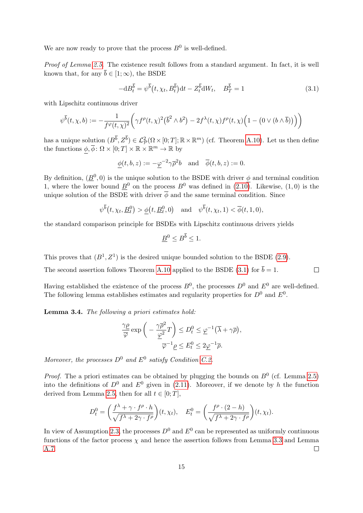We are now ready to prove that the process  $B^0$  is well-defined.

Proof of Lemma [2.5.](#page-7-0) The existence result follows from a standard argument. In fact, it is well known that, for any  $\bar{b} \in [1; \infty)$ , the BSDE

<span id="page-14-0"></span>
$$
-\mathrm{d}B_t^{\overline{b}} = \psi^{\overline{b}}(t, \chi_t, B_t^{\overline{b}})\mathrm{d}t - Z_t^{\overline{b}}\mathrm{d}W_t, \quad B_T^{\overline{b}} = 1 \tag{3.1}
$$

 $\Box$ 

with Lipschitz continuous driver

$$
\psi^{\overline{b}}(t,\chi,b) := -\frac{1}{f^{\varphi}(t,\chi)^2} \left( \gamma f^{\rho}(t,\chi)^2 (\overline{b}^2 \wedge b^2) - 2f^{\lambda}(t,\chi)f^{\rho}(t,\chi) \Big( 1 - \big( 0 \vee (b \wedge \overline{b}) \big) \Big) \right)
$$

has a unique solution  $(B^{\overline{b}}, Z^{\overline{b}}) \in \mathcal{L}_{\mathcal{P}}^2(\Omega \times [0; T]; \mathbb{R} \times \mathbb{R}^m)$  (cf. Theorem [A.10\)](#page-31-0). Let us then define the functions  $\phi, \overline{\phi} \colon \Omega \times [0; T] \times \mathbb{R} \times \mathbb{R}^m \to \mathbb{R}$  by

$$
\underline{\phi}(t,b,z):=-\underline{\varphi}^{-2}\gamma\overline{\rho}^{2}b\quad\text{and}\quad\overline{\phi}(t,b,z):=0.
$$

By definition,  $(\underline{B}^0, 0)$  is the unique solution to the BSDE with driver  $\phi$  and terminal condition 1, where the lower bound  $\underline{B}^0$  on the process  $B^0$  was defined in  $(2.10)$ . Likewise,  $(1,0)$  is the unique solution of the BSDE with driver  $\overline{\phi}$  and the same terminal condition. Since

$$
\psi^{\overline{b}}(t, \chi_t, \underline{B}_t^0) > \underline{\phi}(t, \underline{B}_t^0, 0)
$$
 and  $\psi^{\overline{b}}(t, \chi_t, 1) < \overline{\phi}(t, 1, 0)$ ,

the standard comparison principle for BSDEs with Lipschitz continuous drivers yields

$$
\underline{B}^0 \le B^{\overline{b}} \le 1.
$$

This proves that  $(B^1, Z^1)$  is the desired unique bounded solution to the BSDE [\(2.9\)](#page-7-4).

The second assertion follows Theorem [A.10](#page-31-0) applied to the BSDE [\(3.1\)](#page-14-0) for  $\bar{b} = 1$ .

Having established the existence of the process  $B^0$ , the processes  $D^0$  and  $E^0$  are well-defined. The following lemma establishes estimates and regularity properties for  $D^0$  and  $E^0$ .

<span id="page-14-1"></span>Lemma 3.4. The following a priori estimates hold:

$$
\frac{\gamma \underline{\rho}}{\overline{\varphi}} \exp\bigg(-\frac{\gamma \overline{\rho}^2}{\underline{\varphi}^2} T\bigg) \leq D_t^0 \leq \underline{\varphi}^{-1} (\overline{\lambda} + \gamma \overline{\rho}),
$$

$$
\overline{\varphi}^{-1} \underline{\rho} \leq E_t^0 \leq 2\underline{\varphi}^{-1} \overline{\rho}.
$$

Moreover, the processes  $D^0$  and  $E^0$  satisfy Condition [C.2.](#page-28-2)

*Proof.* The a priori estimates can be obtained by plugging the bounds on  $B^0$  (cf. Lemma [2.5\)](#page-7-0) into the definitions of  $D^0$  and  $E^0$  given in [\(2.11\)](#page-7-5). Moreover, if we denote by h the function derived from Lemma [2.5,](#page-7-0) then for all  $t \in [0; T]$ ,

$$
D_t^0 = \left(\frac{f^{\lambda} + \gamma \cdot f^{\rho} \cdot h}{\sqrt{f^{\lambda} + 2\gamma \cdot f^{\rho}}}\right)(t, \chi_t), \quad E_t^0 = \left(\frac{f^{\rho} \cdot (2 - h)}{\sqrt{f^{\lambda} + 2\gamma \cdot f^{\rho}}}\right)(t, \chi_t).
$$

In view of Assumption [2.3,](#page-5-0) the processes  $D^0$  and  $E^0$  can be represented as uniformly continuous functions of the factor process  $\chi$  and hence the assertion follows from Lemma [3.3](#page-13-2) and Lemma [A.7.](#page-30-1)  $\Box$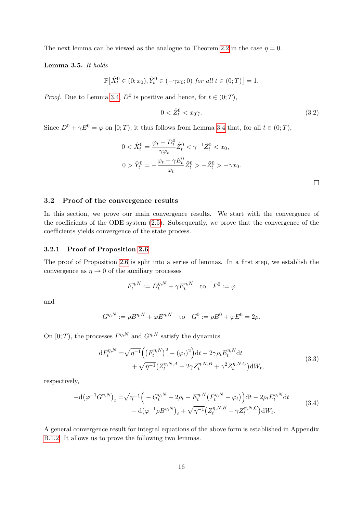The next lemma can be viewed as the analogue to Theorem [2.2](#page-5-1) in the case  $\eta = 0$ .

<span id="page-15-3"></span>Lemma 3.5. It holds

$$
\mathbb{P}\big[\hat{X}_t^0 \in (0; x_0), \hat{Y}_t^0 \in (-\gamma x_0; 0) \text{ for all } t \in (0; T)\big] = 1.
$$

*Proof.* Due to Lemma [3.4,](#page-14-1)  $D^0$  is positive and hence, for  $t \in (0, T)$ ,

$$
0 < \hat{Z}_t^0 < x_0 \gamma. \tag{3.2}
$$

Since  $D^0 + \gamma E^0 = \varphi$  on  $[0; T)$ , it thus follows from Lemma [3.4](#page-14-1) that, for all  $t \in (0; T)$ ,

$$
0 < \hat{X}_t^0 = \frac{\varphi_t - D_t^0}{\gamma \varphi_t} \hat{Z}_t^0 < \gamma^{-1} \hat{Z}_t^0 < x_0,
$$
\n
$$
0 > \hat{Y}_t^0 = -\frac{\varphi_t - \gamma E_t^0}{\varphi_t} \hat{Z}_t^0 > -\hat{Z}_t^0 > -\gamma x_0.
$$

## 3.2 Proof of the convergence results

In this section, we prove our main convergence results. We start with the convergence of the coefficients of the ODE system [\(2.5\)](#page-4-1). Subsequently, we prove that the convergence of the coefficients yields convergence of the state process.

#### <span id="page-15-0"></span>3.2.1 Proof of Proposition [2.6](#page-7-1)

The proof of Proposition [2.6](#page-7-1) is split into a series of lemmas. In a first step, we establish the convergence as  $\eta \to 0$  of the auxiliary processes

$$
F_t^{\eta,N} := D_t^{\eta,N} + \gamma E_t^{\eta,N} \quad \text{to} \quad F^0 := \varphi
$$

and

$$
G^{\eta,N} := \rho B^{\eta,N} + \varphi E^{\eta,N}
$$
 to  $G^0 := \rho B^0 + \varphi E^0 = 2\rho$ .

<span id="page-15-1"></span>On  $[0; T)$ , the processes  $F^{\eta, N}$  and  $G^{\eta, N}$  satisfy the dynamics

$$
dF_t^{\eta,N} = \sqrt{\eta^{-1}} \Big( \big( F_t^{\eta,N} \big)^2 - (\varphi_t)^2 \Big) dt + 2\gamma \rho_t E_t^{\eta,N} dt + \sqrt{\eta^{-1}} \big( Z_t^{\eta,N,A} - 2\gamma Z_t^{\eta,N,B} + \gamma^2 Z_t^{\eta,N,C} \big) dW_t,
$$
(3.3)

<span id="page-15-2"></span>respectively,

$$
-d(\varphi^{-1}G^{\eta,N})_t = \sqrt{\eta^{-1}} \Big( -G_t^{\eta,N} + 2\rho_t - E_t^{\eta,N} \big( F_t^{\eta,N} - \varphi_t \big) \Big) dt - 2\rho_t E_t^{\eta,N} dt -d(\varphi^{-1} \rho B^{\eta,N})_t + \sqrt{\eta^{-1}} \big( Z_t^{\eta,N,B} - \gamma Z_t^{\eta,N,C} \big) dW_t.
$$
(3.4)

A general convergence result for integral equations of the above form is established in Appendix [B.1.2.](#page-35-0) It allows us to prove the following two lemmas.

 $\Box$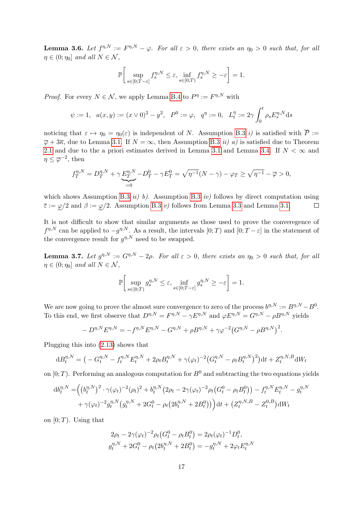<span id="page-16-0"></span>**Lemma 3.6.** Let  $f^{\eta,N} := F^{\eta,N} - \varphi$ . For all  $\varepsilon > 0$ , there exists an  $\eta_0 > 0$  such that, for all  $\eta \in (0; \eta_0]$  and all  $N \in \mathcal{N}$ ,

$$
\mathbb{P}\bigg[\sup_{s\in[0;T-\varepsilon]}f_s^{\eta,N}\leq\varepsilon,\inf_{s\in[0;T)}f_s^{\eta,N}\geq-\varepsilon\bigg]=1.
$$

*Proof.* For every  $N \in \mathcal{N}$ , we apply Lemma [B.4](#page-36-0) to  $P^{\eta} := F^{\eta, N}$  with

$$
\psi := 1, \quad a(x, y) := (x \vee 0)^2 - y^2, \quad P^0 := \varphi, \quad q^{\eta} := 0, \quad L_t^{\eta} := 2\gamma \int_0^t \rho_s E_s^{\eta, N} ds
$$

noticing that  $\varepsilon \mapsto \eta_0 = \eta_0(\varepsilon)$  is independent of N. Assumption [B.3](#page-35-1) i) is satisfied with  $\overline{P} :=$  $\overline{\varphi}$  + 3 $\overline{\kappa}$ , due to Lemma [3.1.](#page-12-2) If  $N = \infty$ , then Assumption [B.3](#page-35-1) *ii*) *a*) is satisfied due to Theorem [2.1](#page-4-2) and due to the a priori estimates derived in Lemma [3.1](#page-12-2) and Lemma [3.4.](#page-14-1) If  $N < \infty$  and  $\eta \leq \overline{\varphi}^{-2}$ , then

$$
f_T^{\eta,N} = D_T^{\eta,N} + \gamma \underbrace{E_T^{\eta,N}}_{=0} - D_T^0 - \gamma E_T^0 = \sqrt{\eta^{-1}}(N-\gamma) - \varphi_T \ge \sqrt{\eta^{-1}} - \overline{\varphi} > 0,
$$

which shows Assumption [B.3](#page-35-1)  $ii)$  b). Assumption B.3  $iv)$  follows by direct computation using  $\bar{\varepsilon} := \varphi/2$  and  $\beta := \varphi/2$ . Assumption [B.3](#page-35-1) v) follows from Lemma [3.3](#page-13-2) and Lemma [3.1.](#page-12-2)  $\Box$ 

It is not difficult to show that similar arguments as those used to prove the converegence of  $f^{\eta,N}$  can be applied to  $-g^{\eta,N}$ . As a result, the intervals  $[0;T)$  and  $[0;T-\varepsilon]$  in the statement of the convergence result for  $g^{\eta,N}$  need to be swapped.

<span id="page-16-1"></span>**Lemma 3.7.** Let  $g^{\eta,N} := G^{\eta,N} - 2\rho$ . For all  $\varepsilon > 0$ , there exists an  $\eta_0 > 0$  such that, for all  $\eta \in (0; \eta_0]$  and all  $N \in \mathcal{N}$ ,

$$
\mathbb{P}\bigg[\sup_{s\in[0;T)} g_s^{\eta,N} \leq \varepsilon, \inf_{s\in[0;T-\varepsilon]} g_s^{\eta,N} \geq -\varepsilon\bigg] = 1.
$$

We are now going to prove the almost sure convergence to zero of the process  $b^{\eta,N} := B^{\eta,N} - B^0$ . To this end, we first observe that  $D^{n,N} = F^{n,N} - \gamma E^{n,N}$  and  $\varphi E^{n,N} = G^{n,N} - \rho B^{n,N}$  yields

$$
- D^{\eta,N} E^{\eta,N} = -f^{\eta,N} E^{\eta,N} - G^{\eta,N} + \rho B^{\eta,N} + \gamma \varphi^{-2} (G^{\eta,N} - \rho B^{\eta,N})^2.
$$

Plugging this into [\(2.13\)](#page-7-2) shows that

$$
dB_t^{\eta,N} = \left( -G_t^{\eta,N} - f_t^{\eta,N} E_t^{\eta,N} + 2\rho_t B_t^{\eta,N} + \gamma(\varphi_t)^{-2} \left( G_t^{\eta,N} - \rho_t B_t^{\eta,N} \right)^2 \right) dt + Z_t^{\eta,N,B} dW_t
$$

on  $[0; T)$ . Performing an analogous computation for  $B^0$  and subtracting the two equations yields

$$
db_t^{\eta,N} = \left( \left( b_t^{\eta,N} \right)^2 \cdot \gamma(\varphi_t)^{-2} (\rho_t)^2 + b_t^{\eta,N} (2\rho_t - 2\gamma(\varphi_t)^{-2} \rho_t (G_t^0 - \rho_t B_t^0)) - f_t^{\eta,N} E_t^{\eta,N} - g_t^{\eta,N} + \gamma(\varphi_t)^{-2} g_t^{\eta,N} (g_t^{\eta,N} + 2G_t^0 - \rho_t (2b_t^{\eta,N} + 2B_t^0)) \right) dt + \left( Z_t^{\eta,N,B} - Z_t^{0,B} \right) dW_t
$$

on  $[0; T)$ . Using that

$$
2\rho_t - 2\gamma(\varphi_t)^{-2} \rho_t (G_t^0 - \rho_t B_t^0) = 2\rho_t (\varphi_t)^{-1} D_t^0,
$$
  

$$
g_t^{\eta, N} + 2G_t^0 - \rho_t (2b_t^{\eta, N} + 2B_t^0) = -g_t^{\eta, N} + 2\varphi_t E_t^{\eta, N}
$$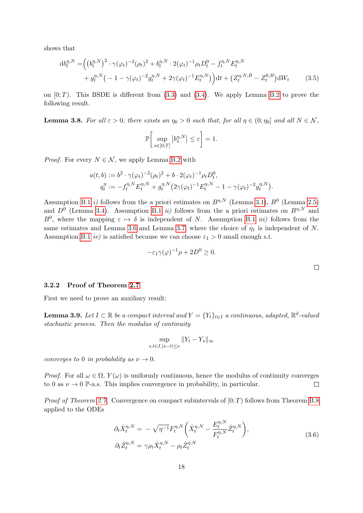shows that

$$
db_t^{\eta,N} = \left( \left( b_t^{\eta,N} \right)^2 \cdot \gamma(\varphi_t)^{-2} (\rho_t)^2 + b_t^{\eta,N} \cdot 2(\varphi_t)^{-1} \rho_t D_t^0 - f_t^{\eta,N} E_t^{\eta,N} + g_t^{\eta,N} \left( -1 - \gamma(\varphi_t)^{-2} g_t^{\eta,N} + 2\gamma(\varphi_t)^{-1} E_t^{\eta,N} \right) \right) dt + \left( Z_t^{\eta,N,B} - Z_t^{0,B} \right) dW_t
$$
(3.5)

on  $[0; T)$ . This BSDE is different from  $(3.3)$  and  $(3.4)$ . We apply Lemma [B.2](#page-34-0) to prove the following result.

**Lemma 3.8.** For all  $\varepsilon > 0$ , there exists an  $\eta_0 > 0$  such that, for all  $\eta \in (0; \eta_0]$  and all  $N \in \mathcal{N}$ ,

$$
\mathbb{P}\bigg[\sup_{s\in[0;T]}\big|b_s^{\eta,N}\big|\leq \varepsilon\bigg]=1.
$$

*Proof.* For every  $N \in \mathcal{N}$ , we apply Lemma [B.2](#page-34-0) with

$$
a(t,b) := b^2 \cdot \gamma(\varphi_t)^{-2} (\rho_t)^2 + b \cdot 2(\varphi_t)^{-1} \rho_t D_t^0,
$$
  
\n
$$
q_t^\eta := -f_t^{\eta,N} E_t^{\eta,N} + g_t^{\eta,N} (2\gamma(\varphi_t)^{-1} E_t^{\eta,N} - 1 - \gamma(\varphi_t)^{-2} g_t^{\eta,N}).
$$

Assumption [B.1](#page-33-1) *i*) follows from the a priori estimates on  $B^{\eta,N}$  (Lemma [3.1\)](#page-12-2),  $B^0$  (Lemma [2.5\)](#page-7-0) and  $D^0$  (Lemma [3.4\)](#page-14-1). Assumption [B.1](#page-33-1) *ii*) follows from the a priori estimates on  $B^{\eta,N}$  and  $B^0$ , where the mapping  $\varepsilon \mapsto \delta$  is independent of N. Assumption [B.1](#page-33-1) *iii*) follows from the same estimates and Lemma [3.6](#page-16-0) and Lemma [3.7,](#page-16-1) where the choice of  $\eta_1$  is independent of N. Assumption [B.1](#page-33-1) *iv*) is satisfied because we can choose  $\varepsilon_1 > 0$  small enough s.t.

$$
-\varepsilon_1 \gamma(\varphi)^{-1} \rho + 2D^0 \ge 0.
$$

## <span id="page-17-0"></span>3.2.2 Proof of Theorem [2.7](#page-8-1)

First we need to prove an auxiliary result:

<span id="page-17-1"></span>**Lemma 3.9.** Let  $I \subset \mathbb{R}$  be a compact interval and  $Y = \{Y_t\}_{t \in I}$  a continuous, adapted,  $\mathbb{R}^d$ -valued stochastic process. Then the modulus of continuity

$$
\sup_{s,t\in I,|s-t|\leq \nu} \|Y_t - Y_s\|_{\infty}
$$

converges to 0 in probability as  $\nu \rightarrow 0$ .

*Proof.* For all  $\omega \in \Omega$ ,  $Y(\omega)$  is uniformly continuous, hence the modulus of continuity converges to 0 as  $\nu \to 0$  P-a.s. This implies convergence in probability, in particular.  $\Box$ 

*Proof of Theorem [2.7.](#page-8-1)* Convergence on compact subintervals of  $[0; T)$  follows from Theorem [B.8](#page-40-0) applied to the ODEs

$$
\partial_t \hat{X}_t^{\eta, N} = -\sqrt{\eta^{-1}} F_t^{\eta, N} \left( \hat{X}_t^{\eta, N} - \frac{E_t^{\eta, N}}{F_t^{\eta, N}} \hat{Z}_t^{\eta, N} \right),
$$
  
\n
$$
\partial_t \hat{Z}_t^{\eta, N} = \gamma \rho_t \hat{X}_t^{\eta, N} - \rho_t \hat{Z}_t^{\eta, N}
$$
\n(3.6)

<span id="page-17-2"></span> $\Box$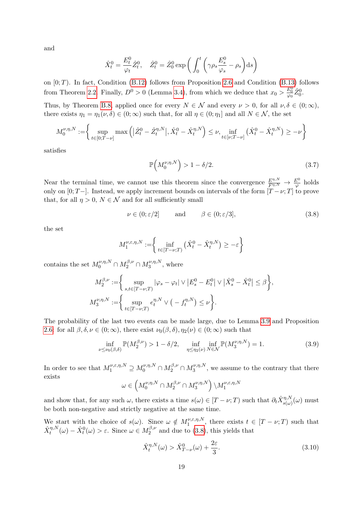and

$$
\hat{X}_t^0 = \frac{E_t^0}{\varphi_t} \hat{Z}_t^0, \quad \hat{Z}_t^0 = \hat{Z}_0^0 \exp\left(\int_0^t \left(\gamma \rho_s \frac{E_s^0}{\varphi_s} - \rho_s\right) \mathrm{d}s\right)
$$

on  $[0; T)$ . In fact, Condition  $(B.12)$  follows from Proposition [2.6](#page-7-1) and Condition  $(B.13)$  follows from Theorem [2.2.](#page-5-1) Finally,  $D^0 > 0$  (Lemma [3.4\)](#page-14-1), from which we deduce that  $x_0 > \frac{E_0^0}{\varphi_0} \hat{Z}_0^0$ .

Thus, by Theorem [B.8,](#page-40-0) applied once for every  $N \in \mathcal{N}$  and every  $\nu > 0$ , for all  $\nu, \delta \in (0, \infty)$ , there exists  $\eta_1 = \eta_1(\nu, \delta) \in (0, \infty)$  such that, for all  $\eta \in (0, \eta_1]$  and all  $N \in \mathcal{N}$ , the set

$$
M_0^{\nu,\eta,N} := \left\{ \sup_{t \in [0;T-\nu]} \max \left( \left| \hat{Z}_t^0 - \hat{Z}_t^{\eta,N} \right|, \hat{X}_t^0 - \hat{X}_t^{\eta,N} \right) \le \nu, \inf_{t \in [\nu;T-\nu]} \left( \hat{X}_t^0 - \hat{X}_t^{\eta,N} \right) \ge -\nu \right\}
$$

satisfies

<span id="page-18-1"></span><span id="page-18-0"></span>
$$
\mathbb{P}\left(M_0^{\nu,\eta,N}\right) > 1 - \delta/2. \tag{3.7}
$$

Near the terminal time, we cannot use this theorem since the convergence  $\frac{E^{\eta,N}}{F^{\eta,N}} \to \frac{E^0}{\varphi}$  holds only on [0; T−]. Instead, we apply increment bounds on intervals of the form  $[T - \nu; T]$  to prove that, for all  $\eta > 0$ ,  $N \in \mathcal{N}$  and for all sufficiently small

$$
\nu \in (0; \varepsilon/2] \quad \text{and} \quad \beta \in (0; \varepsilon/3], \tag{3.8}
$$

the set

$$
M_1^{\nu,\varepsilon,\eta,N} := \left\{ \inf_{t \in [T-\nu;T)} \left( \hat{X}_t^0 - \hat{X}_t^{\eta,N} \right) \ge -\varepsilon \right\}
$$

contains the set  $M^{\nu,\eta,N}_{0}\cap M^{\beta,\nu}_{2}\cap M^{\nu,\eta,N}_{3}$  $3^{(\nu,\eta,N)}$ , where

$$
M_2^{\beta,\nu} := \left\{ \sup_{s,t \in [T-\nu;T)} |\varphi_s - \varphi_t| \vee |E_s^0 - E_t^0| \vee |\hat{X}_s^0 - \hat{X}_t^0| \le \beta \right\},\newline M_3^{\nu,\eta,N} := \left\{ \sup_{t \in [T-\nu;T)} e_t^{\eta,N} \vee (-f_t^{\eta,N}) \le \nu \right\}.
$$

The probability of the last two events can be made large, due to Lemma [3.9](#page-17-1) and Proposition [2.6:](#page-7-1) for all  $\beta, \delta, \nu \in (0; \infty)$ , there exist  $\nu_0(\beta, \delta), \eta_2(\nu) \in (0; \infty)$  such that

$$
\inf_{\nu \le \nu_0(\beta,\delta)} \mathbb{P}(M_2^{\beta,\nu}) > 1 - \delta/2, \quad \inf_{\eta \le \eta_2(\nu)} \inf_{N \in \mathcal{N}} \mathbb{P}(M_3^{\nu,\eta,N}) = 1.
$$
 (3.9)

In order to see that  $M_1^{\nu,\varepsilon,\eta,N}\supseteq M_0^{\nu,\eta,N}\cap M_2^{\beta,\nu}\cap M_3^{\nu,\eta,N}$  $3^{D,\eta,N}$ , we assume to the contrary that there exists

$$
\omega \in \left( M_0^{\nu,\eta,N}\cap M_2^{\beta,\nu}\cap M_3^{\nu,\eta,N}\right) \backslash M_1^{\nu,\varepsilon,\eta,N}
$$

and show that, for any such  $\omega$ , there exists a time  $s(\omega) \in [T - \nu; T)$  such that  $\partial_t \hat{X}_{s(\omega)}^{\eta, N}(\omega)$  must be both non-negative and strictly negative at the same time.

We start with the choice of  $s(\omega)$ . Since  $\omega \notin M_1^{\nu,\varepsilon,\eta,N}$  $t^{(\nu,\varepsilon,\eta,N)}$ , there exists  $t \in [T-\nu;T)$  such that  $\hat{X}^{\eta,N}_t(\omega) - \hat{X}^0_t(\omega) > \varepsilon$ . Since  $\omega \in M_2^{\beta,\nu}$  $2^{p,\nu}$  and due to [\(3.8\)](#page-18-0), this yields that

$$
\hat{X}_t^{\eta,N}(\omega) > \hat{X}_{T-\nu}^0(\omega) + \frac{2\varepsilon}{3}.\tag{3.10}
$$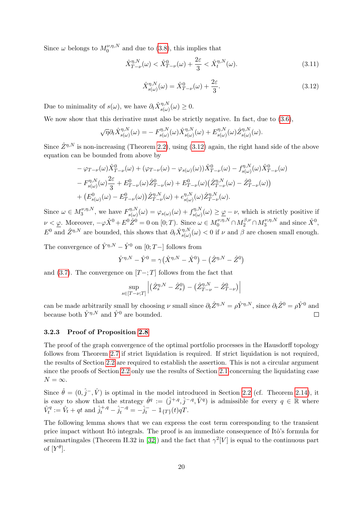Since  $\omega$  belongs to  $M_0^{\nu,\eta,N}$  $_{0}^{\nu,\eta,\text{iv}}$  and due to [\(3.8\)](#page-18-0), this implies that

$$
\hat{X}_{T-\nu}^{\eta,N}(\omega) < \hat{X}_{T-\nu}^0(\omega) + \frac{2\varepsilon}{3} < \hat{X}_t^{\eta,N}(\omega). \tag{3.11}
$$

<span id="page-19-1"></span>
$$
\hat{X}_{s(\omega)}^{\eta,N}(\omega) = \hat{X}_{T-\nu}^0(\omega) + \frac{2\varepsilon}{3}.\tag{3.12}
$$

Due to minimality of  $s(\omega)$ , we have  $\partial_t \hat{X}_{s(\omega)}^{\eta,N}(\omega) \geq 0$ .

We now show that this derivative must also be strictly negative. In fact, due to  $(3.6)$ ,

$$
\sqrt{\eta}\partial_t \hat{X}_{s(\omega)}^{\eta,N}(\omega) = - F_{s(\omega)}^{\eta,N}(\omega) \hat{X}_{s(\omega)}^{\eta,N}(\omega) + E_{s(\omega)}^{\eta,N}(\omega) \hat{Z}_{s(\omega)}^{\eta,N}(\omega).
$$

Since  $\hat{Z}^{\eta,N}$  is non-increasing (Theorem [2.2\)](#page-5-1), using [\(3.12\)](#page-19-1) again, the right hand side of the above equation can be bounded from above by

$$
-\varphi_{T-\nu}(\omega)\hat{X}_{T-\nu}^{0}(\omega) + (\varphi_{T-\nu}(\omega) - \varphi_{s(\omega)}(\omega))\hat{X}_{T-\nu}^{0}(\omega) - f_{s(\omega)}^{\eta,N}(\omega)\hat{X}_{T-\nu}^{0}(\omega) - F_{s(\omega)}^{\eta,N}(\omega)\frac{2\varepsilon}{3} + E_{T-\nu}^{0}(\omega)\hat{Z}_{T-\nu}^{0}(\omega) + E_{T-\nu}^{0}(\omega)\left(\hat{Z}_{T-\nu}^{\eta,N}(\omega) - \hat{Z}_{T-\nu}^{0}(\omega)\right) + \left(E_{s(\omega)}^{0}(\omega) - E_{T-\nu}^{0}(\omega)\right)\hat{Z}_{T-\nu}^{\eta,N}(\omega) + e_{s(\omega)}^{\eta,N}(\omega)\hat{Z}_{T-\nu}^{\eta,N}(\omega).
$$

Since  $\omega \in M_3^{\nu, \eta, N}$  $F_3^{\nu,\eta,N}$ , we have  $F_{s(\omega)}^{\eta,N}$  $\zeta_{s(\omega)}^{\eta,N}(\omega) = \varphi_{s(\omega)}(\omega) + f_{s(\omega)}^{\eta,N}$  $\mathcal{L}_{s(\omega)}^{\eta,N}(\omega) \geq \underline{\varphi} - \nu$ , which is strictly positive if  $\nu < \underline{\varphi}$ . Moreover,  $-\varphi \hat{X}^0 + E^0 \hat{Z}^0 = 0$  on  $[0;T)$ . Since  $\omega \in M_0^{\nu, \eta, N} \cap M_2^{\beta, \nu} \cap M_3^{\nu, \eta, N}$  $\hat{X}^{v,\eta,N}$  and since  $\hat{X}^0$ ,  $E^0$  and  $\hat{Z}^{\eta,N}$  are bounded, this shows that  $\partial_t \hat{X}_{s(\omega)}^{\eta,N}(\omega) < 0$  if  $\nu$  and  $\beta$  are chosen small enough.

The convergence of  $\hat{Y}^{\eta,N} - \hat{Y}^0$  on [0; T–] follows from

$$
\hat{Y}^{\eta,N} - \hat{Y}^0 = \gamma (\hat{X}^{\eta,N} - \hat{X}^0) - (\hat{Z}^{\eta,N} - \hat{Z}^0)
$$

and [\(3.7\)](#page-18-1). The convergence on  $[T-;T]$  follows from the fact that

$$
\sup_{s \in [T-\nu;T]} \left| \left( \hat{Z}_{s}^{\eta,N} - \hat{Z}_{s}^{0} \right) - \left( \hat{Z}_{T-\nu}^{\eta,N} - \hat{Z}_{T-\nu}^{0} \right) \right|
$$

can be made arbitrarily small by choosing  $\nu$  small since  $\partial_t \hat{Z}^{\eta,N} = \rho \hat{Y}^{\eta,N}$ , since  $\partial_t \hat{Z}^0 = \rho \hat{Y}^0$  and because both  $\hat{Y}^{\eta,N}$  and  $\hat{Y}^0$  are bounded.

## <span id="page-19-0"></span>3.2.3 Proof of Proposition [2.8](#page-9-1)

The proof of the graph convergence of the optimal portfolio processes in the Hausdorff topology follows from Theorem [2.7](#page-8-1) if strict liquidation is required. If strict liquidation is not required, the results of Section [2.2](#page-9-0) are required to establish the assertion. This is not a circular argument since the proofs of Section [2.2](#page-9-0) only use the results of Section [2.1](#page-3-1) concerning the liquidating case  $N = \infty$ .

Since  $\hat{\theta} = (0, \hat{j}^-, \hat{V})$  is optimal in the model introduced in Section [2.2](#page-9-0) (cf. Theorem [2.14\)](#page-12-3), it is easy to show that the strategy  $\hat{\theta}^q := (\hat{j}^{+,q}, \hat{j}^{-,q}, \hat{V}^q)$  is admissible for every  $q \in \mathbb{R}$  where  $\hat{V}_t^q := \hat{V}_t + qt$  and  $\hat{j}_t^{+,q} - \hat{j}_t^{-,q} = -\hat{j}_t^- - \mathbb{1}_{\{T\}}(t)qT$ .

The following lemma shows that we can express the cost term corresponding to the transient price impact without Itô integrals. The proof is an immediate consequence of Itô's formula for semimartingales (Theorem II.32 in [\[32\]](#page-42-13)) and the fact that  $\gamma^2|V|$  is equal to the continuous part of  $[Y^{\theta}].$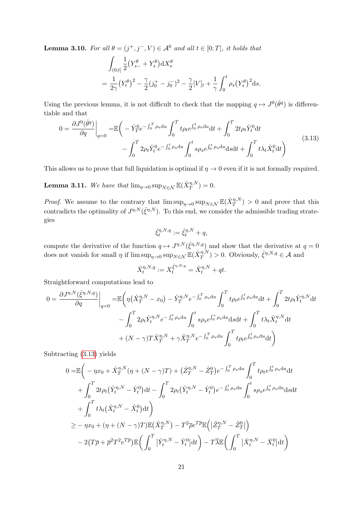<span id="page-20-2"></span>**Lemma 3.10.** For all  $\theta = (j^+, j^-, V) \in \mathcal{A}^0$  and all  $t \in [0; T]$ , it holds that

$$
\int_{(0;t]} \frac{1}{2} (Y_{s-}^{\theta} + Y_s^{\theta}) dX_s^{\theta}
$$
  
=  $\frac{1}{2\gamma} (Y_t^{\theta})^2 - \frac{\gamma}{2} (j_0^+ - j_0^-)^2 - \frac{\gamma}{2} [V]_t + \frac{1}{\gamma} \int_0^t \rho_s (Y_s^{\theta})^2 ds.$ 

Using the previous lemma, it is not difficult to check that the mapping  $q \mapsto J^0(\hat{\theta}^q)$  is differentiable and that

$$
0 = \frac{\partial J^{0}(\hat{\theta}^{q})}{\partial q}\Big|_{q=0} = \mathbb{E}\bigg(-\hat{Y}_{T}^{0}e^{-\int_{0}^{T}\rho_{u}\mathrm{d}u}\int_{0}^{T}t\rho_{t}e^{\int_{0}^{t}\rho_{u}\mathrm{d}u}\mathrm{d}t + \int_{0}^{T}2t\rho_{t}\hat{Y}_{t}^{0}\mathrm{d}t -\int_{0}^{T}2\rho_{t}\hat{Y}_{t}^{0}e^{-\int_{0}^{t}\rho_{u}\mathrm{d}u}\int_{0}^{t}s\rho_{s}e^{\int_{0}^{s}\rho_{u}\mathrm{d}u}\mathrm{d}s\mathrm{d}t + \int_{0}^{T}t\lambda_{t}\hat{X}_{t}^{0}\mathrm{d}t\bigg) \tag{3.13}
$$

This allows us to prove that full liquidation is optimal if  $\eta \to 0$  even if it is not formally required.

<span id="page-20-0"></span>**Lemma 3.11.** We have that  $\lim_{\eta \to 0} \sup_{N \in \mathcal{N}} \mathbb{E}(\hat{X}_T^{\eta,N}) = 0.$ 

*Proof.* We assume to the contrary that  $\limsup_{\eta\to 0} \sup_{N\in\mathcal{N}} \mathbb{E}(\hat{X}_T^{\eta,N}) > 0$  and prove that this contradicts the optimality of  $J^{\eta,N}(\hat{\xi}^{\eta,N})$ . To this end, we consider the admissible trading strategies

<span id="page-20-1"></span>
$$
\hat{\xi}^{\eta,N,q}_t:=\hat{\xi}^{\eta,N}_t+q,
$$

compute the derivative of the function  $q \mapsto J^{\eta,N}(\hat{\xi}^{\eta,N,q})$  and show that the derivative at  $q=0$ does not vanish for small  $\eta$  if  $\limsup_{\eta\to 0} \sup_{N\in\mathcal{N}} \mathbb{E}(\hat{X}_T^{\eta,N}) > 0$ . Obviously,  $\hat{\xi}^{\eta,N,q} \in \mathcal{A}$  and

$$
\hat{X}_t^{\eta,N,q} := X_t^{\hat{\xi}^{\eta,N,q}} = \hat{X}_t^{\eta,N} + qt.
$$

Straightforward computations lead to

$$
0 = \frac{\partial J^{\eta,N}(\hat{\xi}^{\eta,N,q})}{\partial q}\Big|_{q=0} = \mathbb{E}\bigg(\eta(\hat{X}_T^{\eta,N} - x_0) - \hat{Y}_T^{\eta,N}e^{-\int_0^T \rho_u du} \int_0^T t\rho_t e^{\int_0^t \rho_u du} dt + \int_0^T 2t\rho_t \hat{Y}_t^{\eta,N} dt - \int_0^T 2\rho_t \hat{Y}_t^{\eta,N}e^{-\int_0^t \rho_u du} \int_0^t s\rho_s e^{\int_0^s \rho_u du} ds dt + \int_0^T t\lambda_t \hat{X}_t^{\eta,N} dt + (N-\gamma)T\hat{X}_T^{\eta,N} + \gamma \hat{X}_T^{\eta,N}e^{-\int_0^T \rho_u du} \int_0^T t\rho_t e^{\int_0^t \rho_u du} dt\bigg)
$$

Subtracting [\(3.13\)](#page-20-1) yields

$$
0 = \mathbb{E}\left(-\eta x_0 + \hat{X}_T^{\eta,N}(\eta + (N-\gamma)T) + (\hat{Z}_T^{\eta,N} - \hat{Z}_T^0)e^{-\int_0^T \rho_u du} \int_0^T t\rho_t e^{\int_0^t \rho_u du} dt + \int_0^T 2t\rho_t (\hat{Y}_t^{\eta,N} - \hat{Y}_t^0)dt - \int_0^T 2\rho_t (\hat{Y}_t^{\eta,N} - \hat{Y}_t^0)e^{-\int_0^t \rho_u du} \int_0^t s\rho_s e^{\int_0^s \rho_u du} ds dt + \int_0^T t\lambda_t (\hat{X}_t^{\eta,N} - \hat{X}_t^0)dt \n\geq -\eta x_0 + (\eta + (N-\gamma)T)\mathbb{E}(\hat{X}_T^{\eta,N}) - T^2\overline{\rho}e^{T\overline{\rho}}\mathbb{E}(|\hat{Z}_T^{\eta,N} - \hat{Z}_T^0|) - 2(T\overline{\rho} + \overline{\rho}^2T^2e^{T\overline{\rho}})\mathbb{E}\left(\int_0^T |\hat{Y}_t^{\eta,N} - \hat{Y}_t^0|dt\right) - T\overline{\lambda}\mathbb{E}\left(\int_0^T |\hat{X}_t^{\eta,N} - \hat{X}_t^0|dt\right)
$$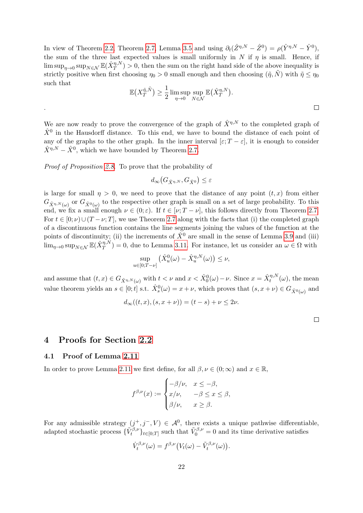In view of Theorem [2.2,](#page-5-1) Theorem [2.7,](#page-8-1) Lemma [3.5](#page-15-3) and using  $\partial_t(\hat{Z}^{\eta,N} - \hat{Z}^0) = \rho(\hat{Y}^{\eta,N} - \hat{Y}^0)$ , the sum of the three last expected values is small uniformly in N if  $\eta$  is small. Hence, if  $\limsup_{\eta\to 0} \sup_{N\in\mathcal{N}} \mathbb{E}(\hat{X}_T^{\eta,N}) > 0$ , then the sum on the right hand side of the above inequality is strictly positive when first choosing  $\eta_0 > 0$  small enough and then choosing  $(\tilde{\eta}, \tilde{N})$  with  $\tilde{\eta} \leq \eta_0$ such that

$$
\mathbb{E}\big(X_T^{\tilde{\eta},\tilde{N}}\big) \ge \frac{1}{2} \limsup_{\eta \to 0} \sup_{N \in \mathcal{N}} \mathbb{E}\big(\hat{X}_T^{\eta,N}\big).
$$

We are now ready to prove the convergence of the graph of  $\hat{X}^{\eta,N}$  to the completed graph of  $\hat{X}^0$  in the Hausdorff distance. To this end, we have to bound the distance of each point of any of the graphs to the other graph. In the inner interval  $[\varepsilon; T - \varepsilon]$ , it is enough to consider  $\hat{X}^{\eta,N} - \hat{X}^0$ , which we have bounded by Theorem [2.7.](#page-8-1)

Proof of Proposition [2.8.](#page-9-1) To prove that the probability of

.

$$
d_{\infty}(G_{\hat{X}^{\eta,N}},G_{\hat{X}^0})\leq \varepsilon
$$

is large for small  $\eta > 0$ , we need to prove that the distance of any point  $(t, x)$  from either  $G_{\hat{X}^{\eta,N}(\omega)}$  or  $G_{\hat{X}^0(\omega)}$  to the respective other graph is small on a set of large probability. To this end, we fix a small enough  $\nu \in (0;\varepsilon)$ . If  $t \in [\nu;T-\nu]$ , this follows directly from Theorem [2.7.](#page-8-1) For  $t \in [0; \nu) \cup (T - \nu; T]$ , we use Theorem [2.7](#page-8-1) along with the facts that (i) the completed graph of a discontinuous function contains the line segments joining the values of the function at the points of discontinuity; (ii) the increments of  $\hat{X}^0$  are small in the sense of Lemma [3.9](#page-17-1) and (iii)  $\lim_{\eta\to 0} \sup_{N\in\mathcal{N}} \mathbb{E}(\hat{X}_T^{\eta,N}) = 0$ , due to Lemma [3.11.](#page-20-0) For instance, let us consider an  $\omega \in \Omega$  with

$$
\sup_{u \in [0;T-\nu]} \left( \hat{X}_u^0(\omega) - \hat{X}_u^{\eta,N}(\omega) \right) \le \nu,
$$

and assume that  $(t, x) \in G_{\hat{X}^{\eta, N}(\omega)}$  with  $t < \nu$  and  $x < \hat{X}_0^0(\omega) - \nu$ . Since  $x = \hat{X}_t^{\eta, N}(\omega)$ , the mean value theorem yields an  $s \in [0;t]$  s.t.  $\hat{X}_s^0(\omega) = x + \nu$ , which proves that  $(s, x + \nu) \in G_{\hat{X}_s^0(\omega)}$  and

$$
d_{\infty}((t, x), (s, x + \nu)) = (t - s) + \nu \le 2\nu.
$$

## <span id="page-21-0"></span>4 Proofs for Section [2.2](#page-9-0)

## <span id="page-21-1"></span>4.1 Proof of Lemma [2.11](#page-11-3)

In order to prove Lemma [2.11](#page-11-3) we first define, for all  $\beta, \nu \in (0, \infty)$  and  $x \in \mathbb{R}$ ,

$$
f^{\beta,\nu}(x) := \begin{cases} -\beta/\nu, & x \leq -\beta, \\ x/\nu, & -\beta \leq x \leq \beta, \\ \beta/\nu, & x \geq \beta. \end{cases}
$$

For any admissible strategy  $(j^+, j^-, V) \in \mathcal{A}^0$ , there exists a unique pathwise differentiable, adapted stochastic process  $\{V_t^{\beta,\nu}\}_{t\in[0,T]}$  such that  $\tilde{V}_0^{\beta,\nu}=0$  and its time derivative satisfies

$$
\dot{V}^{\beta,\nu}_t(\omega) = f^{\beta,\nu} (V_t(\omega) - \tilde{V}^{\beta,\nu}_t(\omega)).
$$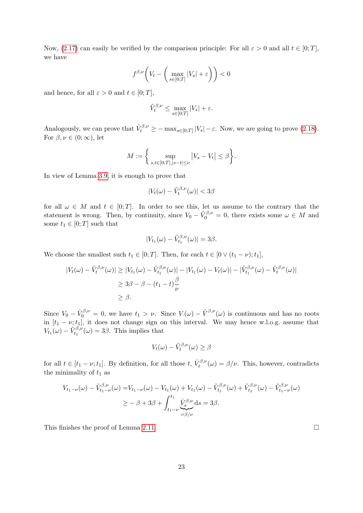Now, [\(2.17\)](#page-11-4) can easily be verified by the comparison principle: For all  $\varepsilon > 0$  and all  $t \in [0, T]$ , we have

$$
f^{\beta,\nu}\bigg(V_t - \bigg(\max_{s \in [0;T]} |V_s| + \varepsilon\bigg)\bigg) < 0
$$

and hence, for all  $\varepsilon > 0$  and  $t \in [0; T]$ ,

$$
\tilde{V}^{\beta,\nu}_t \leq \max_{s \in [0;T]} |V_s| + \varepsilon.
$$

Analogously, we can prove that  $\tilde{V}^{\beta,\nu}_t \ge -\max_{s\in[0,T]}|V_s|-\varepsilon$ . Now, we are going to prove [\(2.18\)](#page-11-5). For  $\beta, \nu \in (0; \infty)$ , let

$$
M := \left\{ \sup_{s,t \in [0;T], |s-t| \le \nu} |V_s - V_t| \le \beta \right\}.
$$

In view of Lemma [3.9,](#page-17-1) it is enough to prove that

$$
|V_t(\omega) - \tilde{V}_t^{\beta,\nu}(\omega)| < 3\beta
$$

for all  $\omega \in M$  and  $t \in [0,T]$ . In order to see this, let us assume to the contrary that the statement is wrong. Then, by continuity, since  $V_0 - \tilde{V}_0^{\beta,\nu} = 0$ , there exists some  $\omega \in M$  and some  $t_1 \in [0; T]$  such that

$$
|V_{t_1}(\omega) - \tilde{V}_{t_1}^{\beta,\nu}(\omega)| = 3\beta.
$$

We choose the smallest such  $t_1 \in [0; T]$ . Then, for each  $t \in [0 \vee (t_1 - \nu); t_1]$ ,

$$
|V_t(\omega) - \tilde{V}_t^{\beta,\nu}(\omega)| \ge |V_{t_1}(\omega) - \tilde{V}_{t_1}^{\beta,\nu}(\omega)| - |V_{t_1}(\omega) - V_t(\omega)| - |\tilde{V}_{t_1}^{\beta,\nu}(\omega) - \tilde{V}_t^{\beta,\nu}(\omega)|
$$
  

$$
\ge 3\beta - \beta - (t_1 - t)\frac{\beta}{\nu}
$$
  

$$
\ge \beta.
$$

Since  $V_0 - \tilde{V}_0^{\beta,\nu} = 0$ , we have  $t_1 > \nu$ . Since  $V(\omega) - \tilde{V}_0^{\beta,\nu}(\omega)$  is continuous and has no roots in  $[t_1 - \nu; t_1]$ , it does not change sign on this interval. We may hence w.l.o.g. assume that  $V_{t_1}(\omega) - \tilde{V}_{t_1}^{\beta,\nu}(\omega) = 3\beta$ . This implies that

$$
V_t(\omega) - \tilde{V}_t^{\beta,\nu}(\omega) \ge \beta
$$

for all  $t \in [t_1 - \nu; t_1]$ . By definition, for all those  $t, \dot{V}_t^{\beta, \nu}$  $t_t^{\rho,\nu}(\omega) = \beta/\nu$ . This, however, contradicts the minimality of  $t_1$  as

$$
V_{t_1-\nu}(\omega) - \tilde{V}_{t_1-\nu}^{\beta,\nu}(\omega) = V_{t_1-\nu}(\omega) - V_{t_1}(\omega) + V_{t_1}(\omega) - \tilde{V}_{t_1}^{\beta,\nu}(\omega) + \tilde{V}_{t_1}^{\beta,\nu}(\omega) - \tilde{V}_{t_1-\nu}^{\beta,\nu}(\omega)
$$
  

$$
\geq -\beta + 3\beta + \int_{t_1-\nu}^{t_1} \underbrace{\dot{V}_{s_1}^{\beta,\nu}}_{=\beta/\nu} ds = 3\beta.
$$

This finishes the proof of Lemma [2.11.](#page-11-3)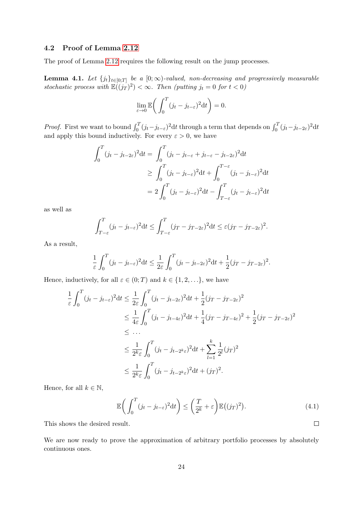## <span id="page-23-0"></span>4.2 Proof of Lemma [2.12](#page-11-2)

The proof of Lemma [2.12](#page-11-2) requires the following result on the jump processes.

<span id="page-23-1"></span>**Lemma 4.1.** Let  $\{j_t\}_{t\in[0,T]}$  be a  $[0;\infty)$ -valued, non-decreasing and progressively measurable stochastic process with  $\mathbb{E}((j_T)^2) < \infty$ . Then (putting  $j_t = 0$  for  $t < 0$ )

$$
\lim_{\varepsilon \to 0} \mathbb{E}\bigg(\int_0^T (j_t - j_{t-\varepsilon})^2 dt\bigg) = 0.
$$

*Proof.* First we want to bound  $\int_0^T (j_t - j_{t-\varepsilon})^2 dt$  through a term that depends on  $\int_0^T (j_t - j_{t-2\varepsilon})^2 dt$ and apply this bound inductively. For every  $\varepsilon > 0$ , we have

$$
\int_0^T (j_t - j_{t-2\varepsilon})^2 dt = \int_0^T (j_t - j_{t-\varepsilon} + j_{t-\varepsilon} - j_{t-2\varepsilon})^2 dt
$$
  
\n
$$
\geq \int_0^T (j_t - j_{t-\varepsilon})^2 dt + \int_0^{T-\varepsilon} (j_t - j_{t-\varepsilon})^2 dt
$$
  
\n
$$
= 2 \int_0^T (j_t - j_{t-\varepsilon})^2 dt - \int_{T-\varepsilon}^T (j_t - j_{t-\varepsilon})^2 dt
$$

as well as

$$
\int_{T-\varepsilon}^{T} (j_t - j_{t-\varepsilon})^2 dt \le \int_{T-\varepsilon}^{T} (j_T - j_{T-2\varepsilon})^2 dt \le \varepsilon (j_T - j_{T-2\varepsilon})^2.
$$

As a result,

$$
\frac{1}{\varepsilon} \int_0^T (j_t - j_{t-\varepsilon})^2 dt \le \frac{1}{2\varepsilon} \int_0^T (j_t - j_{t-2\varepsilon})^2 dt + \frac{1}{2} (j_T - j_{T-2\varepsilon})^2.
$$

Hence, inductively, for all  $\varepsilon \in (0; T)$  and  $k \in \{1, 2, \ldots\}$ , we have

$$
\frac{1}{\varepsilon} \int_0^T (j_t - j_{t-\varepsilon})^2 dt \le \frac{1}{2\varepsilon} \int_0^T (j_t - j_{t-2\varepsilon})^2 dt + \frac{1}{2} (j_T - j_{T-2\varepsilon})^2
$$
\n
$$
\le \frac{1}{4\varepsilon} \int_0^T (j_t - j_{t-4\varepsilon})^2 dt + \frac{1}{4} (j_T - j_{T-4\varepsilon})^2 + \frac{1}{2} (j_T - j_{T-2\varepsilon})^2
$$
\n
$$
\le \dots
$$
\n
$$
\le \frac{1}{2^k \varepsilon} \int_0^T (j_t - j_{t-2^k \varepsilon})^2 dt + \sum_{l=1}^k \frac{1}{2^l} (j_T)^2
$$
\n
$$
\le \frac{1}{2^k \varepsilon} \int_0^T (j_t - j_{t-2^k \varepsilon})^2 dt + (j_T)^2.
$$

Hence, for all  $k \in \mathbb{N}$ ,

$$
\mathbb{E}\bigg(\int_0^T (j_t - j_{t-\varepsilon})^2 dt\bigg) \le \bigg(\frac{T}{2^k} + \varepsilon\bigg) \mathbb{E}\big((j_T)^2\big). \tag{4.1}
$$

 $\Box$ 

This shows the desired result.

We are now ready to prove the approximation of arbitrary portfolio processes by absolutely continuous ones.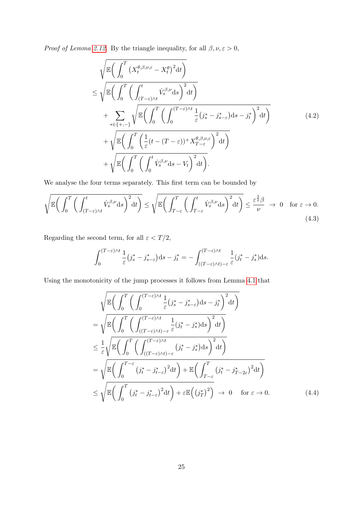*Proof of Lemma [2.12.](#page-11-2)* By the triangle inequality, for all  $\beta, \nu, \varepsilon > 0$ ,

<span id="page-24-1"></span>
$$
\sqrt{\mathbb{E}\left(\int_{0}^{T} \left(X_{t}^{\theta,\beta,\nu,\varepsilon}-X_{t}^{\theta}\right)^{2}dt\right)} \leq \sqrt{\mathbb{E}\left(\int_{0}^{T} \left(\int_{(T-\varepsilon)\wedge t}^{t} \dot{V}_{s}^{\beta,\nu}ds\right)^{2}dt\right)} + \sum_{*\in\{+,-\}} \sqrt{\mathbb{E}\left(\int_{0}^{T} \left(\int_{0}^{(T-\varepsilon)\wedge t} \frac{1}{\varepsilon}(j_{s}^{*}-j_{s-\varepsilon}^{*})ds-j_{t}^{*}\right)^{2}dt\right)} + \sqrt{\mathbb{E}\left(\int_{0}^{T} \left(\frac{1}{\varepsilon}(t-(T-\varepsilon))^{+}X_{T-\varepsilon}^{\theta,\beta,\nu,\varepsilon}\right)^{2}dt\right)} + \sqrt{\mathbb{E}\left(\int_{0}^{T} \left(\int_{0}^{t} \dot{V}_{s}^{\beta,\nu}ds-V_{t}\right)^{2}dt\right)}.
$$
\n(4.2)

We analyse the four terms separately. This first term can be bounded by

$$
\sqrt{\mathbb{E}\left(\int_0^T \left(\int_{(T-\varepsilon)\wedge t}^t \dot{V}_s^{\beta,\nu} \mathrm{d}s\right)^2 \mathrm{d}t\right)} \le \sqrt{\mathbb{E}\left(\int_{T-\varepsilon}^T \left(\int_{T-\varepsilon}^t \dot{V}_s^{\beta,\nu} \mathrm{d}s\right)^2 \mathrm{d}t\right)} \le \frac{\varepsilon^{\frac{3}{2}}\beta}{\nu} \to 0 \quad \text{for } \varepsilon \to 0. \tag{4.3}
$$

Regarding the second term, for all  $\varepsilon < T/2,$ 

$$
\int_0^{(T-\varepsilon)\wedge t} \frac{1}{\varepsilon} (j_s^* - j_{s-\varepsilon}^*) \mathrm{d} s - j_t^* = - \int_{((T-\varepsilon)\wedge t) - \varepsilon}^{(T-\varepsilon)\wedge t} \frac{1}{\varepsilon} (j_t^* - j_s^*) \mathrm{d} s.
$$

Using the monotonicity of the jump processes it follows from Lemma [4.1](#page-23-1) that

<span id="page-24-0"></span>
$$
\sqrt{\mathbb{E}\left(\int_{0}^{T}\left(\int_{0}^{(T-\varepsilon)\wedge t}\frac{1}{\varepsilon}(j_{s}^{*}-j_{s-\varepsilon}^{*})ds-j_{t}^{*}\right)^{2}dt\right)}\n= \sqrt{\mathbb{E}\left(\int_{0}^{T}\left(\int_{((T-\varepsilon)\wedge t)-\varepsilon}^{(T-\varepsilon)\wedge t}\frac{1}{\varepsilon}(j_{t}^{*}-j_{s}^{*})ds\right)^{2}dt\right)}\n\leq \frac{1}{\varepsilon}\sqrt{\mathbb{E}\left(\int_{0}^{T}\left(\int_{((T-\varepsilon)\wedge t)-\varepsilon}^{(T-\varepsilon)}(j_{t}^{*}-j_{s}^{*})ds\right)^{2}dt\right)}\n= \sqrt{\mathbb{E}\left(\int_{0}^{T-\varepsilon}(j_{t}^{*}-j_{t-\varepsilon}^{*})^{2}dt\right)+\mathbb{E}\left(\int_{T-\varepsilon}^{T}(j_{t}^{*}-j_{T-2\varepsilon})^{2}dt\right)}\n\leq \sqrt{\mathbb{E}\left(\int_{0}^{T}(j_{t}^{*}-j_{t-\varepsilon}^{*})^{2}dt\right)+\varepsilon\mathbb{E}\left((j_{T}^{*})^{2}\right)}\n\to 0 \quad \text{for } \varepsilon \to 0.
$$
\n(4.4)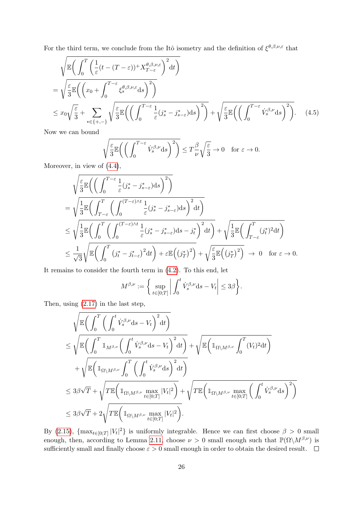For the third term, we conclude from the Itô isometry and the definition of  $\xi^{\theta,\beta,\nu,\varepsilon}$  that

$$
\sqrt{\mathbb{E}\left(\int_{0}^{T}\left(\frac{1}{\varepsilon}(t-(T-\varepsilon))+X_{T-\varepsilon}^{\theta,\beta,\nu,\varepsilon}\right)^{2}\mathrm{d}t\right)}\n= \sqrt{\frac{\varepsilon}{3}}\mathbb{E}\left(\left(x_{0}+\int_{0}^{T-\varepsilon}\xi_{s}^{\theta,\beta,\nu,\varepsilon}\mathrm{d}s\right)^{2}\right)\n\leq x_{0}\sqrt{\frac{\varepsilon}{3}}+\sum_{*\in\{+,-\}}\sqrt{\frac{\varepsilon}{3}}\mathbb{E}\left(\left(\int_{0}^{T-\varepsilon}\frac{1}{\varepsilon}(j_{s}^{*}-j_{s-\varepsilon}^{*})\mathrm{d}s\right)^{2}\right)+\sqrt{\frac{\varepsilon}{3}}\mathbb{E}\left(\left(\int_{0}^{T-\varepsilon}\dot{V}_{s}^{\beta,\nu}\mathrm{d}s\right)^{2}\right)}.\n\tag{4.5}
$$

Now we can bound

$$
\sqrt{\frac{\varepsilon}{3}} \mathbb{E}\left(\left(\int_0^{T-\varepsilon} \dot{V}_s^{\beta,\nu} \mathrm{d} s\right)^2\right) \le T\frac{\beta}{\nu} \sqrt{\frac{\varepsilon}{3}} \to 0 \quad \text{for } \varepsilon \to 0.
$$

Moreover, in view of  $(4.4)$ ,

$$
\sqrt{\frac{\varepsilon}{3}}\mathbb{E}\left(\left(\int_{0}^{T-\varepsilon}\frac{1}{\varepsilon}(j_{s}^{*}-j_{s-\varepsilon}^{*})ds\right)^{2}\right)
$$
\n
$$
=\sqrt{\frac{1}{3}}\mathbb{E}\left(\int_{T-\varepsilon}^{T}\left(\int_{0}^{(T-\varepsilon)\wedge t}\frac{1}{\varepsilon}(j_{s}^{*}-j_{s-\varepsilon}^{*})ds\right)^{2}dt\right)
$$
\n
$$
\leq\sqrt{\frac{1}{3}}\mathbb{E}\left(\int_{0}^{T}\left(\int_{0}^{(T-\varepsilon)\wedge t}\frac{1}{\varepsilon}(j_{s}^{*}-j_{s-\varepsilon}^{*})ds-j_{t}^{*}\right)^{2}dt\right)+\sqrt{\frac{1}{3}}\mathbb{E}\left(\int_{T-\varepsilon}^{T}(j_{t}^{*})^{2}dt\right)
$$
\n
$$
\leq\frac{1}{\sqrt{3}}\sqrt{\mathbb{E}\left(\int_{0}^{T}\left(j_{t}^{*}-j_{t-\varepsilon}^{*}\right)^{2}dt\right)+\varepsilon\mathbb{E}\left(\left(j_{T}^{*}\right)^{2}\right)}+\sqrt{\frac{\varepsilon}{3}}\mathbb{E}\left(\left(j_{T}^{*}\right)^{2}\right)}\rightarrow0\quad\text{for }\varepsilon\rightarrow0.
$$

It remains to consider the fourth term in [\(4.2\)](#page-24-1). To this end, let

$$
M^{\beta,\nu} := \bigg\{\sup_{t \in [0;T]} \bigg| \int_0^t \dot{V}_s^{\beta,\nu} \mathrm{d} s - V_t \bigg| \leq 3\beta \bigg\}.
$$

Then, using [\(2.17\)](#page-11-4) in the last step,

$$
\sqrt{\mathbb{E}\left(\int_0^T \left(\int_0^t \dot{V}_s^{\beta,\nu} ds - V_t\right)^2 dt\right)} \leq \sqrt{\mathbb{E}\left(\int_0^T \mathbb{1}_{M^{\beta,\nu}} \left(\int_0^t \dot{V}_s^{\beta,\nu} ds - V_t\right)^2 dt\right)} + \sqrt{\mathbb{E}\left(\mathbb{1}_{\Omega \setminus M^{\beta,\nu}} \int_0^T (V_t)^2 dt\right)} \newline + \sqrt{\mathbb{E}\left(\mathbb{1}_{\Omega \setminus M^{\beta,\nu}} \int_0^T \left(\int_0^t \dot{V}_s^{\beta,\nu} ds\right)^2 dt\right)} \leq 3\beta\sqrt{T} + \sqrt{T \mathbb{E}\left(\mathbb{1}_{\Omega \setminus M^{\beta,\nu}} \max_{t \in [0;T]} |V_t|^2\right)} + \sqrt{T \mathbb{E}\left(\mathbb{1}_{\Omega \setminus M^{\beta,\nu}} \max_{t \in [0;T]} \left(\int_0^t \dot{V}_s^{\beta,\nu} ds\right)^2\right)} \leq 3\beta\sqrt{T} + 2\sqrt{T \mathbb{E}\left(\mathbb{1}_{\Omega \setminus M^{\beta,\nu}} \max_{t \in [0;T]} |V_t|^2\right)}.
$$

By [\(2.15\)](#page-10-0),  $\{\max_{t\in[0,T]}|V_t|^2\}$  is uniformly integrable. Hence we can first choose  $\beta>0$  small enough, then, according to Lemma [2.11,](#page-11-3) choose  $\nu > 0$  small enough such that  $\mathbb{P}(\Omega \backslash M^{\beta,\nu})$  is sufficiently small and finally choose  $\varepsilon > 0$  small enough in order to obtain the desired result.  $\square$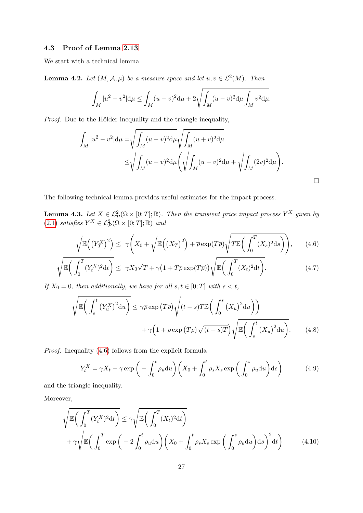## <span id="page-26-0"></span>4.3 Proof of Lemma [2.13](#page-11-1)

We start with a technical lemma.

<span id="page-26-6"></span>**Lemma 4.2.** Let  $(M, \mathcal{A}, \mu)$  be a measure space and let  $u, v \in \mathcal{L}^2(M)$ . Then

$$
\int_M |u^2 - v^2| \mathrm{d}\mu \le \int_M (u - v)^2 \mathrm{d}\mu + 2\sqrt{\int_M (u - v)^2 \mathrm{d}\mu \int_M v^2 \mathrm{d}\mu}.
$$

Proof. Due to the Hölder inequality and the triangle inequality,

$$
\int_{M} |u^{2} - v^{2}| d\mu = \sqrt{\int_{M} (u - v)^{2} d\mu} \sqrt{\int_{M} (u + v)^{2} d\mu} \n\leq \sqrt{\int_{M} (u - v)^{2} d\mu} \left( \sqrt{\int_{M} (u - v)^{2} d\mu} + \sqrt{\int_{M} (2v)^{2} d\mu} \right).
$$

The following technical lemma provides useful estimates for the impact process.

<span id="page-26-7"></span>**Lemma 4.3.** Let  $X \in \mathcal{L}_{\mathcal{P}}^2(\Omega \times [0; T]; \mathbb{R})$ . Then the transient price impact process  $Y^X$  given by  $(2.1)$  satisfies  $Y^X \in \mathcal{L}^2_{\mathcal{P}}(\Omega \times [0;T]; \mathbb{R})$  and

<span id="page-26-3"></span><span id="page-26-1"></span>
$$
\sqrt{\mathbb{E}\left(\left(Y_T^X\right)^2\right)} \le \gamma \left(X_0 + \sqrt{\mathbb{E}\left(\left(X_T\right)^2\right)} + \overline{\rho} \exp(T\overline{\rho})\sqrt{T \mathbb{E}\left(\int_0^T (X_s)^2 \mathrm{d}s\right)}\right),\tag{4.6}
$$

$$
\sqrt{\mathbb{E}\left(\int_0^T (Y_t^X)^2 dt\right)} \le \gamma X_0 \sqrt{T} + \gamma \left(1 + T\overline{\rho} \exp(T\overline{\rho})\right) \sqrt{\mathbb{E}\left(\int_0^T (X_t)^2 dt\right)}.
$$
\n(4.7)

If  $X_0 = 0$ , then additionally, we have for all  $s, t \in [0, T]$  with  $s < t$ ,

$$
\sqrt{\mathbb{E}\left(\int_{s}^{t} \left(Y_{u}^{X}\right)^{2} \mathrm{d}u\right)} \leq \gamma \overline{\rho} \exp\left(T\overline{\rho}\right) \sqrt{\left(t-s\right)T \mathbb{E}\left(\int_{0}^{s} \left(X_{u}\right)^{2} \mathrm{d}u\right)\right)} + \gamma \left(1 + \overline{\rho} \exp\left(T\overline{\rho}\right) \sqrt{\left(t-s\right)T}\right) \sqrt{\mathbb{E}\left(\int_{s}^{t} \left(X_{u}\right)^{2} \mathrm{d}u\right)}.
$$
\n(4.8)

Proof. Inequality [\(4.6\)](#page-26-1) follows from the explicit formula

<span id="page-26-5"></span><span id="page-26-4"></span><span id="page-26-2"></span>
$$
Y_t^X = \gamma X_t - \gamma \exp\left(-\int_0^t \rho_u \mathrm{d}u\right) \left(X_0 + \int_0^t \rho_s X_s \exp\left(\int_0^s \rho_u \mathrm{d}u\right) \mathrm{d}s\right) \tag{4.9}
$$

and the triangle inequality.

Moreover,

$$
\sqrt{\mathbb{E}\left(\int_0^T (Y_t^X)^2 dt\right)} \le \gamma \sqrt{\mathbb{E}\left(\int_0^T (X_t)^2 dt\right)} + \gamma \sqrt{\mathbb{E}\left(\int_0^T \exp\left(-2\int_0^t \rho_u du\right) \left(X_0 + \int_0^t \rho_s X_s \exp\left(\int_0^s \rho_u du\right) ds\right)^2 dt\right)}
$$
(4.10)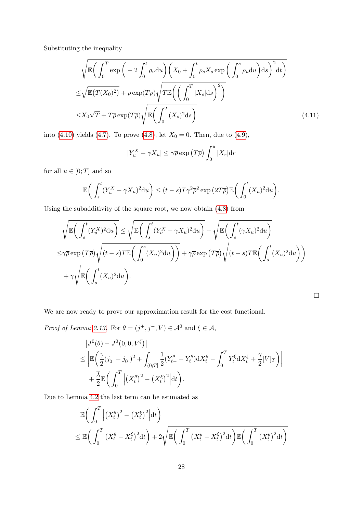Substituting the inequality

$$
\sqrt{\mathbb{E}\left(\int_0^T \exp\left(-2\int_0^t \rho_u \mathrm{d}u\right) \left(X_0 + \int_0^t \rho_s X_s \exp\left(\int_0^s \rho_u \mathrm{d}u\right) \mathrm{d}s\right)^2 \mathrm{d}t\right)}
$$
  

$$
\leq \sqrt{\mathbb{E}(T(X_0)^2)} + \overline{\rho} \exp(T\overline{\rho}) \sqrt{T \mathbb{E}\left(\left(\int_0^T |X_s| \mathrm{d}s\right)^2\right)}
$$
  

$$
\leq X_0 \sqrt{T} + T\overline{\rho} \exp(T\overline{\rho}) \sqrt{\mathbb{E}\left(\int_0^T (X_s)^2 \mathrm{d}s\right)}
$$
(4.11)

into [\(4.10\)](#page-26-2) yields [\(4.7\)](#page-26-3). To prove [\(4.8\)](#page-26-4), let  $X_0 = 0$ . Then, due to [\(4.9\)](#page-26-5),

$$
|Y_u^X - \gamma X_u| \le \gamma \overline{\rho} \exp(T\overline{\rho}) \int_0^u |X_r| \mathrm{d}r
$$

for all  $u \in [0; T]$  and so

$$
\mathbb{E}\bigg(\int_s^t (Y_u^X - \gamma X_u)^2 \mathrm{d}u\bigg) \le (t-s)T\gamma^2 \overline{\rho}^2 \exp\big(2T\overline{\rho}\big) \mathbb{E}\bigg(\int_0^t (X_u)^2 \mathrm{d}u\bigg).
$$

Using the subadditivity of the square root, we now obtain [\(4.8\)](#page-26-4) from

$$
\sqrt{\mathbb{E}\left(\int_{s}^{t} (Y_{u}^{X})^{2} du\right)} \leq \sqrt{\mathbb{E}\left(\int_{s}^{t} (Y_{u}^{X} - \gamma X_{u})^{2} du\right)} + \sqrt{\mathbb{E}\left(\int_{s}^{t} (\gamma X_{u})^{2} du\right)}
$$
\n
$$
\leq \gamma \overline{\rho} \exp(T\overline{\rho}) \sqrt{(t-s)T\mathbb{E}\left(\int_{0}^{s} (X_{u})^{2} du\right)} + \gamma \overline{\rho} \exp(T\overline{\rho}) \sqrt{(t-s)T\mathbb{E}\left(\int_{s}^{t} (X_{u})^{2} du\right)} + \gamma \sqrt{\mathbb{E}\left(\int_{s}^{t} (X_{u})^{2} du\right)}.
$$

 $\Box$ 

We are now ready to prove our approximation result for the cost functional.

*Proof of Lemma [2.13.](#page-11-1)* For  $\theta = (j^+, j^-, V) \in \mathcal{A}^0$  and  $\xi \in \mathcal{A}$ ,

$$
\begin{split} &|J^0(\theta) - J^0(0, 0, V^{\xi})| \\ &\leq \left| \mathbb{E} \left( \frac{\gamma}{2} (j_0^+ - j_0^-)^2 + \int_{(0;T]} \frac{1}{2} (Y_{t-}^{\theta} + Y_t^{\theta}) dX_t^{\theta} - \int_0^T Y_t^{\xi} dX_t^{\xi} + \frac{\gamma}{2} [V]_T \right) \right| \\ &+ \frac{\overline{\lambda}}{2} \mathbb{E} \bigg( \int_0^T \Big| (X_t^{\theta})^2 - (X_t^{\xi})^2 \Big| dt \bigg). \end{split}
$$

Due to Lemma [4.2](#page-26-6) the last term can be estimated as

$$
\mathbb{E}\bigg(\int_0^T \Big| (X_t^\theta)^2 - (X_t^\xi)^2 \Big| \mathrm{d}t \bigg) \leq \mathbb{E}\bigg(\int_0^T \big| (X_t^\theta - X_t^\xi)^2 \mathrm{d}t \bigg) + 2\sqrt{\mathbb{E}\bigg(\int_0^T \big| (X_t^\theta - X_t^\xi)^2 \mathrm{d}t \bigg) \mathbb{E}\bigg(\int_0^T \big| (X_t^\theta)^2 \mathrm{d}t \bigg)}
$$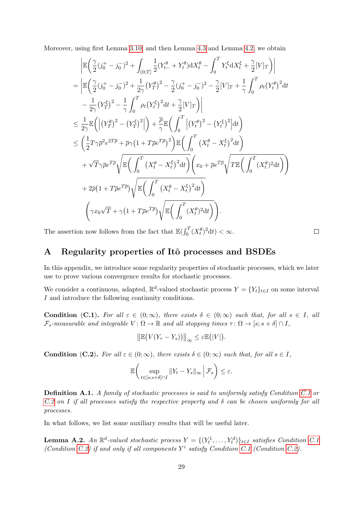Moreover, using first Lemma [3.10,](#page-20-2) and then Lemma [4.3](#page-26-7) and Lemma [4.2,](#page-26-6) we obtain

$$
\begin{split}\n&= \left| \mathbb{E} \left( \frac{\gamma}{2} (j_0^+ - j_0^-)^2 + \int_{(0,T]} \frac{1}{2} (Y_{t-}^{\theta} + Y_t^{\theta}) dX_t^{\theta} - \int_0^T Y_t^{\xi} dX_t^{\xi} + \frac{\gamma}{2} [V]_T \right) \right| \\
&= \left| \mathbb{E} \left( \frac{\gamma}{2} (j_0^+ - j_0^-)^2 + \frac{1}{2\gamma} (Y_T^{\theta})^2 - \frac{\gamma}{2} (j_0^+ - j_0^-)^2 - \frac{\gamma}{2} [V]_T + \frac{1}{\gamma} \int_0^T \rho_t (Y_t^{\theta})^2 dt - \frac{1}{2\gamma} (Y_T^{\xi})^2 - \frac{1}{\gamma} \int_0^T \rho_t (Y_t^{\xi})^2 dt + \frac{\gamma}{2} [V]_T \right) \right| \\
& \leq \frac{1}{2\gamma} \mathbb{E} \left( \left| (Y_T^{\theta})^2 - (Y_T^{\xi})^2 \right| \right) + \frac{\overline{\rho}}{\gamma} \mathbb{E} \left( \int_0^T \left| (Y_t^{\theta})^2 - (Y_t^{\xi})^2 \right| dt \right) \\
& \leq \left( \frac{1}{2} T \gamma \overline{\rho}^2 e^{2T\overline{\rho}} + \overline{\rho} \gamma (1 + T\overline{\rho} e^{T\overline{\rho}})^2 \right) \mathbb{E} \left( \int_0^T (X_t^{\theta} - X_t^{\xi})^2 dt \right) \\
&+ \sqrt{T} \gamma \overline{\rho} e^{T\overline{\rho}} \sqrt{\mathbb{E} \left( \int_0^T (X_t^{\theta} - X_t^{\xi})^2 dt \right)} \left( x_0 + \overline{\rho} e^{T\overline{\rho}} \sqrt{T \mathbb{E} \left( \int_0^T (X_t^{\theta})^2 dt \right)} \right) \\
&+ 2\overline{\rho} (1 + T\overline{\rho} e^{T\overline{\rho}}) \sqrt{\mathbb{E} \left( \int_0^T (X_t^{\theta} - X_t^{\xi})^2 dt \right)} \\
& \left( \gamma x_0 \sqrt{T} + \gamma (1 + T\overline{\rho} e^{T\overline{\rho}}) \sqrt{\mathbb{E} \left( \int_0^T (X_t
$$

The assertion now follows from the fact that  $\mathbb{E}(\int_0^T (X_t^{\theta})^2 dt) < \infty$ .

## $\Box$

# <span id="page-28-0"></span>A Regularity properties of Itô processes and BSDEs

In this appendix, we introduce some regularity properties of stochastic processes, which we later use to prove various convergence results for stochastic processes.

We consider a continuous, adapted,  $\mathbb{R}^d$ -valued stochastic process  $Y = \{Y_t\}_{t \in I}$  on some interval I and introduce the following continuity conditions.

<span id="page-28-1"></span>Condition (C.1). For all  $\varepsilon \in (0, \infty)$ , there exists  $\delta \in (0, \infty)$  such that, for all  $s \in I$ , all  $\mathcal{F}_s$ -measurable and integrable  $V: \Omega \to \mathbb{R}$  and all stopping times  $\tau: \Omega \to [s; s + \delta] \cap I$ ,

 $\|\mathbb{E}\big(V(Y_\tau - Y_s)\big)\|_\infty \leq \varepsilon \mathbb{E}\big(|V|\big).$ 

<span id="page-28-2"></span>**Condition** (C.2). For all  $\varepsilon \in (0, \infty)$ , there exists  $\delta \in (0, \infty)$  such that, for all  $s \in I$ ,

$$
\mathbb{E}\bigg(\sup_{t\in[s;s+\delta]\cap I}||Y_t-Y_s||_{\infty}\,\bigg|\,\mathcal{F}_s\bigg)\leq\varepsilon.
$$

Definition A.1. A family of stochastic processes is said to uniformly satisfy Condition [C.1](#page-28-1) or [C.2](#page-28-2) on I if all processes satisfy the respective property and  $\delta$  can be chosen uniformly for all processes.

In what follows, we list some auxiliary results that will be useful later.

<span id="page-28-3"></span>**Lemma A.2.** An  $\mathbb{R}^d$ -valued stochastic process  $Y = \{(Y_t^1, \ldots, Y_t^d)\}_{t \in I}$  satisfies Condition [C.1](#page-28-1) (Condition [C.2\)](#page-28-2) if and only if all components  $Y^i$  satisfy Condition [C.1](#page-28-1) (Condition C.2).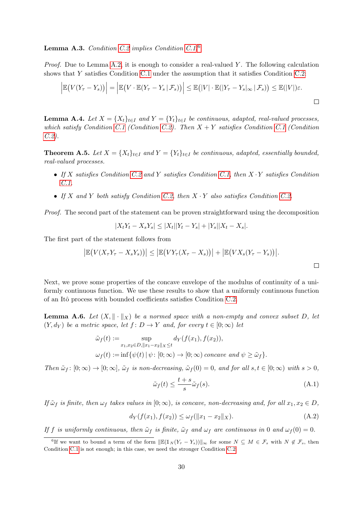## <span id="page-29-5"></span>Lemma A.3. Condition [C.2](#page-28-2) implies Condition [C.1.](#page-28-1)[6](#page-29-1)

*Proof.* Due to Lemma [A.2,](#page-28-3) it is enough to consider a real-valued Y. The following calculation shows that Y satisfies Condition [C.1](#page-28-1) under the assumption that it satisfies Condition [C.2:](#page-28-2)

$$
\left| \mathbb{E}\big(V(Y_{\tau}-Y_s)\big)\right| = \left| \mathbb{E}\big(V\cdot\mathbb{E}(Y_{\tau}-Y_s\,|\,\mathcal{F}_s)\big)\right| \leq \mathbb{E}\big(|V|\cdot\mathbb{E}(|Y_{\tau}-Y_s|_{\infty}\,|\,\mathcal{F}_s)\big) \leq \mathbb{E}(|V|)\varepsilon.
$$

<span id="page-29-0"></span>**Lemma A.4.** Let  $X = \{X_t\}_{t\in I}$  and  $Y = \{Y_t\}_{t\in I}$  be continuous, adapted, real-valued processes, which satisfy Condition [C.1](#page-28-1) (Condition [C.2\)](#page-28-2). Then  $X + Y$  satisfies Condition C.1 (Condition [C.2\)](#page-28-2).

<span id="page-29-6"></span>**Theorem A.5.** Let  $X = \{X_t\}_{t \in I}$  and  $Y = \{Y_t\}_{t \in I}$  be continuous, adapted, essentially bounded, real-valued processes.

- If X satisfies Condition [C.2](#page-28-2) and Y satisfies Condition [C.1,](#page-28-1) then X · Y satisfies Condition [C.1.](#page-28-1)
- If X and Y both satisfy Condition [C.2,](#page-28-2) then  $X \cdot Y$  also satisfies Condition [C.2.](#page-28-2)

Proof. The second part of the statement can be proven straightforward using the decomposition

$$
|X_tY_t - X_sY_s| \le |X_t||Y_t - Y_s| + |Y_s||X_t - X_s|.
$$

The first part of the statement follows from

$$
\left|\mathbb{E}\big(V(X_{\tau}Y_{\tau}-X_{s}Y_{s})\big)\right|\leq\left|\mathbb{E}\big(VY_{\tau}(X_{\tau}-X_{s})\big)\right|+\left|\mathbb{E}\big(VX_{s}(Y_{\tau}-Y_{s})\big)\right|.
$$

Next, we prove some properties of the concave envelope of the modulus of continuity of a uniformly continuous function. We use these results to show that a uniformly continuous function of an Itô process with bounded coefficients satisfies Condition [C.2.](#page-28-2)

<span id="page-29-4"></span>**Lemma A.6.** Let  $(X, \|\cdot\|_X)$  be a normed space with a non-empty and convex subset D, let  $(Y, d_Y)$  be a metric space, let  $f: D \to Y$  and, for every  $t \in [0, \infty)$  let

$$
\tilde{\omega}_f(t) := \sup_{x_1, x_2 \in D, ||x_1 - x_2||_X \le t} d_Y(f(x_1), f(x_2)),
$$
  

$$
\omega_f(t) := \inf \{ \psi(t) \mid \psi \colon [0; \infty) \to [0; \infty) \text{ concave and } \psi \ge \tilde{\omega}_f \}.
$$

Then  $\tilde{\omega}_f : [0; \infty) \to [0; \infty]$ ,  $\tilde{\omega}_f$  is non-decreasing,  $\tilde{\omega}_f(0) = 0$ , and for all  $s, t \in [0; \infty)$  with  $s > 0$ ,

<span id="page-29-2"></span>
$$
\tilde{\omega}_f(t) \le \frac{t+s}{s} \tilde{\omega}_f(s). \tag{A.1}
$$

If  $\tilde{\omega}_f$  is finite, then  $\omega_f$  takes values in  $[0; \infty)$ , is concave, non-decreasing and, for all  $x_1, x_2 \in D$ ,

<span id="page-29-3"></span>
$$
d_Y(f(x_1), f(x_2)) \le \omega_f(\|x_1 - x_2\|_X). \tag{A.2}
$$

If f is uniformly continuous, then  $\tilde{\omega}_f$  is finite,  $\tilde{\omega}_f$  and  $\omega_f$  are continuous in 0 and  $\omega_f(0) = 0$ .

<span id="page-29-1"></span><sup>&</sup>lt;sup>6</sup>If we want to bound a term of the form  $\|\mathbb{E}(1_N(Y_\tau - Y_s))\|_{\infty}$  for some  $N \subseteq M \in \mathcal{F}_s$  with  $N \notin \mathcal{F}_s$ , then Condition [C.1](#page-28-1) is not enough; in this case, we need the stronger Condition [C.2.](#page-28-2)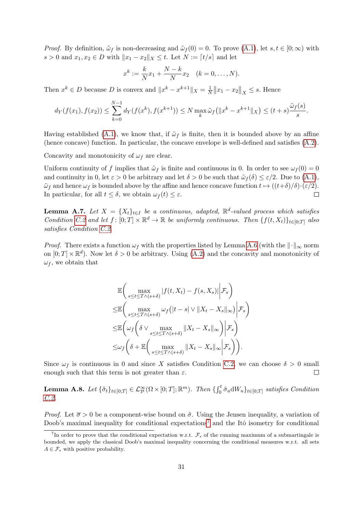*Proof.* By definition,  $\tilde{\omega}_f$  is non-decreasing and  $\tilde{\omega}_f(0) = 0$ . To prove  $(A.1)$ , let  $s, t \in [0, \infty)$  with s > 0 and  $x_1, x_2 \in D$  with  $||x_1 - x_2||_X \le t$ . Let  $N := [t/s]$  and let

$$
x^{k} := \frac{k}{N}x_{1} + \frac{N-k}{N}x_{2} \quad (k = 0, ..., N).
$$

Then  $x^k \in D$  because D is convex and  $||x^k - x^{k+1}||_X = \frac{1}{N}$  $\frac{1}{N}$ || $x_1 - x_2$ || $\vert_X \leq s$ . Hence

$$
d_Y(f(x_1), f(x_2)) \le \sum_{k=0}^{N-1} d_Y(f(x^k), f(x^{k+1})) \le N \max_k \tilde{\omega}_f(|x^k - x^{k+1}||_X) \le (t+s) \frac{\tilde{\omega}_f(s)}{s}.
$$

Having established [\(A.1\)](#page-29-2), we know that, if  $\tilde{\omega}_f$  is finite, then it is bounded above by an affine (hence concave) function. In particular, the concave envelope is well-defined and satisfies [\(A.2\)](#page-29-3).

Concavity and monotonicity of  $\omega_f$  are clear.

Uniform continuity of f implies that  $\tilde{\omega}_f$  is finite and continuous in 0. In order to see  $\omega_f(0) = 0$ and continuity in 0, let  $\varepsilon > 0$  be arbitrary and let  $\delta > 0$  be such that  $\tilde{\omega}_f(\delta) \leq \varepsilon/2$ . Due to  $(A.1)$ ,  $\tilde{\omega}_f$  and hence  $\omega_f$  is bounded above by the affine and hence concave function  $t \mapsto ((t+\delta)/\delta)\cdot (\varepsilon/2)$ . In particular, for all  $t \leq \delta$ , we obtain  $\omega_f(t) \leq \varepsilon$ .  $\Box$ 

<span id="page-30-1"></span>**Lemma A.7.** Let  $X = \{X_t\}_{t \in I}$  be a continuous, adapted,  $\mathbb{R}^d$ -valued process which satisfies Condition [C.2](#page-28-2) and let  $f: [0; T] \times \mathbb{R}^d \to \mathbb{R}$  be uniformly continuous. Then  $\{f(t, X_t)\}_{t \in [0; T]}$  also satisfies Condition [C.2.](#page-28-2)

*Proof.* There exists a function  $\omega_f$  with the properties listed by Lemma [A.6](#page-29-4) (with the  $\|\cdot\|_{\infty}$  norm on  $[0; T] \times \mathbb{R}^d$ ). Now let  $\delta > 0$  be arbitrary. Using [\(A.2\)](#page-29-3) and the concavity and monotonicity of  $\omega_f$ , we obtain that

$$
\mathbb{E}\left(\max_{s\leq t\leq T\wedge(s+\delta)}|f(t,X_t)-f(s,X_s)|\Big|\mathcal{F}_s\right)
$$
  
\n
$$
\leq \mathbb{E}\left(\max_{s\leq t\leq T\wedge(s+\delta)}\omega_f(|t-s|\vee||X_t-X_s||_{\infty})\Big|\mathcal{F}_s\right)
$$
  
\n
$$
\leq \mathbb{E}\left(\omega_f\left(\delta\vee \max_{s\leq t\leq T\wedge(s+\delta)}||X_t-X_s||_{\infty}\right)\Big|\mathcal{F}_s\right)
$$
  
\n
$$
\leq \omega_f\left(\delta+\mathbb{E}\left(\max_{s\leq t\leq T\wedge(s+\delta)}||X_t-X_s||_{\infty}\Big|\mathcal{F}_s\right)\right).
$$

Since  $\omega_f$  is continuous in 0 and since X satisfies Condition [C.2,](#page-28-2) we can choose  $\delta > 0$  small enough such that this term is not greater than  $\varepsilon$ .  $\Box$ 

<span id="page-30-0"></span>**Lemma A.8.** Let  $\{\tilde{\sigma}_t\}_{t\in[0;T]} \in \mathcal{L}_{\mathcal{P}}^{\infty}(\Omega \times [0;T]; \mathbb{R}^m)$ . Then  $\{\int_0^t \tilde{\sigma}_u dW_u\}_{t\in[0;T]}$  satisfies Condition [C.2.](#page-28-2)

*Proof.* Let  $\bar{\sigma} > 0$  be a component-wise bound on  $\tilde{\sigma}$ . Using the Jensen inequality, a variation of Doob's maximal inequality for conditional expectations<sup>[7](#page-30-2)</sup> and the Itô isometry for conditional

<span id="page-30-2"></span><sup>&</sup>lt;sup>7</sup>In order to prove that the conditional expectation w.r.t.  $\mathcal{F}_s$  of the running maximum of a submartingale is bounded, we apply the classical Doob's maximal inequality concerning the conditional measures w.r.t. all sets  $A \in \mathcal{F}_s$  with positive probability.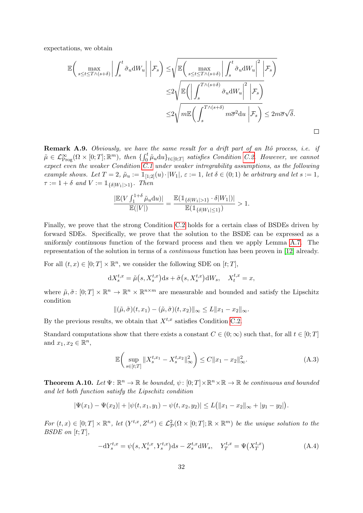expectations, we obtain

$$
\mathbb{E}\left(\max_{s\leq t\leq T\wedge(s+\delta)}\left|\int_{s}^{t}\tilde{\sigma}_{u}\mathrm{d}W_{u}\right| \left|\mathcal{F}_{s}\right) \leq \sqrt{\mathbb{E}\left(\max_{s\leq t\leq T\wedge(s+\delta)}\left|\int_{s}^{t}\tilde{\sigma}_{u}\mathrm{d}W_{u}\right|^{2} \left|\mathcal{F}_{s}\right.\right)} \leq 2\sqrt{\mathbb{E}\left(\left|\int_{s}^{T\wedge(s+\delta)}\tilde{\sigma}_{u}\mathrm{d}W_{u}\right|^{2} \left|\mathcal{F}_{s}\right.\right)} \leq 2\sqrt{m\mathbb{E}\left(\int_{s}^{T\wedge(s+\delta)}m\overline{\sigma}^{2}\mathrm{d}u\right)\mathcal{F}_{s}\right)} \leq 2m\overline{\sigma}\sqrt{\delta}.
$$

Remark A.9. Obviously, we have the same result for a drift part of an Itô process, i.e. if  $\tilde{\mu} \in \mathcal{L}^{\infty}_{\text{Prog}}(\Omega \times [0; T]; \mathbb{R}^m)$ , then  $\{ \int_0^t \tilde{\mu}_u du \}_{t \in [0; T]}$  satisfies Condition [C.2.](#page-28-2) However, we cannot expect even the weaker Condition [C.1](#page-28-1) under weaker intregrability assumptions, as the following example shows. Let  $T = 2$ ,  $\tilde{\mu}_u := \mathbb{1}_{[1,2]}(u) \cdot |W_1|$ ,  $\varepsilon := 1$ , let  $\delta \in (0,1)$  be arbitrary and let  $s := 1$ ,  $\tau := 1 + \delta$  and  $V := \mathbb{1}_{\{\delta|W_1|>1\}}$ . Then

$$
\frac{|\mathbb{E}(V \int_1^{1+\delta} \tilde{\mu}_u \mathrm{d}u)|}{\mathbb{E}(|V|)} = \frac{\mathbb{E}(\mathbb{1}_{\{\delta|W_1|>1\}} \cdot \delta|W_1|)|}{\mathbb{E}(\mathbb{1}_{\{\delta|W_1|\leq 1\}})} > 1.
$$

Finally, we prove that the strong Condition [C.2](#page-28-2) holds for a certain class of BSDEs driven by forward SDEs. Specifically, we prove that the solution to the BSDE can be expressed as a uniformly continuous function of the forward process and then we apply Lemma [A.7.](#page-30-1) The representation of the solution in terms of a continuous function has been proven in [\[12\]](#page-41-16) already.

For all  $(t, x) \in [0; T] \times \mathbb{R}^n$ , we consider the following SDE on  $[t; T]$ ,

$$
dX_s^{t,x} = \tilde{\mu}(s, X_s^{t,x})ds + \tilde{\sigma}(s, X_s^{t,x})dW_s, \quad X_t^{t,x} = x,
$$

where  $\tilde{\mu}, \tilde{\sigma} \colon [0; T] \times \mathbb{R}^n \to \mathbb{R}^n \times \mathbb{R}^{n \times m}$  are measurable and bounded and satisfy the Lipschitz condition

$$
\|(\tilde{\mu},\tilde{\sigma})(t,x_1)-(\tilde{\mu},\tilde{\sigma})(t,x_2)\|_{\infty}\leq L\|x_1-x_2\|_{\infty}.
$$

By the previous results, we obtain that  $X^{t,x}$  satisfies Condition [C.2.](#page-28-2)

Standard computations show that there exists a constant  $C \in (0, \infty)$  such that, for all  $t \in [0, T]$ and  $x_1, x_2 \in \mathbb{R}^n$ ,

<span id="page-31-1"></span>
$$
\mathbb{E}\left(\sup_{s\in[t;T]}\|X_s^{t,x_1} - X_s^{t,x_2}\|_{\infty}^2\right) \le C\|x_1 - x_2\|_{\infty}^2.
$$
\n(A.3)

<span id="page-31-0"></span>**Theorem A.10.** Let  $\Psi: \mathbb{R}^n \to \mathbb{R}$  be bounded,  $\psi: [0; T] \times \mathbb{R}^n \times \mathbb{R} \to \mathbb{R}$  be continuous and bounded and let both function satisfy the Lipschitz condition

$$
|\Psi(x_1)-\Psi(x_2)|+|\psi(t,x_1,y_1)-\psi(t,x_2,y_2)|\leq L\big(\|x_1-x_2\|_{\infty}+|y_1-y_2|\big).
$$

For  $(t, x) \in [0; T] \times \mathbb{R}^n$ , let  $(Y^{t, x}, Z^{t, x}) \in \mathcal{L}_{\mathcal{P}}^2(\Omega \times [0; T]; \mathbb{R} \times \mathbb{R}^m)$  be the unique solution to the BSDE on  $[t;T]$ ,

$$
-dY_s^{t,x} = \psi(s, X_s^{t,x}, Y_s^{t,x})ds - Z_s^{t,x}dW_s, \quad Y_T^{t,x} = \Psi(X_T^{t,x})
$$
 (A.4)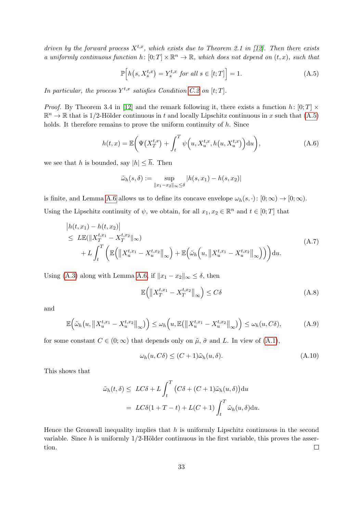driven by the forward process  $X^{t,x}$ , which exists due to Theorem 2.1 in [\[12\]](#page-41-16). Then there exists a uniformly continuous function  $h: [0, T] \times \mathbb{R}^n \to \mathbb{R}$ , which does not depend on  $(t, x)$ , such that

<span id="page-32-0"></span>
$$
\mathbb{P}\Big[h\big(s, X_s^{t,x}\big) = Y_s^{t,x} \text{ for all } s \in [t;T]\Big] = 1. \tag{A.5}
$$

In particular, the process  $Y^{t,x}$  satisfies Condition [C.2](#page-28-2) on [t; T].

*Proof.* By Theorem 3.4 in [\[12\]](#page-41-16) and the remark following it, there exists a function h:  $[0;T] \times$  $\mathbb{R}^n \to \mathbb{R}$  that is 1/2-Hölder continuous in t and locally Lipschitz continuous in x such that  $(A.5)$ holds. It therefore remains to prove the uniform continuity of  $h$ . Since

$$
h(t,x) = \mathbb{E}\bigg(\Psi\big(X_T^{t,x}\big) + \int_t^T \psi\Big(u, X_u^{t,x}, h\big(u, X_u^{t,x}\big)\Big) du\bigg),\tag{A.6}
$$

we see that h is bounded, say  $|h| \leq \overline{h}$ . Then

$$
\tilde{\omega}_h(s, \delta) := \sup_{\|x_1 - x_2\|_{\infty} \le \delta} |h(s, x_1) - h(s, x_2)|
$$

is finite, and Lemma [A.6](#page-29-4) allows us to define its concave envelope  $\omega_h(s, \cdot) : [0, \infty) \to [0, \infty)$ . Using the Lipschitz continuity of  $\psi$ , we obtain, for all  $x_1, x_2 \in \mathbb{R}^n$  and  $t \in [0; T]$  that

$$
\begin{split} \left| h(t, x_1) - h(t, x_2) \right| \\ &\le L \mathbb{E}(\|X_T^{t, x_1} - X_T^{t, x_2}\|_{\infty}) \\ &+ L \int_t^T \left( \mathbb{E}\left( \left\|X_u^{t, x_1} - X_u^{t, x_2}\right\|_{\infty} \right) + \mathbb{E}\left(\tilde{\omega}_h\left(u, \left\|X_u^{t, x_1} - X_u^{t, x_2}\right\|_{\infty}\right) \right) \right) du. \end{split} \tag{A.7}
$$

Using [\(A.3\)](#page-31-1) along with Lemma [A.6,](#page-29-4) if  $||x_1 - x_2||_{\infty} \leq \delta$ , then

$$
\mathbb{E}\left(\left\|X_T^{t,x_1} - X_T^{t,x_2}\right\|_{\infty}\right) \le C\delta\tag{A.8}
$$

and

$$
\mathbb{E}\Big(\tilde{\omega}_h\big(u,\big\|X_u^{t,x_1}-X_u^{t,x_2}\big\|_{\infty}\big)\Big)\leq \omega_h\Big(u,\mathbb{E}\big(\big\|X_u^{t,x_1}-X_u^{t,x_2}\big\|_{\infty}\big)\Big)\leq \omega_h(u,C\delta),\tag{A.9}
$$

for some constant  $C \in (0, \infty)$  that depends only on  $\tilde{\mu}$ ,  $\tilde{\sigma}$  and L. In view of  $(A.1)$ ,

$$
\omega_h(u, C\delta) \le (C+1)\tilde{\omega}_h(u, \delta). \tag{A.10}
$$

This shows that

$$
\tilde{\omega}_h(t,\delta) \le LC\delta + L \int_t^T \left( C\delta + (C+1)\tilde{\omega}_h(u,\delta) \right) du
$$
  
=  $LC\delta(1+T-t) + L(C+1) \int_t^T \tilde{\omega}_h(u,\delta) du.$ 

Hence the Gronwall inequality implies that  $h$  is uniformly Lipschitz continuous in the second variable. Since h is uniformly  $1/2$ -Hölder continuous in the first variable, this proves the assertion.  $\Box$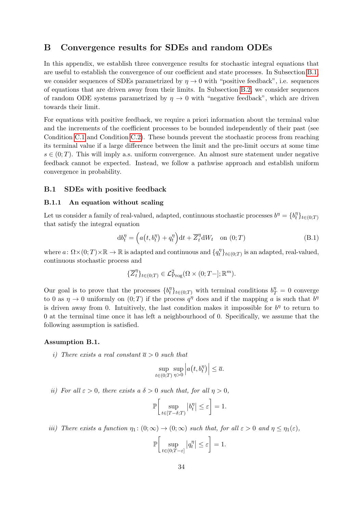# <span id="page-33-0"></span>B Convergence results for SDEs and random ODEs

In this appendix, we establish three convergence results for stochastic integral equations that are useful to establish the convergence of our coefficient and state processes. In Subsection [B.1,](#page-33-2) we consider sequences of SDEs parametrized by  $\eta \to 0$  with "positive feedback", i.e. sequences of equations that are driven away from their limits. In Subsection [B.2,](#page-37-0) we consider sequences of random ODE systems parametrized by  $\eta \to 0$  with "negative feedback", which are driven towards their limit.

For equations with positive feedback, we require a priori information about the terminal value and the increments of the coefficient processes to be bounded independently of their past (see Condition [C.1](#page-28-1) and Condition [C.2\)](#page-28-2). These bounds prevent the stochastic process from reaching its terminal value if a large difference between the limit and the pre-limit occurs at some time  $s \in (0, T)$ . This will imply a.s. uniform convergence. An almost sure statement under negative feedback cannot be expected. Instead, we follow a pathwise approach and establish uniform convergence in probability.

#### <span id="page-33-2"></span>B.1 SDEs with positive feedback

## B.1.1 An equation without scaling

Let us consider a family of real-valued, adapted, continuous stochastic processes  $b^{\eta} = \{b_t^{\eta}\}$  $\{t_t^{\eta}\}_{t\in(0;T)}$ that satisfy the integral equation

$$
db_t^{\eta} = \left( a(t, b_t^{\eta}) + q_t^{\eta} \right) dt + \overline{Z}_t^{\eta} dW_t \quad \text{on } (0; T)
$$
 (B.1)

where  $a: \Omega \times (0; T) \times \mathbb{R} \to \mathbb{R}$  is adapted and continuous and  $\{q_t^{\eta}$  $\{t_t^{\eta}\}_{t\in(0;T)}$  is an adapted, real-valued, continuous stochastic process and

<span id="page-33-3"></span>
$$
\{\overline{Z}_t^{\eta}\}_{t \in (0,T)} \in \mathcal{L}^2_{\text{Prog}}(\Omega \times (0;T-]; \mathbb{R}^m).
$$

Our goal is to prove that the processes  $\{b_t^n\}$  $t_0^{\eta} t_{t \in (0;T)}$  with terminal conditions  $b_T^{\eta} = 0$  converge to 0 as  $\eta \to 0$  uniformly on  $(0; T)$  if the process  $q^{\eta}$  does and if the mapping a is such that  $b^{\eta}$ is driven away from 0. Intuitively, the last condition makes it impossible for  $b<sup>η</sup>$  to return to 0 at the terminal time once it has left a neighbourhood of 0. Specifically, we assume that the following assumption is satisfied.

#### <span id="page-33-1"></span>Assumption B.1.

i) There exists a real constant  $\overline{a} > 0$  such that

$$
\sup_{t \in (0,T)} \sup_{\eta > 0} \left| a(t, b_t^{\eta}) \right| \le \overline{a}.
$$

ii) For all  $\varepsilon > 0$ , there exists a  $\delta > 0$  such that, for all  $\eta > 0$ ,

$$
\mathbb{P}\bigg[\sup_{t\in[T-\delta;T)}|b_t^\eta|\leq\varepsilon\bigg]=1.
$$

iii) There exists a function  $\eta_1: (0; \infty) \to (0; \infty)$  such that, for all  $\varepsilon > 0$  and  $\eta \leq \eta_1(\varepsilon)$ ,

$$
\mathbb{P}\bigg[\sup_{t\in(0;T-\varepsilon]}|q_t^{\eta}|\leq\varepsilon\bigg]=1.
$$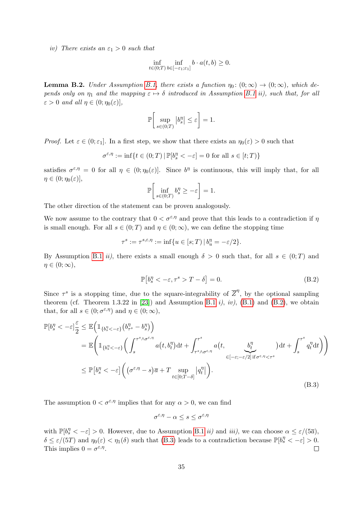iv) There exists an  $\varepsilon_1 > 0$  such that

$$
\inf_{t \in (0,T)} \inf_{b \in [-\varepsilon_1; \varepsilon_1]} b \cdot a(t,b) \ge 0.
$$

<span id="page-34-0"></span>**Lemma B.2.** Under Assumption [B.1,](#page-33-1) there exists a function  $\eta_0: (0; \infty) \to (0; \infty)$ , which depends only on  $\eta_1$  and the mapping  $\varepsilon \mapsto \delta$  introduced in Assumption [B.1](#page-33-1) ii), such that, for all  $\varepsilon > 0$  and all  $\eta \in (0; \eta_0(\varepsilon))$ ,

$$
\mathbb{P}\bigg[\sup_{s\in(0;T)}|b_s^{\eta}|\leq\varepsilon\bigg]=1.
$$

*Proof.* Let  $\varepsilon \in (0, \varepsilon_1]$ . In a first step, we show that there exists an  $\eta_0(\varepsilon) > 0$  such that

$$
\sigma^{\varepsilon,\eta}:=\inf\{t\in(0;T)\,|\,\mathbb{P}[b_s^\eta<-\varepsilon]=0\text{ for all }s\in[t;T)\}
$$

satisfies  $\sigma^{\varepsilon,\eta} = 0$  for all  $\eta \in (0;\eta_0(\varepsilon)]$ . Since  $b^{\eta}$  is continuous, this will imply that, for all  $\eta \in (0; \eta_0(\varepsilon)],$ 

$$
\mathbb{P}\bigg[\inf_{s\in(0,T)} b_s^{\eta} \geq -\varepsilon\bigg] = 1.
$$

The other direction of the statement can be proven analogously.

We now assume to the contrary that  $0 < \sigma^{\epsilon, \eta}$  and prove that this leads to a contradiction if  $\eta$ is small enough. For all  $s \in (0, T)$  and  $\eta \in (0, \infty)$ , we can define the stopping time

$$
\tau^s := \tau^{s,\varepsilon,\eta} := \inf \{ u \in [s;T) \, | \, b_u^\eta = -\varepsilon/2 \}.
$$

By Assumption [B.1](#page-33-1) *ii*), there exists a small enough  $\delta > 0$  such that, for all  $s \in (0, T)$  and  $\eta \in (0; \infty),$ 

<span id="page-34-1"></span>
$$
\mathbb{P}[b_s^\eta < -\varepsilon, \tau^s > T - \delta] = 0. \tag{B.2}
$$

Since  $\tau^s$  is a stopping time, due to the square-integrability of  $\overline{Z}^{\eta}$ , by the optional sampling theorem (cf. Theorem 1.3.22 in [\[23\]](#page-42-14)) and Assumption [B.1](#page-33-1) i), iv),  $(B.1)$  and  $(B.2)$ , we obtain that, for all  $s \in (0; \sigma^{\varepsilon, \eta})$  and  $\eta \in (0; \infty)$ ,

$$
\mathbb{P}[b_s^\eta < -\varepsilon] \frac{\varepsilon}{2} \le \mathbb{E}\left(\mathbb{1}_{\{b_s^\eta < -\varepsilon\}}(b_{\tau^s}^\eta - b_s^\eta)\right)
$$
\n
$$
= \mathbb{E}\left(\mathbb{1}_{\{b_s^\eta < -\varepsilon\}}\left(\int_s^{\tau^s \wedge \sigma^{\varepsilon,\eta}} a(t, b_t^\eta) dt + \int_{\tau^s \wedge \sigma^{\varepsilon,\eta}}^{\tau^s} a(t, \underbrace{b_t^\eta}_{\in [-\varepsilon; -\varepsilon/2] \text{ if } \sigma^{\varepsilon,\eta} < \tau^s}\right) dt + \int_s^{\tau^s} q_t^\eta dt\right)\right)
$$
\n
$$
\le \mathbb{P}\left[b_s^\eta < -\varepsilon\right] \left((\sigma^{\varepsilon,\eta} - s)\overline{a} + T \sup_{t \in [0;T-\delta]} |q_t^\eta|\right).
$$
\n(B.3)

The assumption  $0 < \sigma^{\epsilon, \eta}$  implies that for any  $\alpha > 0$ , we can find

<span id="page-34-2"></span>
$$
\sigma^{\varepsilon,\eta}-\alpha\leq s\leq \sigma^{\varepsilon,\eta}
$$

with  $\mathbb{P}[b_s^{\eta} < -\varepsilon] > 0$ . However, due to Assumption [B.1](#page-33-1) *ii*) and *iii*), we can choose  $\alpha \leq \varepsilon/(5\overline{a})$ ,  $\delta \leq \varepsilon/(5T)$  and  $\eta_0(\varepsilon) < \eta_1(\delta)$  such that [\(B.3\)](#page-34-2) leads to a contradiction because  $\mathbb{P}[b_s \leq -\varepsilon] > 0$ . This implies  $0 = \sigma^{\varepsilon, \eta}$ .  $\Box$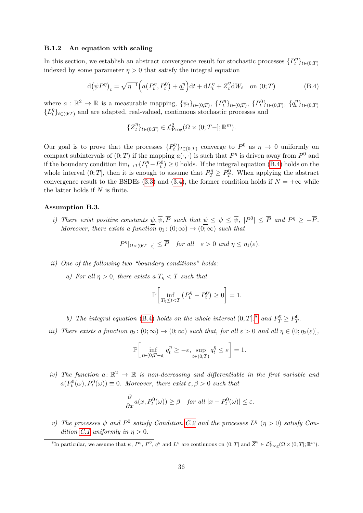#### <span id="page-35-0"></span>B.1.2 An equation with scaling

In this section, we establish an abstract convergence result for stochastic processes  $\{P_t^{\eta}$  $\{t^{\eta}\}_{t\in(0;T)}$ indexed by some parameter  $\eta > 0$  that satisfy the integral equation

$$
d(\psi P^{\eta})_t = \sqrt{\eta^{-1}} \Big( a(P_t^{\eta}, P_t^0) + q_t^{\eta} \Big) dt + dL_t^{\eta} + \overline{Z}_t^{\eta} dW_t \quad \text{on } (0; T)
$$
 (B.4)

where  $a : \mathbb{R}^2 \to \mathbb{R}$  is a measurable mapping,  $\{\psi_t\}_{t \in (0,T)}$ ,  $\{P_t^{\eta}$  $\{P_t^{\eta}\}_{t\in(0;T)}, \; \{P_t^0\}_{t\in(0;T)}, \; \{q_t^{\eta}\}$  $\{t^{\eta}_t\}_{t\in(0;T)}$  $\{L_t^{\eta}$  $_{t}^{\eta}$ <sub>t</sub><sub> $t \in (0,T)$ </sub> and are adapted, real-valued, continuous stochastic processes and

<span id="page-35-2"></span>
$$
\{\overline{Z}_t^{\eta}\}_{t \in (0,T)} \in \mathcal{L}^2_{\text{Prog}}(\Omega \times (0;T-]; \mathbb{R}^m).
$$

Our goal is to prove that the processes  $\{P_t^n\}$  $t^{\eta}$ <sub>t</sub><sub>t</sub> $(t)$ <sub>t∈(0;*T*)</sub> converge to  $P^0$  as  $\eta \to 0$  uniformly on compact subintervals of  $(0; T)$  if the mapping  $a(\cdot, \cdot)$  is such that  $P^{\eta}$  is driven away from  $P^0$  and if the boundary condition  $\lim_{t\to T} (P_t^{\eta} - P_t^0) \ge 0$  holds. If the integral equation [\(B.4\)](#page-35-2) holds on the whole interval  $(0;T]$ , then it is enough to assume that  $P_T^{\eta} \ge P_T^0$ . When applying the abstract convergence result to the BSDEs [\(3.3\)](#page-15-1) and [\(3.4\)](#page-15-2), the former condition holds if  $N = +\infty$  while the latter holds if  $N$  is finite.

#### <span id="page-35-1"></span>Assumption B.3.

i) There exist positive constants  $\psi, \overline{\psi}, \overline{P}$  such that  $\psi \leq \psi \leq \overline{\psi}$ ,  $|P^0| \leq \overline{P}$  and  $P^{\eta} \geq -\overline{P}$ . Moreover, there exists a function  $\eta_1: (0, \infty) \to (0, \infty)$  such that

$$
P^{\eta}|_{\Omega \times (0;T-\varepsilon]} \leq \overline{P}
$$
 for all  $\varepsilon > 0$  and  $\eta \leq \eta_1(\varepsilon)$ .

- ii) One of the following two "boundary conditions" holds:
	- a) For all  $\eta > 0$ , there exists a  $T_{\eta} < T$  such that

$$
\mathbb{P}\bigg[\inf_{T_{\eta}\leq t
$$

b) The integral equation [\(B.4\)](#page-35-2) holds on the whole interval  $(0;T]$ .<sup>[8](#page-35-3)</sup> and  $P_T^n \geq P_T^0$ .

iii) There exists a function  $\eta_2: (0; \infty) \to (0; \infty)$  such that, for all  $\varepsilon > 0$  and all  $\eta \in (0; \eta_2(\varepsilon))$ ,

$$
\mathbb{P}\bigg[\inf_{t\in(0;T-\varepsilon]}q_t^{\eta}\geq-\varepsilon,\sup_{t\in(0;T)}q_t^{\eta}\leq\varepsilon\bigg]=1.
$$

iv) The function  $a: \mathbb{R}^2 \to \mathbb{R}$  is non-decreasing and differentiable in the first variable and  $a(P_t^0(\omega), P_t^0(\omega)) \equiv 0$ . Moreover, there exist  $\overline{\epsilon}, \beta > 0$  such that

$$
\frac{\partial}{\partial x}a(x, P_t^0(\omega)) \ge \beta \quad \text{for all } |x - P_t^0(\omega)| \le \overline{\varepsilon}.
$$

v) The processes  $\psi$  and  $P^0$  satisfy Condition [C.2](#page-28-2) and the processes  $L^{\eta}$  ( $\eta > 0$ ) satisfy Con-dition [C.1](#page-28-1) uniformly in  $\eta > 0$ .

<span id="page-35-3"></span><sup>&</sup>lt;sup>8</sup>In particular, we assume that  $\psi$ ,  $P^{\eta}$ ,  $P^0$ ,  $q^{\eta}$  and  $L^{\eta}$  are continuous on  $(0; T]$  and  $\overline{Z}^{\eta} \in \mathcal{L}^2_{\text{Prog}}(\Omega \times (0; T]; \mathbb{R}^m)$ .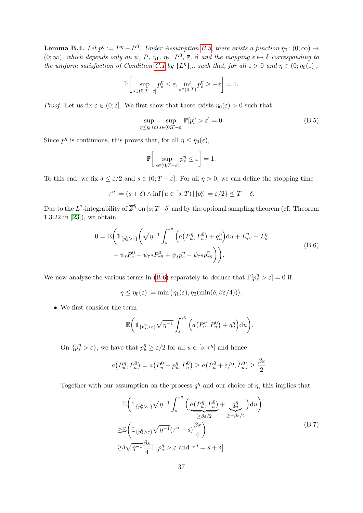<span id="page-36-0"></span>**Lemma B.4.** Let  $p^n := P^n - P^0$ . Under Assumption [B.3,](#page-35-1) there exists a function  $\eta_0: (0; \infty) \to$  $(0;\infty)$ , which depends only on  $\psi$ ,  $\overline{P}$ ,  $\eta_1$ ,  $\eta_2$ ,  $P^0$ ,  $\overline{\varepsilon}$ ,  $\beta$  and the mapping  $\varepsilon \mapsto \delta$  corresponding to the uniform satisfaction of Condition [C.1](#page-28-1) by  $\{L^{\eta}\}_{\eta}$ , such that, for all  $\varepsilon > 0$  and  $\eta \in (0; \eta_0(\varepsilon)]$ ,

$$
\mathbb{P}\bigg[\sup_{s\in(0;T-\varepsilon]}p_s^{\eta}\leq\varepsilon,\inf_{s\in(0;T)}p_s^{\eta}\geq-\varepsilon\bigg]=1.
$$

*Proof.* Let us fix  $\varepsilon \in (0;\bar{\varepsilon}]$ . We first show that there exists  $\eta_0(\varepsilon) > 0$  such that

$$
\sup_{\eta \le \eta_0(\varepsilon)} \sup_{s \in (0;T-\varepsilon]} \mathbb{P}[p_s^\eta > \varepsilon] = 0. \tag{B.5}
$$

Since  $p^{\eta}$  is continuous, this proves that, for all  $\eta \leq \eta_0(\varepsilon)$ ,

$$
\mathbb{P}\bigg[\sup_{s\in(0;T-\varepsilon]}p_s^{\eta}\leq\varepsilon\bigg]=1.
$$

To this end, we fix  $\delta \leq \varepsilon/2$  and  $s \in (0, T - \varepsilon]$ . For all  $\eta > 0$ , we can define the stopping time

$$
\tau^{\eta} := (s + \delta) \wedge \inf \{ u \in [s;T) \mid |p_u^{\eta}| = \varepsilon/2 \} \leq T - \delta.
$$

Due to the  $L^2$ -integrability of  $\overline{Z}^{\eta}$  on  $[s; T-\delta]$  and by the optional sampling theorem (cf. Theorem 1.3.22 in [\[23\]](#page-42-14)), we obtain

$$
0 = \mathbb{E}\bigg(\mathbb{1}_{\{p_s^{\eta} > \varepsilon\}}\bigg(\sqrt{\eta^{-1}} \int_s^{\tau^{\eta}} \Big(a(P_u^{\eta}, P_u^0) + q_u^{\eta}\Big)du + L_{\tau^{\eta}}^{\eta} - L_s^{\eta} + \psi_s P_s^0 - \psi_{\tau^{\eta}} P_{\tau^{\eta}}^0 + \psi_s p_s^{\eta} - \psi_{\tau^{\eta}} p_{\tau^{\eta}}^{\eta}\bigg)\bigg).
$$
 (B.6)

<span id="page-36-1"></span>We now analyze the various terms in [\(B.6\)](#page-36-1) separately to deduce that  $\mathbb{P}[p_s^n > \varepsilon] = 0$  if

$$
\eta \leq \eta_0(\varepsilon) := \min(\eta_1(\varepsilon), \eta_2(\min(\delta, \beta \varepsilon/4))).
$$

• We first consider the term

$$
\mathbb{E}\bigg(\mathbb{1}_{\{p_s^{\eta} > \varepsilon\}}\sqrt{\eta^{-1}} \int_s^{\tau^{\eta}} \Big(a(P_u^{\eta}, P_u^0) + q_u^{\eta}\Big) \mathrm{d}u\bigg).
$$

On  $\{p_s^{\eta} > \varepsilon\}$ , we have that  $p_u^{\eta} \geq \varepsilon/2$  for all  $u \in [s; \tau^{\eta}]$  and hence

$$
a(P_u^{\eta}, P_u^0) = a(P_u^0 + p_u^{\eta}, P_u^0) \ge a(P_u^0 + \varepsilon/2, P_u^0) \ge \frac{\beta \varepsilon}{2}.
$$

Together with our assumption on the process  $q^{\eta}$  and our choice of  $\eta$ , this implies that

$$
\mathbb{E}\left(\mathbb{1}_{\{p_s^{\eta} > \varepsilon\}}\sqrt{\eta^{-1}} \int_s^{\tau^{\eta}} \left(\underbrace{a(P_u^{\eta}, P_u^0)}_{\geq \beta\varepsilon/2} + \underbrace{q_u^{\eta}}_{\geq -\beta\varepsilon/4}\right) du\right)
$$
\n
$$
\geq \mathbb{E}\left(\mathbb{1}_{\{p_s^{\eta} > \varepsilon\}}\sqrt{\eta^{-1}}(\tau^{\eta} - s)\frac{\beta\varepsilon}{4}\right)
$$
\n
$$
\geq \delta\sqrt{\eta^{-1}}\frac{\beta\varepsilon}{4} \mathbb{P}\left[p_s^{\eta} > \varepsilon \text{ and } \tau^{\eta} = s + \delta\right].
$$
\n(B.7)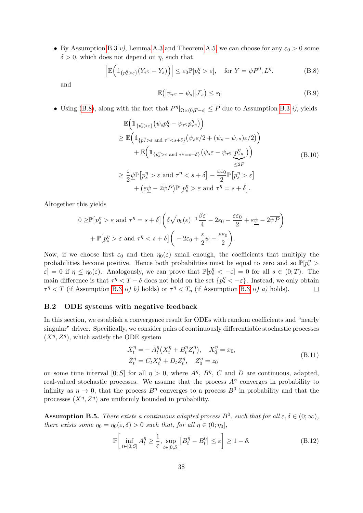• By Assumption [B.3](#page-35-1) v), Lemma [A.3](#page-29-5) and Theorem [A.5,](#page-29-6) we can choose for any  $\varepsilon_0 > 0$  some  $\delta > 0$ , which does not depend on  $\eta$ , such that

<span id="page-37-2"></span>
$$
\left| \mathbb{E} \Big( \mathbb{1}_{\{p_s^{\eta} > \varepsilon\}} (Y_{\tau^{\eta}} - Y_s) \Big) \right| \leq \varepsilon_0 \mathbb{P}[p_s^{\eta} > \varepsilon], \quad \text{for } Y = \psi P^0, L^{\eta}.
$$
 (B.8)

and

$$
\mathbb{E}(|\psi_{\tau^{\eta}} - \psi_s| | \mathcal{F}_s) \le \varepsilon_0 \tag{B.9}
$$

• Using [\(B.8\)](#page-37-2), along with the fact that  $P^{\eta}|_{\Omega\times(0;T-\varepsilon)} \leq \overline{P}$  due to Assumption [B.3](#page-35-1) *i*), yields

$$
\mathbb{E}\Big(\mathbbm{1}_{\{p_s^{\eta} > \varepsilon\}}\big(\psi_s p_s^{\eta} - \psi_{\tau^{\eta}} p_{\tau^{\eta}}^{\eta}\big)\Big) \n\geq \mathbb{E}\Big(\mathbbm{1}_{\{p_s^{\eta} > \varepsilon \text{ and } \tau^{\eta} < s + \delta\}}\big(\psi_s \varepsilon/2 + (\psi_s - \psi_{\tau^{\eta}}) \varepsilon/2\big)\Big) \n+ \mathbb{E}\Big(\mathbbm{1}_{\{p_s^{\eta} > \varepsilon \text{ and } \tau^{\eta} = s + \delta\}}\big(\psi_s \varepsilon - \psi_{\tau^{\eta}} \frac{p_{\tau^{\eta}}^{\eta}}{\varepsilon^{\eta}}\big)\Big) \n\geq \frac{\varepsilon}{2} \underline{\psi} \mathbb{P}\big[p_s^{\eta} > \varepsilon \text{ and } \tau^{\eta} < s + \delta\big] - \frac{\varepsilon \varepsilon_0}{2} \mathbb{P}\big[p_s^{\eta} > \varepsilon\big] \n+ \big(\varepsilon \underline{\psi} - 2\overline{\psi} \overline{P}\big) \mathbb{P}\big[p_s^{\eta} > \varepsilon \text{ and } \tau^{\eta} = s + \delta\big].
$$
\n(B.10)

Altogether this yields

$$
0 \ge \mathbb{P}\left[p_s^{\eta} > \varepsilon \text{ and } \tau^{\eta} = s + \delta\right] \left(\delta\sqrt{\eta_0(\varepsilon)^{-1}} \frac{\beta \varepsilon}{4} - 2\varepsilon_0 - \frac{\varepsilon \varepsilon_0}{2} + \varepsilon \underline{\psi} - 2\overline{\psi P}\right) + \mathbb{P}\left[p_s^{\eta} > \varepsilon \text{ and } \tau^{\eta} < s + \delta\right] \left(-2\varepsilon_0 + \frac{\varepsilon}{2}\underline{\psi} - \frac{\varepsilon \varepsilon_0}{2}\right).
$$

Now, if we choose first  $\varepsilon_0$  and then  $\eta_0(\varepsilon)$  small enough, the coefficients that multiply the probabilities become positive. Hence both probabilities must be equal to zero and so  $\mathbb{P}[p_s^n >$  $\varepsilon$  = 0 if  $\eta \leq \eta_0(\varepsilon)$ . Analogously, we can prove that  $\mathbb{P}[p_s^{\eta} < -\varepsilon] = 0$  for all  $s \in (0, T)$ . The main difference is that  $\tau^{\eta} < T - \delta$  does not hold on the set  $\{p_s^{\eta} < -\varepsilon\}$ . Instead, we only obtain  $\tau^{\eta} < T$  (if Assumption [B.3](#page-35-1) *ii*) *b*) holds) or  $\tau^{\eta} < T_{\eta}$  (if Assumption B.3 *ii*) *a*) holds).  $\Box$ 

#### <span id="page-37-0"></span>B.2 ODE systems with negative feedback

In this section, we establish a convergence result for ODEs with random coefficients and "nearly singular" driver. Specifically, we consider pairs of continuously differentiable stochastic processes  $(X^{\eta}, Z^{\eta})$ , which satisfy the ODE system

$$
\dot{X}_t^{\eta} = -A_t^{\eta} (X_t^{\eta} + B_t^{\eta} Z_t^{\eta}), \quad X_0^{\eta} = x_0,
$$
  
\n
$$
\dot{Z}_t^{\eta} = C_t X_t^{\eta} + D_t Z_t^{\eta}, \quad Z_0^{\eta} = z_0
$$
\n(B.11)

on some time interval [0; S] for all  $\eta > 0$ , where  $A^{\eta}$ ,  $B^{\eta}$ , C and D are continuous, adapted, real-valued stochastic processes. We assume that the process  $A<sup>η</sup>$  converges in probability to infinity as  $\eta \to 0$ , that the process  $B^{\eta}$  converges to a process  $B^0$  in probability and that the processes  $(X^{\eta}, Z^{\eta})$  are uniformly bounded in probability.

<span id="page-37-3"></span>**Assumption B.5.** There exists a continuous adapted process  $B^0$ , such that for all  $\varepsilon, \delta \in (0, \infty)$ , there exists some  $\eta_0 = \eta_0(\varepsilon, \delta) > 0$  such that, for all  $\eta \in (0; \eta_0]$ ,

<span id="page-37-1"></span>
$$
\mathbb{P}\left[\inf_{t\in[0;S]} A_t^{\eta} \ge \frac{1}{\varepsilon}, \sup_{t\in[0;S]} |B_t^{\eta} - B_t^0| \le \varepsilon\right] \ge 1 - \delta. \tag{B.12}
$$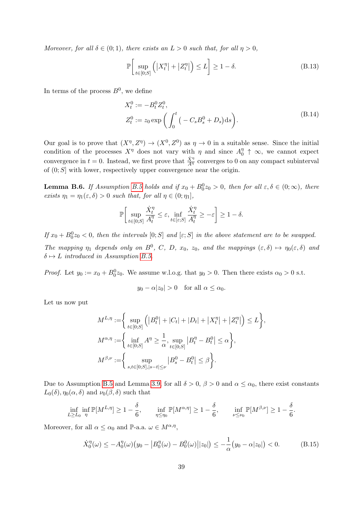Moreover, for all  $\delta \in (0,1)$ , there exists an  $L > 0$  such that, for all  $\eta > 0$ ,

<span id="page-38-0"></span>
$$
\mathbb{P}\bigg[\sup_{t\in[0;S]}\left(|X_t^{\eta}|+|Z_t^{\eta}|\right)\leq L\bigg]\geq 1-\delta.\tag{B.13}
$$

In terms of the process  $B^0$ , we define

$$
X_t^0 := -B_t^0 Z_t^0,
$$
  
\n
$$
Z_t^0 := z_0 \exp\left(\int_0^t \left(-C_s B_s^0 + D_s\right) ds\right).
$$
\n(B.14)

Our goal is to prove that  $(X^{\eta}, Z^{\eta}) \to (X^0, Z^0)$  as  $\eta \to 0$  in a suitable sense. Since the initial condition of the processes  $X^{\eta}$  does not vary with  $\eta$  and since  $A_0^{\eta}$  $\begin{array}{c} \eta \\ 0 \end{array}$   $\uparrow \infty$ , we cannot expect convergence in  $t = 0$ . Instead, we first prove that  $\frac{\dot{X}^{\eta}}{A^{\eta}}$  converges to 0 on any compact subinterval of  $(0; S]$  with lower, respectively upper convergence near the origin.

<span id="page-38-2"></span>**Lemma B.6.** If Assumption [B.5](#page-37-3) holds and if  $x_0 + B_0^0 z_0 > 0$ , then for all  $\varepsilon, \delta \in (0, \infty)$ , there exists  $\eta_1 = \eta_1(\varepsilon, \delta) > 0$  such that, for all  $\eta \in (0; \eta_1],$ 

$$
\mathbb{P}\bigg[\sup_{t\in[0;S]}\frac{\dot{X}^\eta_t}{A^\eta_t}\leq\varepsilon,\inf_{t\in[\varepsilon;S]}\frac{\dot{X}^\eta_t}{A^\eta_t}\geq-\varepsilon\bigg]\geq 1-\delta.
$$

If  $x_0 + B_0^0 z_0 < 0$ , then the intervals  $[0; S]$  and  $[\varepsilon; S]$  in the above statement are to be swapped.

The mapping  $\eta_1$  depends only on  $B^0$ , C, D,  $x_0$ ,  $z_0$ , and the mappings  $(\varepsilon, \delta) \mapsto \eta_0(\varepsilon, \delta)$  and  $\delta \mapsto L$  introduced in Assumption [B.5.](#page-37-3)

*Proof.* Let  $y_0 := x_0 + B_0^0 z_0$ . We assume w.l.o.g. that  $y_0 > 0$ . Then there exists  $\alpha_0 > 0$  s.t.

$$
y_0 - \alpha |z_0| > 0
$$
 for all  $\alpha \le \alpha_0$ .

Let us now put

$$
M^{L,\eta} := \left\{ \sup_{t \in [0;S]} \left( |B_t^0| + |C_t| + |D_t| + |X_t^{\eta}| + |Z_t^{\eta}| \right) \le L \right\},\
$$
  

$$
M^{\alpha,\eta} := \left\{ \inf_{t \in [0;S]} A^{\eta} \ge \frac{1}{\alpha}, \sup_{t \in [0;S]} |B_t^{\eta} - B_t^0| \le \alpha \right\},\
$$
  

$$
M^{\beta,\nu} := \left\{ \sup_{s,t \in [0;S], |s-t| \le \nu} |B_s^0 - B_t^0| \le \beta \right\}.
$$

Due to Assumption [B.5](#page-37-3) and Lemma [3.9,](#page-17-1) for all  $\delta > 0$ ,  $\beta > 0$  and  $\alpha \leq \alpha_0$ , there exist constants  $L_0(\delta)$ ,  $\eta_0(\alpha, \delta)$  and  $\nu_0(\beta, \delta)$  such that

$$
\inf_{L \ge L_0} \inf_{\eta} \mathbb{P}[M^{L,\eta}] \ge 1 - \frac{\delta}{6}, \quad \inf_{\eta \le \eta_0} \mathbb{P}[M^{\alpha,\eta}] \ge 1 - \frac{\delta}{6}, \quad \inf_{\nu \le \nu_0} \mathbb{P}[M^{\beta,\nu}] \ge 1 - \frac{\delta}{6}.
$$

Moreover, for all  $\alpha \leq \alpha_0$  and P-a.a.  $\omega \in M^{\alpha,\eta}$ ,

<span id="page-38-1"></span>
$$
\dot{X}_0^{\eta}(\omega) \le -A_0^{\eta}(\omega) \big( y_0 - \left| B_0^{\eta}(\omega) - B_0^0(\omega) \right| |z_0| \big) \le -\frac{1}{\alpha} \big( y_0 - \alpha |z_0| \big) < 0. \tag{B.15}
$$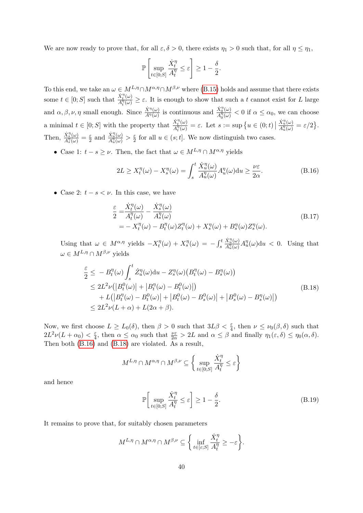We are now ready to prove that, for all  $\varepsilon, \delta > 0$ , there exists  $\eta_1 > 0$  such that, for all  $\eta \leq \eta_1$ ,

$$
\mathbb{P}\left[\sup_{t\in[0,S]}\frac{\dot{X}_t^{\eta}}{A_t^{\eta}}\leq\varepsilon\right]\geq 1-\frac{\delta}{2}.
$$

To this end, we take an  $\omega \in M^{L,\eta} \cap M^{\alpha,\eta} \cap M^{\beta,\nu}$  where [\(B.15\)](#page-38-1) holds and assume that there exists some  $t \in [0; S]$  such that  $\frac{\dot{X}_t^{\eta}(\omega)}{A^{\eta}(\omega)}$  $\frac{\Lambda_t(\omega)}{\Lambda_t^{\eta}(\omega)} \geq \varepsilon$ . It is enough to show that such a t cannot exist for L large and  $\alpha, \beta, \nu, \eta$  small enough. Since  $\frac{\dot{X}^{\eta}(\omega)}{A^{\eta}(\omega)}$  is continuous and  $\frac{\dot{X}^{\eta}_{0}(\omega)}{A^{\eta}(\omega)}$  $\frac{\Lambda_0(\omega)}{\Lambda_0''(\omega)} < 0$  if  $\alpha \leq \alpha_0$ , we can choose a minimal  $t \in [0; S]$  with the property that  $\frac{\dot{X}_t^{\eta}(\omega)}{A^{\eta}(\omega)}$  $\frac{X_t^{\gamma}(\omega)}{A_t^{\eta}(\omega)} = \varepsilon$ . Let  $s := \sup \{ u \in (0; t) \mid$  $\dot{X}_u^{\eta}(\omega)$  $\frac{X_u(\omega)}{A_u^{\eta}(\omega)}=\varepsilon/2\bigr\}.$ Then,  $\frac{\dot{X}_s^{\eta}(\omega)}{\Lambda^{\eta}(\omega)}$  $\frac{X_{s}^{\prime \prime }(\omega )}{A_{s}^{\eta }(\omega )}=\frac{\varepsilon }{2}% \sum_{s}\left( \frac{\varepsilon _{s\left( s\right) }}{\left[ s\right] }\right) ^{s}\left( s\right) ^{s}\left( s\right)$  $rac{\varepsilon}{2}$  and  $\frac{\dot{X}_{u}^{\eta}(\omega)}{A_{u}^{\eta}(\omega)}$  $\frac{X_u^{\prime\prime}(\omega)}{A_u^{\eta}(\omega)} > \frac{\varepsilon}{2}$  $\frac{\varepsilon}{2}$  for all  $u \in (s; t]$ . We now distinguish two cases.

• Case 1:  $t - s \geq \nu$ . Then, the fact that  $\omega \in M^{L,\eta} \cap M^{\alpha,\eta}$  yields

<span id="page-39-0"></span>
$$
2L \ge X_t^{\eta}(\omega) - X_s^{\eta}(\omega) = \int_s^t \frac{\dot{X}_u^{\eta}(\omega)}{A_u^{\eta}(\omega)} A_u^{\eta}(\omega) \mathrm{d}u \ge \frac{\nu \varepsilon}{2\alpha}.
$$
 (B.16)

• Case 2:  $t - s < \nu$ . In this case, we have

$$
\frac{\varepsilon}{2} = \frac{\dot{X}_t^{\eta}(\omega)}{A_t^{\eta}(\omega)} - \frac{\dot{X}_s^{\eta}(\omega)}{A_s^{\eta}(\omega)}
$$
\n
$$
= -X_t^{\eta}(\omega) - B_t^{\eta}(\omega)Z_t^{\eta}(\omega) + X_s^{\eta}(\omega) + B_s^{\eta}(\omega)Z_s^{\eta}(\omega).
$$
\n(B.17)

Using that  $\omega \in M^{\alpha,\eta}$  yields  $-X_t^{\eta}$  $t^{\eta}(\omega) + X_s^{\eta}(\omega) = -\int_s^t$  $\dot{X}_u^{\eta}(\omega)$  $\frac{X_u^{\eta}( \omega)}{A_u^{\eta}( \omega)} A_u^{\eta}( \omega) \, \mathrm{d} u < 0.$  Using that  $\omega \in M^{L,\eta} \cap M^{\beta,\nu}$  yields

<span id="page-39-1"></span>
$$
\frac{\varepsilon}{2} \leq -B_t^{\eta}(\omega) \int_s^t \dot{Z}_u^{\eta}(\omega) du - Z_s^{\eta}(\omega) \left( B_t^{\eta}(\omega) - B_s^{\eta}(\omega) \right) \n\leq 2L^2 \nu \left( \left| B_t^0(\omega) \right| + \left| B_t^{\eta}(\omega) - B_t^0(\omega) \right| \right) \n+ L \left( \left| B_t^{\eta}(\omega) - B_t^0(\omega) \right| + \left| B_t^0(\omega) - B_s^0(\omega) \right| + \left| B_s^0(\omega) - B_s^{\eta}(\omega) \right| \right) \n\leq 2L^2 \nu (L + \alpha) + L(2\alpha + \beta).
$$
\n(B.18)

Now, we first choose  $L \ge L_0(\delta)$ , then  $\beta > 0$  such that  $3L\beta < \frac{\varepsilon}{4}$ , then  $\nu \le \nu_0(\beta, \delta)$  such that  $2L^2\nu(L+\alpha_0)<\frac{\varepsilon}{4}$  $\frac{\varepsilon}{4}$ , then  $\alpha \leq \alpha_0$  such that  $\frac{\nu \varepsilon}{2\alpha} > 2L$  and  $\alpha \leq \beta$  and finally  $\eta_1(\varepsilon, \delta) \leq \eta_0(\alpha, \delta)$ . Then both [\(B.16\)](#page-39-0) and [\(B.18\)](#page-39-1) are violated. As a result,

$$
M^{L,\eta}\cap M^{\alpha,\eta}\cap M^{\beta,\nu}\subseteq \bigg\{\sup_{t\in[0;S]}\frac{\dot{X}^\eta_t}{A^\eta_t}\leq\varepsilon\bigg\}
$$

and hence

<span id="page-39-2"></span>
$$
\mathbb{P}\left[\sup_{t\in[0;S]}\frac{\dot{X}_t^{\eta}}{A_t^{\eta}} \leq \varepsilon\right] \geq 1 - \frac{\delta}{2}.\tag{B.19}
$$

It remains to prove that, for suitably chosen parameters

$$
M^{L,\eta} \cap M^{\alpha,\eta} \cap M^{\beta,\nu} \subseteq \left\{ \inf_{t \in [\varepsilon;S]} \frac{\dot{X}_t^{\eta}}{A_t^{\eta}} \ge -\varepsilon \right\}.
$$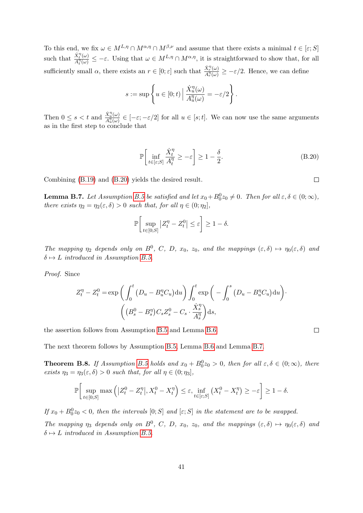To this end, we fix  $\omega \in M^{L,\eta} \cap M^{\alpha,\eta} \cap M^{\beta,\nu}$  and assume that there exists a minimal  $t \in [\varepsilon, S]$ such that  $\frac{\dot{X}^\eta_t(\omega)}{A^\eta(t)}$  $\frac{\lambda_t^2(\omega)}{A_t^{\eta}(\omega)} \leq -\varepsilon$ . Using that  $\omega \in M^{L,\eta} \cap M^{\alpha,\eta}$ , it is straightforward to show that, for all sufficiently small  $\alpha$ , there exists an  $r \in [0; \varepsilon]$  such that  $\frac{\dot{X}_r^{\eta}(\omega)}{A^{\eta}(L_1)}$  $\frac{A_{\vec{r}}(\omega)}{A_{\vec{r}}^{\eta}(\omega)} \geq -\varepsilon/2$ . Hence, we can define

$$
s := \sup \left\{ u \in [0; t) \, \Big| \, \frac{\dot{X}_u^{\eta}(\omega)}{A_u^{\eta}(\omega)} = -\varepsilon/2 \right\}.
$$

Then  $0 \leq s < t$  and  $\frac{\dot{X}_{u}^{\eta}(\omega)}{\Lambda^{\eta}(\omega)}$  $\frac{\Lambda_u(u)}{\Lambda_u^{\eta}(u)} \in [-\varepsilon, -\varepsilon/2]$  for all  $u \in [s; t]$ . We can now use the same arguments as in the first step to conclude that

$$
\mathbb{P}\left[\inf_{t\in[\varepsilon;S]}\frac{\dot{X}_t^{\eta}}{A_t^{\eta}}\geq -\varepsilon\right] \geq 1-\frac{\delta}{2}.\tag{B.20}
$$

Combining [\(B.19\)](#page-39-2) and [\(B.20\)](#page-40-1) yields the desired result.

<span id="page-40-2"></span>**Lemma B.7.** Let Assumption [B.5](#page-37-3) be satisfied and let  $x_0 + B_0^0 z_0 \neq 0$ . Then for all  $\varepsilon, \delta \in (0, \infty)$ , there exists  $\eta_2 = \eta_2(\varepsilon, \delta) > 0$  such that, for all  $\eta \in (0; \eta_2]$ ,

$$
\mathbb{P}\bigg[\sup_{t\in[0;S]}|Z_t^{\eta}-Z_t^0|\leq\varepsilon\bigg]\geq 1-\delta.
$$

The mapping  $\eta_2$  depends only on  $B^0$ , C, D,  $x_0$ ,  $z_0$ , and the mappings  $(\varepsilon, \delta) \mapsto \eta_0(\varepsilon, \delta)$  and  $\delta \mapsto L$  introduced in Assumption [B.5.](#page-37-3)

Proof. Since

$$
Z_t^{\eta} - Z_t^0 = \exp\left(\int_0^t \left(D_u - B_u^{\eta} C_u\right) du\right) \int_0^t \exp\left(-\int_0^s \left(D_u - B_u^{\eta} C_u\right) du\right) \cdot \left(\left(B_s^0 - B_s^{\eta}\right) C_s Z_s^0 - C_s \cdot \frac{\dot{X}_s^{\eta}}{A_s^{\eta}}\right) ds,
$$

the assertion follows from Assumption [B.5](#page-37-3) and Lemma [B.6.](#page-38-2)

$$
\Box
$$

The next theorem follows by Assumption [B.5,](#page-37-3) Lemma [B.6](#page-38-2) and Lemma [B.7.](#page-40-2)

<span id="page-40-0"></span>**Theorem B.8.** If Assumption [B.5](#page-37-3) holds and  $x_0 + B_0^0 z_0 > 0$ , then for all  $\varepsilon, \delta \in (0, \infty)$ , there exists  $\eta_3 = \eta_3(\varepsilon, \delta) > 0$  such that, for all  $\eta \in (0; \eta_3]$ ,

$$
\mathbb{P}\bigg[\sup_{t\in[0;S]}\max\left(|Z_t^0 - Z_t^{\eta}|, X_t^0 - X_t^{\eta}\right) \leq \varepsilon, \inf_{t\in[\varepsilon;S]}\left(X_t^0 - X_t^{\eta}\right) \geq -\varepsilon\bigg] \geq 1-\delta.
$$

If  $x_0 + B_0^0 z_0 < 0$ , then the intervals  $[0; S]$  and  $[\varepsilon; S]$  in the statement are to be swapped.

The mapping  $\eta_3$  depends only on  $B^0$ , C, D,  $x_0$ ,  $z_0$ , and the mappings  $(\varepsilon, \delta) \mapsto \eta_0(\varepsilon, \delta)$  and  $\delta \mapsto L$  introduced in Assumption [B.5.](#page-37-3)

<span id="page-40-1"></span> $\Box$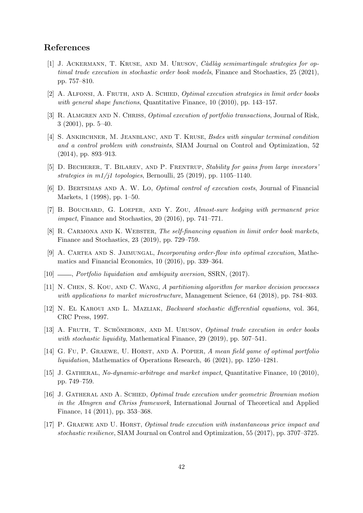# <span id="page-41-13"></span>References

- [1] J. ACKERMANN, T. KRUSE, AND M. URUSOV, *Càdlàg semimartingale strategies for op*timal trade execution in stochastic order book models, Finance and Stochastics, 25 (2021), pp. 757–810.
- <span id="page-41-6"></span>[2] A. Alfonsi, A. Fruth, and A. Schied, Optimal execution strategies in limit order books with general shape functions, Quantitative Finance, 10 (2010), pp. 143–157.
- <span id="page-41-1"></span>[3] R. ALMGREN AND N. CHRISS, *Optimal execution of portfolio transactions*, Journal of Risk, 3 (2001), pp. 5–40.
- <span id="page-41-2"></span>[4] S. Ankirchner, M. Jeanblanc, and T. Kruse, Bsdes with singular terminal condition and a control problem with constraints, SIAM Journal on Control and Optimization, 52 (2014), pp. 893–913.
- <span id="page-41-11"></span>[5] D. BECHERER, T. BILAREV, AND P. FRENTRUP, Stability for gains from large investors' strategies in  $m1/j1$  topologies, Bernoulli, 25 (2019), pp. 1105–1140.
- <span id="page-41-0"></span>[6] D. Bertsimas and A. W. Lo, Optimal control of execution costs, Journal of Financial Markets, 1 (1998), pp. 1–50.
- <span id="page-41-12"></span>[7] B. Bouchard, G. Loeper, and Y. Zou, Almost-sure hedging with permanent price impact, Finance and Stochastics, 20 (2016), pp. 741–771.
- <span id="page-41-14"></span>[8] R. CARMONA AND K. WEBSTER, The self-financing equation in limit order book markets, Finance and Stochastics, 23 (2019), pp. 729–759.
- <span id="page-41-15"></span>[9] A. Cartea and S. Jaimungal, Incorporating order-flow into optimal execution, Mathematics and Financial Economics, 10 (2016), pp. 339–364.
- <span id="page-41-7"></span><span id="page-41-3"></span> $[10]$  —, Portfolio liquidation and ambiguity aversion, SSRN,  $(2017)$ .
- [11] N. Chen, S. Kou, and C. Wang, A partitioning algorithm for markov decision processes with applications to market microstructure, Management Science, 64 (2018), pp. 784–803.
- <span id="page-41-16"></span>[12] N. El Karoui and L. Mazliak, Backward stochastic differential equations, vol. 364, CRC Press, 1997.
- <span id="page-41-8"></span>[13] A. FRUTH, T. SCHÖNEBORN, AND M. URUSOV, *Optimal trade execution in order books* with stochastic liquidity, Mathematical Finance, 29 (2019), pp. 507–541.
- <span id="page-41-4"></span>[14] G. Fu, P. GRAEWE, U. HORST, AND A. POPIER, A mean field game of optimal portfolio liquidation, Mathematics of Operations Research, 46 (2021), pp. 1250–1281.
- <span id="page-41-9"></span>[15] J. Gatheral, No-dynamic-arbitrage and market impact, Quantitative Finance, 10 (2010), pp. 749–759.
- <span id="page-41-5"></span>[16] J. Gatheral and A. Schied, Optimal trade execution under geometric Brownian motion in the Almgren and Chriss framework, International Journal of Theoretical and Applied Finance, 14 (2011), pp. 353–368.
- <span id="page-41-10"></span>[17] P. Graewe and U. Horst, Optimal trade execution with instantaneous price impact and stochastic resilience, SIAM Journal on Control and Optimization, 55 (2017), pp. 3707–3725.